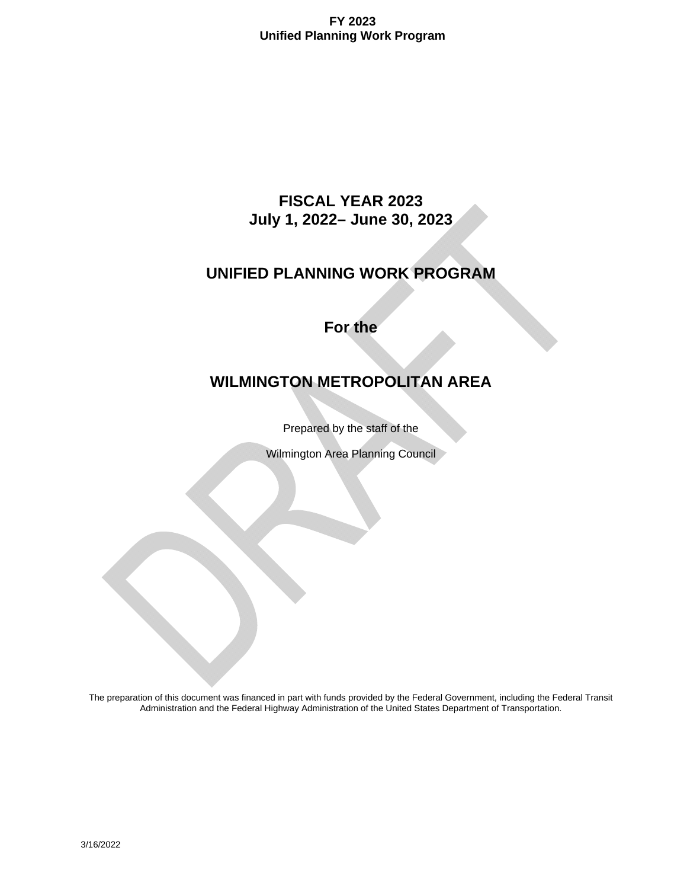## **FY 2023 Unified Planning Work Program**

# **FISCAL YEAR 2023 July 1, 2022– June 30, 2023**

# **UNIFIED PLANNING WORK PROGRAM**

# **For the**

# **WILMINGTON METROPOLITAN AREA**

Prepared by the staff of the

Wilmington Area Planning Council

The preparation of this document was financed in part with funds provided by the Federal Government, including the Federal Transit Administration and the Federal Highway Administration of the United States Department of Transportation.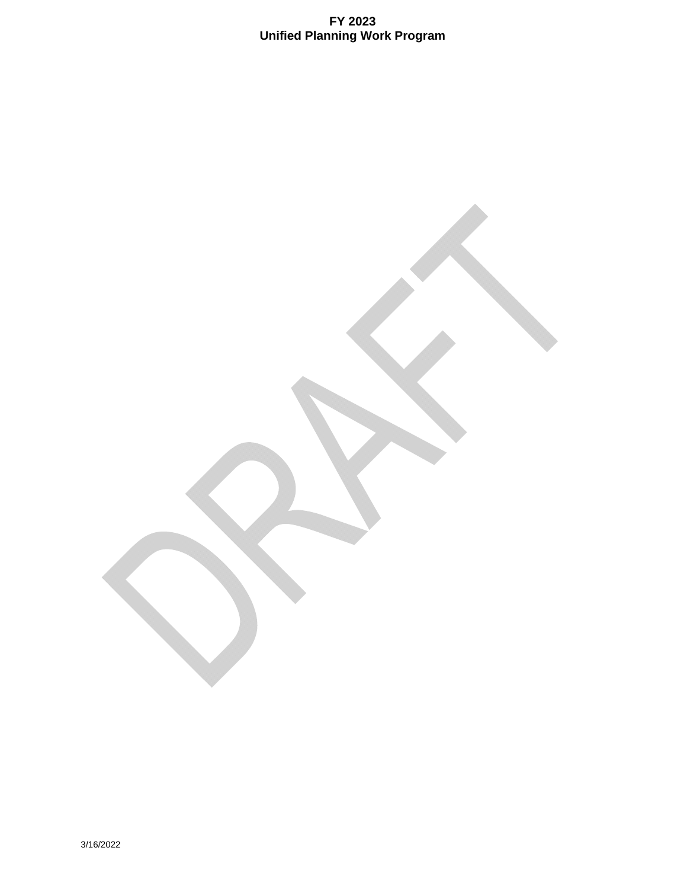## **FY 2023 Unified Planning Work Program**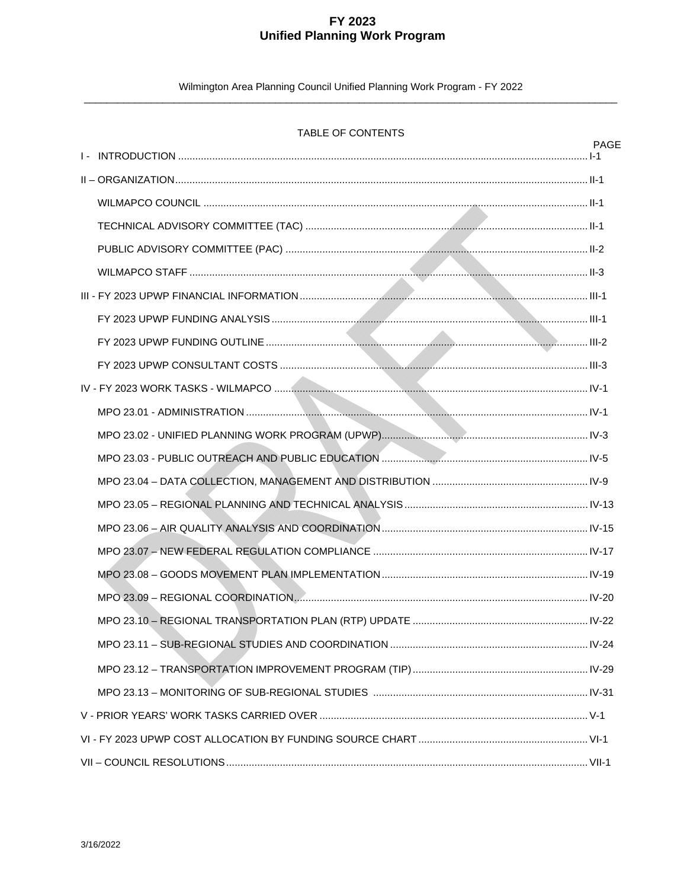## FY 2023 **Unified Planning Work Program**

Wilmington Area Planning Council Unified Planning Work Program - FY 2022

|  | <b>TABLE OF CONTENTS</b> |
|--|--------------------------|
|  |                          |

| <b>PAGE</b> |
|-------------|
|             |
|             |
|             |
|             |
|             |
|             |
|             |
|             |
|             |
|             |
|             |
|             |
|             |
|             |
|             |
|             |
|             |
|             |
|             |
|             |
|             |
|             |
|             |
|             |
|             |
|             |
|             |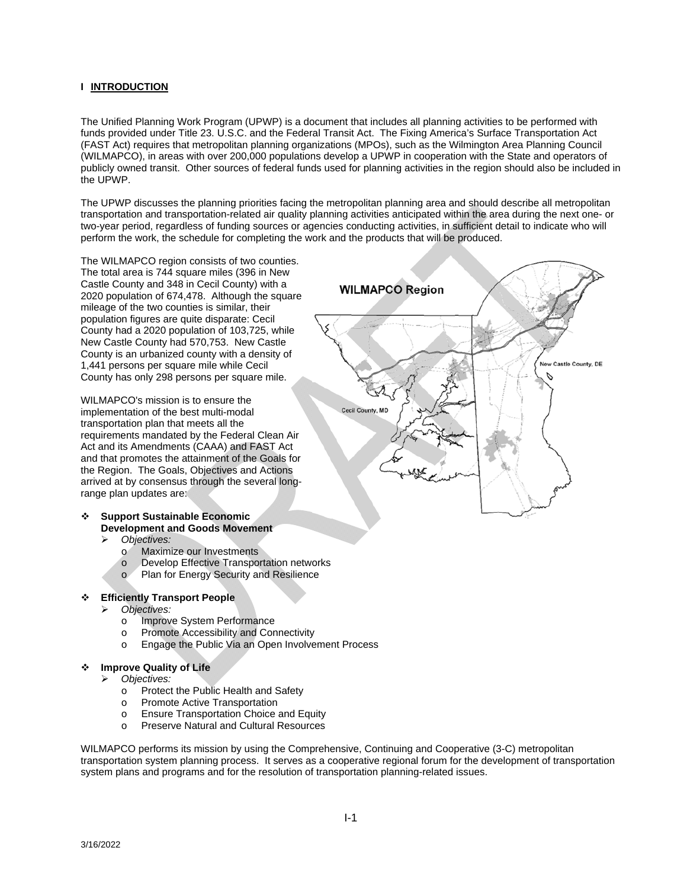#### **I INTRODUCTION**

The Unified Planning Work Program (UPWP) is a document that includes all planning activities to be performed with funds provided under Title 23. U.S.C. and the Federal Transit Act. The Fixing America's Surface Transportation Act (FAST Act) requires that metropolitan planning organizations (MPOs), such as the Wilmington Area Planning Council (WILMAPCO), in areas with over 200,000 populations develop a UPWP in cooperation with the State and operators of publicly owned transit. Other sources of federal funds used for planning activities in the region should also be included in the UPWP.

The UPWP discusses the planning priorities facing the metropolitan planning area and should describe all metropolitan transportation and transportation-related air quality planning activities anticipated within the area during the next one- or two-year period, regardless of funding sources or agencies conducting activities, in sufficient detail to indicate who will perform the work, the schedule for completing the work and the products that will be produced.

The WILMAPCO region consists of two counties. The total area is 744 square miles (396 in New Castle County and 348 in Cecil County) with a 2020 population of 674,478. Although the square mileage of the two counties is similar, their population figures are quite disparate: Cecil County had a 2020 population of 103,725, while New Castle County had 570,753. New Castle County is an urbanized county with a density of 1,441 persons per square mile while Cecil County has only 298 persons per square mile.

WILMAPCO's mission is to ensure the implementation of the best multi-modal transportation plan that meets all the requirements mandated by the Federal Clean Air Act and its Amendments (CAAA) and FAST Act and that promotes the attainment of the Goals for the Region. The Goals, Objectives and Actions arrived at by consensus through the several longrange plan updates are:

#### **Support Sustainable Economic Development and Goods Movement**

- *Objectives:* 
	- o Maximize our Investments
	- o Develop Effective Transportation networks
	- o Plan for Energy Security and Resilience

#### **Efficiently Transport People**

- *Objectives:* 
	- o Improve System Performance
	- o Promote Accessibility and Connectivity
	- o Engage the Public Via an Open Involvement Process

#### **Improve Quality of Life**

- *Objectives:* 
	- o Protect the Public Health and Safety
	- o Promote Active Transportation
	- o Ensure Transportation Choice and Equity
	- o Preserve Natural and Cultural Resources

WILMAPCO performs its mission by using the Comprehensive, Continuing and Cooperative (3-C) metropolitan transportation system planning process. It serves as a cooperative regional forum for the development of transportation system plans and programs and for the resolution of transportation planning-related issues.

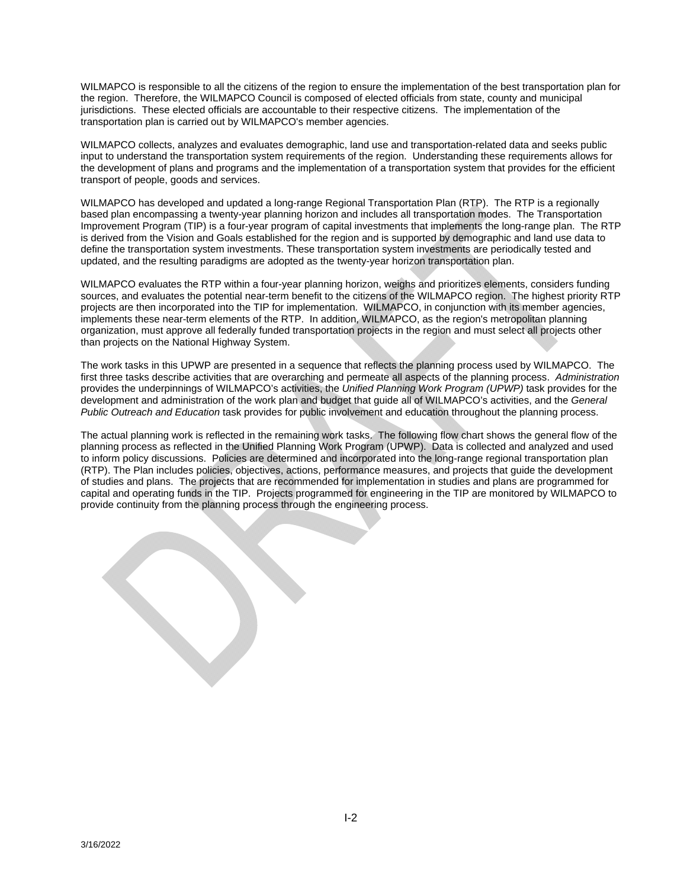WILMAPCO is responsible to all the citizens of the region to ensure the implementation of the best transportation plan for the region. Therefore, the WILMAPCO Council is composed of elected officials from state, county and municipal jurisdictions. These elected officials are accountable to their respective citizens. The implementation of the transportation plan is carried out by WILMAPCO's member agencies.

WILMAPCO collects, analyzes and evaluates demographic, land use and transportation-related data and seeks public input to understand the transportation system requirements of the region. Understanding these requirements allows for the development of plans and programs and the implementation of a transportation system that provides for the efficient transport of people, goods and services.

WILMAPCO has developed and updated a long-range Regional Transportation Plan (RTP). The RTP is a regionally based plan encompassing a twenty-year planning horizon and includes all transportation modes. The Transportation Improvement Program (TIP) is a four-year program of capital investments that implements the long-range plan. The RTP is derived from the Vision and Goals established for the region and is supported by demographic and land use data to define the transportation system investments. These transportation system investments are periodically tested and updated, and the resulting paradigms are adopted as the twenty-year horizon transportation plan.

WILMAPCO evaluates the RTP within a four-year planning horizon, weighs and prioritizes elements, considers funding sources, and evaluates the potential near-term benefit to the citizens of the WILMAPCO region. The highest priority RTP projects are then incorporated into the TIP for implementation. WILMAPCO, in conjunction with its member agencies, implements these near-term elements of the RTP. In addition, WILMAPCO, as the region's metropolitan planning organization, must approve all federally funded transportation projects in the region and must select all projects other than projects on the National Highway System.

The work tasks in this UPWP are presented in a sequence that reflects the planning process used by WILMAPCO. The first three tasks describe activities that are overarching and permeate all aspects of the planning process. *Administration* provides the underpinnings of WILMAPCO's activities, the *Unified Planning Work Program (UPWP)* task provides for the development and administration of the work plan and budget that guide all of WILMAPCO's activities, and the *General Public Outreach and Education* task provides for public involvement and education throughout the planning process.

The actual planning work is reflected in the remaining work tasks. The following flow chart shows the general flow of the planning process as reflected in the Unified Planning Work Program (UPWP). Data is collected and analyzed and used to inform policy discussions. Policies are determined and incorporated into the long-range regional transportation plan (RTP). The Plan includes policies, objectives, actions, performance measures, and projects that guide the development of studies and plans. The projects that are recommended for implementation in studies and plans are programmed for capital and operating funds in the TIP. Projects programmed for engineering in the TIP are monitored by WILMAPCO to provide continuity from the planning process through the engineering process.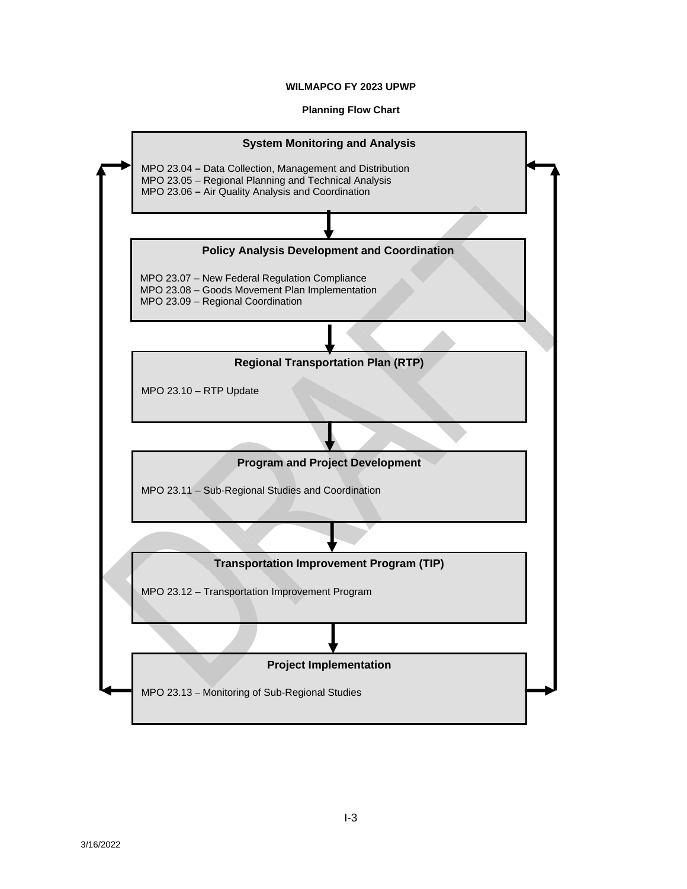#### **WILMAPCO FY 2023 UPWP**

#### **Planning Flow Chart**

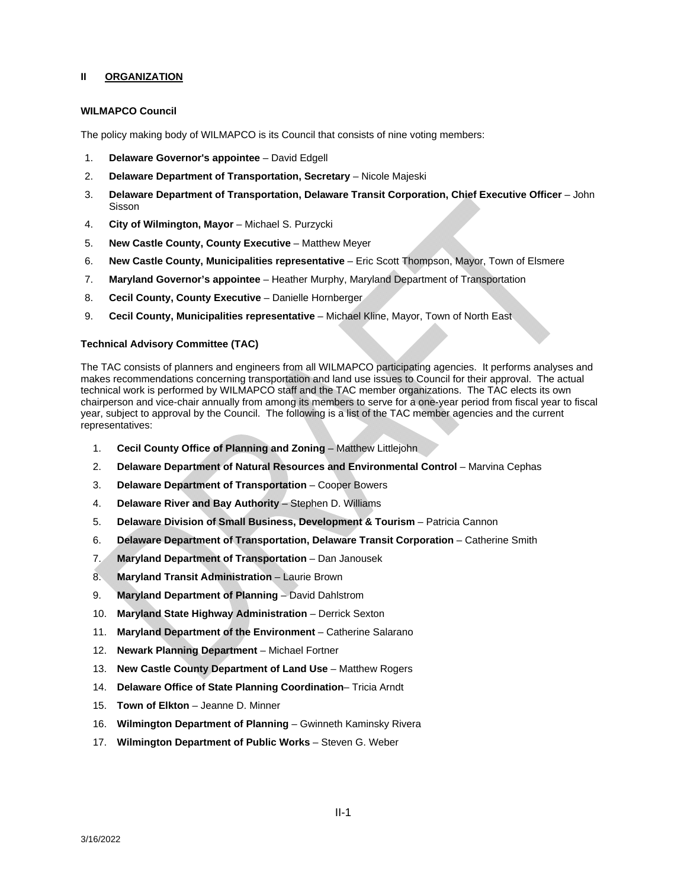#### **II ORGANIZATION**

#### **WILMAPCO Council**

The policy making body of WILMAPCO is its Council that consists of nine voting members:

- 1. **Delaware Governor's appointee** David Edgell
- 2. **Delaware Department of Transportation, Secretary** Nicole Majeski
- 3. **Delaware Department of Transportation, Delaware Transit Corporation, Chief Executive Officer**  John Sisson
- 4. **City of Wilmington, Mayor** Michael S. Purzycki
- 5. **New Castle County, County Executive** Matthew Meyer
- 6. **New Castle County, Municipalities representative** Eric Scott Thompson, Mayor, Town of Elsmere
- 7. **Maryland Governor's appointee** Heather Murphy, Maryland Department of Transportation
- 8. **Cecil County, County Executive** Danielle Hornberger
- 9. **Cecil County, Municipalities representative** Michael Kline, Mayor, Town of North East

#### **Technical Advisory Committee (TAC)**

The TAC consists of planners and engineers from all WILMAPCO participating agencies. It performs analyses and makes recommendations concerning transportation and land use issues to Council for their approval. The actual technical work is performed by WILMAPCO staff and the TAC member organizations. The TAC elects its own chairperson and vice-chair annually from among its members to serve for a one-year period from fiscal year to fiscal year, subject to approval by the Council. The following is a list of the TAC member agencies and the current representatives:

- 1. **Cecil County Office of Planning and Zoning Matthew Littlejohn**
- 2. **Delaware Department of Natural Resources and Environmental Control** Marvina Cephas
- 3. **Delaware Department of Transportation** Cooper Bowers
- 4. **Delaware River and Bay Authority** Stephen D. Williams
- 5. **Delaware Division of Small Business, Development & Tourism**  Patricia Cannon
- 6. **Delaware Department of Transportation, Delaware Transit Corporation**  Catherine Smith
- 7. **Maryland Department of Transportation** Dan Janousek
- 8. **Maryland Transit Administration** Laurie Brown
- 9. **Maryland Department of Planning David Dahlstrom**
- 10. **Maryland State Highway Administration**  Derrick Sexton
- 11. **Maryland Department of the Environment**  Catherine Salarano
- 12. **Newark Planning Department** Michael Fortner
- 13. **New Castle County Department of Land Use** Matthew Rogers
- 14. **Delaware Office of State Planning Coordination** Tricia Arndt
- 15. **Town of Elkton** Jeanne D. Minner
- 16. **Wilmington Department of Planning**  Gwinneth Kaminsky Rivera
- 17. **Wilmington Department of Public Works** Steven G. Weber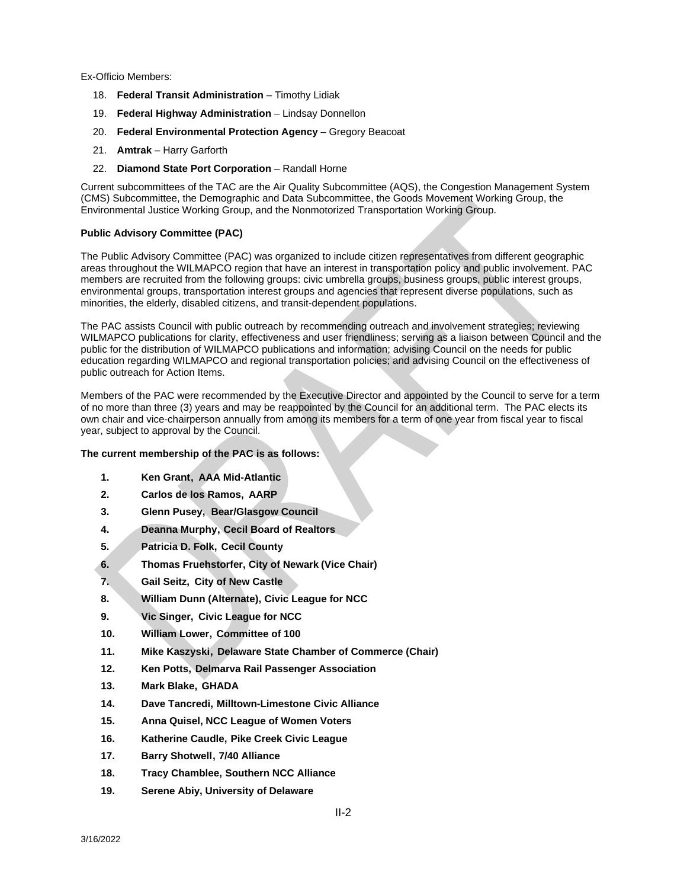Ex-Officio Members:

- 18. **Federal Transit Administration**  Timothy Lidiak
- 19. **Federal Highway Administration** Lindsay Donnellon
- 20. **Federal Environmental Protection Agency** Gregory Beacoat
- 21. **Amtrak** Harry Garforth
- 22. **Diamond State Port Corporation** Randall Horne

Current subcommittees of the TAC are the Air Quality Subcommittee (AQS), the Congestion Management System (CMS) Subcommittee, the Demographic and Data Subcommittee, the Goods Movement Working Group, the Environmental Justice Working Group, and the Nonmotorized Transportation Working Group.

#### **Public Advisory Committee (PAC)**

The Public Advisory Committee (PAC) was organized to include citizen representatives from different geographic areas throughout the WILMAPCO region that have an interest in transportation policy and public involvement. PAC members are recruited from the following groups: civic umbrella groups, business groups, public interest groups, environmental groups, transportation interest groups and agencies that represent diverse populations, such as minorities, the elderly, disabled citizens, and transit-dependent populations.

The PAC assists Council with public outreach by recommending outreach and involvement strategies; reviewing WILMAPCO publications for clarity, effectiveness and user friendliness; serving as a liaison between Council and the public for the distribution of WILMAPCO publications and information; advising Council on the needs for public education regarding WILMAPCO and regional transportation policies; and advising Council on the effectiveness of public outreach for Action Items.

Members of the PAC were recommended by the Executive Director and appointed by the Council to serve for a term of no more than three (3) years and may be reappointed by the Council for an additional term. The PAC elects its own chair and vice-chairperson annually from among its members for a term of one year from fiscal year to fiscal year, subject to approval by the Council.

#### **The current membership of the PAC is as follows:**

- 1. **Ken Grant, AAA Mid-Atlantic**
- **2. Carlos de los Ramos, AARP**
- **3. Glenn Pusey, Bear/Glasgow Council**
- **4. Deanna Murphy , Cecil Board of Realtors**
- **5. Patricia D. Folk, Cecil County**
- **6. Thomas Fruehstorfer, City of Newark (Vice Chair)**
- **7. Gail Seitz, City of New Castle**
- **8. William Dunn (Alternate), Civic League for NCC**
- **9. Vic Singer, Civic League for NCC**
- **10. William Lower , Committee of 100**
- 11. Mike Kaszyski, Delaware State Chamber of Commerce (Chair)
- **12. Ken Potts, Delmarva Rail Passenger Association**
- **13. Mark Blake, GHADA**
- **14. Dave Tancredi, Milltown-Limestone Civic Alliance**
- **15. Anna Quisel, NCC League of Women Voters**
- **16. Katherine Caudle, Pike Creek Civic League**
- **17. Barry Shotwell , 7/40 Alliance**
- **18. Tracy Chamblee, Southern NCC Alliance**
- **19. Serene Abiy, University of Delaware**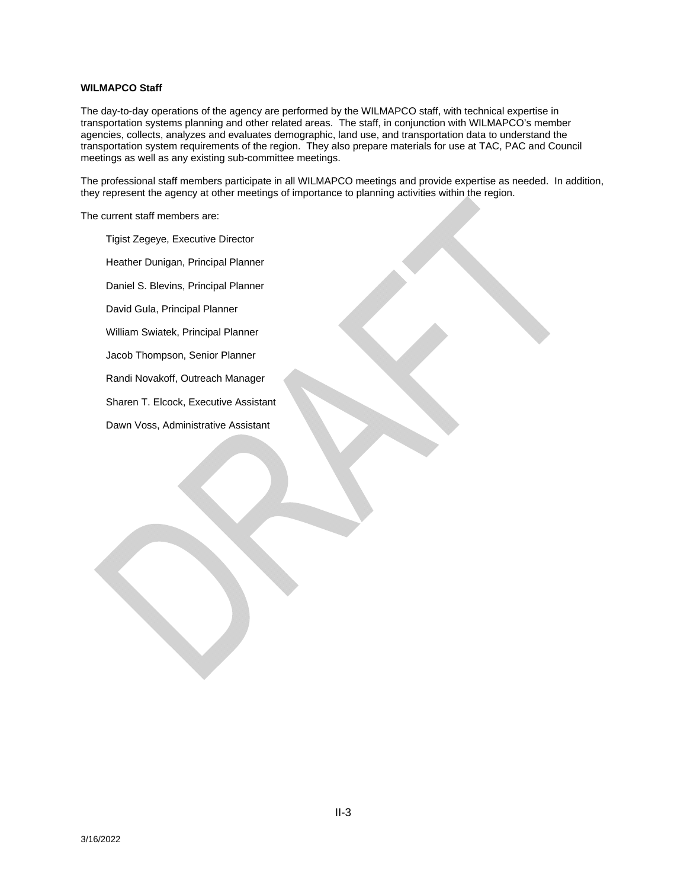#### **WILMAPCO Staff**

The day-to-day operations of the agency are performed by the WILMAPCO staff, with technical expertise in transportation systems planning and other related areas. The staff, in conjunction with WILMAPCO's member agencies, collects, analyzes and evaluates demographic, land use, and transportation data to understand the transportation system requirements of the region. They also prepare materials for use at TAC, PAC and Council meetings as well as any existing sub-committee meetings.

The professional staff members participate in all WILMAPCO meetings and provide expertise as needed. In addition, they represent the agency at other meetings of importance to planning activities within the region.

The current staff members are:

Tigist Zegeye, Executive Director

Heather Dunigan, Principal Planner

Daniel S. Blevins, Principal Planner

David Gula, Principal Planner

William Swiatek, Principal Planner

Jacob Thompson, Senior Planner

Randi Novakoff, Outreach Manager

Sharen T. Elcock, Executive Assistant

Dawn Voss, Administrative Assistant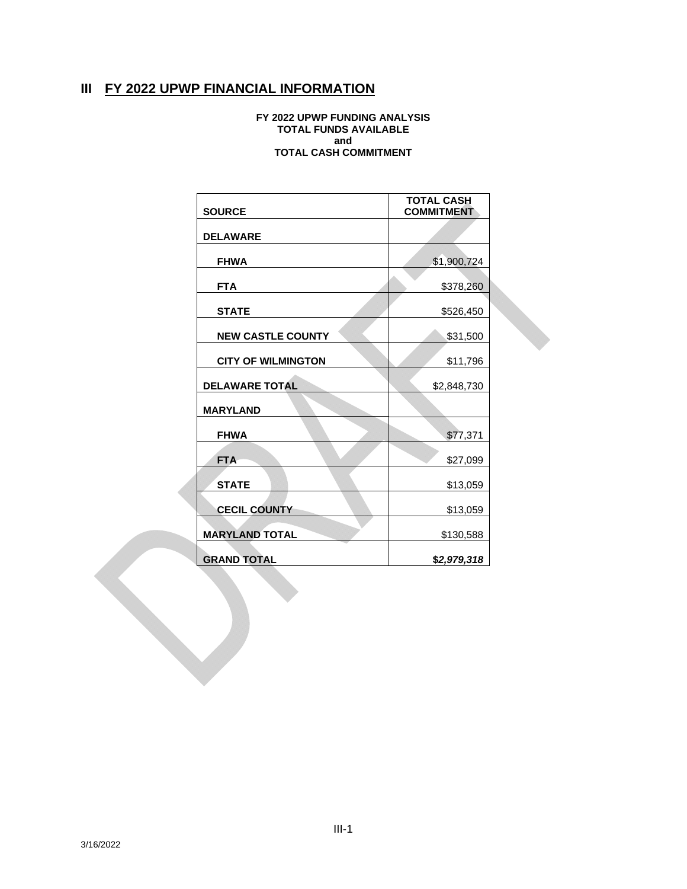# **III** FY 2022 UPWP FINANCIAL INFORMATION

#### **FY 2022 UPWP FUNDING ANALYSIS TOTAL FUNDS AVAILABLE and TOTAL CASH COMMITMENT**

| <b>SOURCE</b>             | <b>TOTAL CASH</b><br><b>COMMITMENT</b> |
|---------------------------|----------------------------------------|
| <b>DELAWARE</b>           |                                        |
| <b>FHWA</b>               | \$1,900,724                            |
| <b>FTA</b>                | \$378,260                              |
| <b>STATE</b>              | \$526,450                              |
| <b>NEW CASTLE COUNTY</b>  | \$31,500                               |
| <b>CITY OF WILMINGTON</b> | \$11,796                               |
| <b>DELAWARE TOTAL</b>     | \$2,848,730                            |
| <b>MARYLAND</b>           |                                        |
| <b>FHWA</b>               | \$77,371                               |
| <b>FTA</b>                | \$27,099                               |
| <b>STATE</b>              | \$13,059                               |
| <b>CECIL COUNTY</b>       | \$13,059                               |
| <b>MARYLAND TOTAL</b>     | \$130,588                              |
| <b>GRAND TOTAL</b>        | \$2,979,318                            |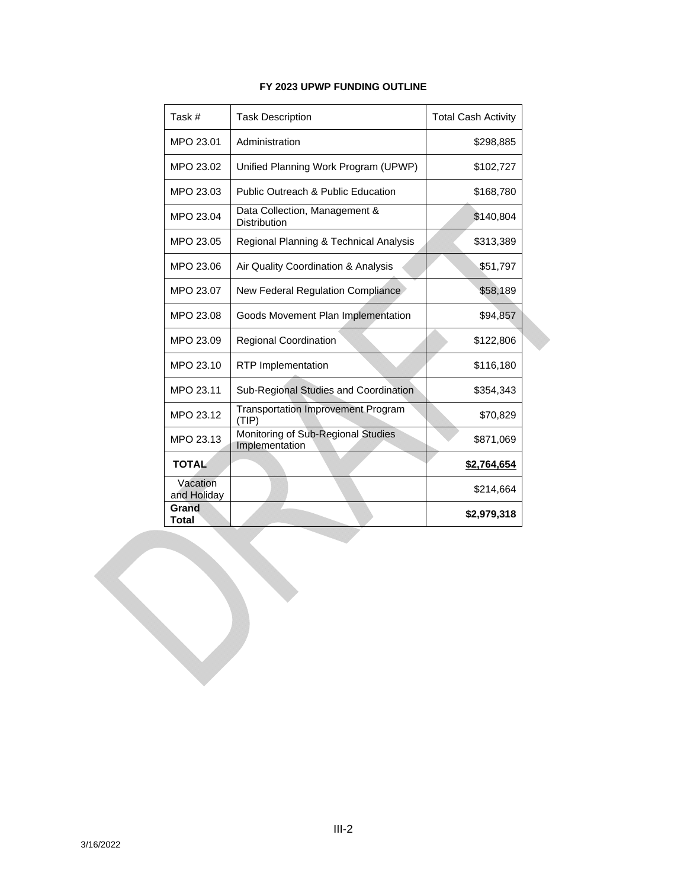### **FY 2023 UPWP FUNDING OUTLINE**

| Task#                   | <b>Task Description</b>                              | <b>Total Cash Activity</b> |
|-------------------------|------------------------------------------------------|----------------------------|
| MPO 23.01               | Administration                                       | \$298,885                  |
| MPO 23.02               | Unified Planning Work Program (UPWP)                 | \$102,727                  |
| MPO 23.03               | Public Outreach & Public Education                   | \$168,780                  |
| MPO 23.04               | Data Collection, Management &<br><b>Distribution</b> | \$140,804                  |
| MPO 23.05               | Regional Planning & Technical Analysis               | \$313,389                  |
| MPO 23.06               | Air Quality Coordination & Analysis                  | \$51,797                   |
| MPO 23.07               | New Federal Regulation Compliance                    | \$58,189                   |
| MPO 23.08               | Goods Movement Plan Implementation                   | \$94,857                   |
| MPO 23.09               | <b>Regional Coordination</b>                         | \$122,806                  |
| MPO 23.10               | RTP Implementation                                   | \$116,180                  |
| MPO 23.11               | Sub-Regional Studies and Coordination                | \$354,343                  |
| MPO 23.12               | <b>Transportation Improvement Program</b><br>(TIP)   | \$70,829                   |
| MPO 23.13               | Monitoring of Sub-Regional Studies<br>Implementation | \$871,069                  |
| <b>TOTAL</b>            |                                                      | \$2,764,654                |
| Vacation<br>and Holiday |                                                      | \$214,664                  |
| Grand<br>Total          |                                                      | \$2,979,318                |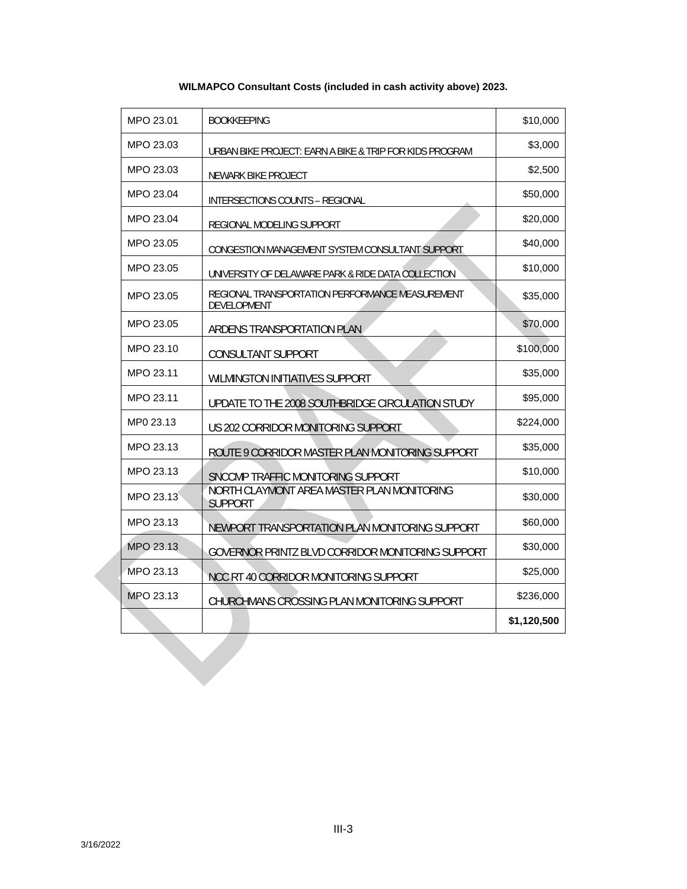## **WILMAPCO Consultant Costs (included in cash activity above) 2023.**

| MPO 23.01 | <b>BOOKKEEPING</b>                                             | \$10,000    |
|-----------|----------------------------------------------------------------|-------------|
| MPO 23.03 | URBAN BIKE PROJECT: EARN A BIKE & TRIP FOR KIDS PROGRAM        | \$3,000     |
| MPO 23.03 | NEWARK BIKE PROJECT                                            | \$2,500     |
| MPO 23.04 | INTERSECTIONS COUNTS - REGIONAL                                | \$50,000    |
| MPO 23.04 | REGIONAL MODELING SUPPORT                                      | \$20,000    |
| MPO 23.05 | CONGESTION MANAGEMENT SYSTEM CONSULTANT SUPPORT                | \$40,000    |
| MPO 23.05 | UNIVERSITY OF DELAWARE PARK & RIDE DATA COLLECTION             | \$10,000    |
| MPO 23.05 | REGIONAL TRANSPORTATION PERFORMANCE MEASUREMENT<br>DEVELOPMENT | \$35,000    |
| MPO 23.05 | ARDENS TRANSPORTATION PLAN                                     | \$70,000    |
| MPO 23.10 | CONSULTANT SUPPORT                                             | \$100,000   |
| MPO 23.11 | WILMINGTON INITIATIVES SUPPORT                                 | \$35,000    |
| MPO 23.11 | UPDATE TO THE 2008 SOUTHBRIDGE CIRCULATION STUDY               | \$95,000    |
| MP0 23.13 | US 202 CORRIDOR MONITORING SUPPORT                             | \$224,000   |
| MPO 23.13 | ROUTE 9 CORRIDOR MASTER PLAN MONITORING SUPPORT                | \$35,000    |
| MPO 23.13 | SNCCMP TRAFFIC MONITORING SUPPORT                              | \$10,000    |
| MPO 23.13 | NORTH CLAYMONT AREA MASTER PLAN MONITORING<br><b>SUPPORT</b>   | \$30,000    |
| MPO 23.13 | NEWPORT TRANSPORTATION PLAN MONITORING SUPPORT                 | \$60,000    |
| MPO 23.13 | GOVERNOR PRINTZ BLVD CORRIDOR MONITORING SUPPORT               | \$30,000    |
| MPO 23.13 | NCC RT 40 CORRIDOR MONITORING SUPPORT                          | \$25,000    |
| MPO 23.13 | CHURCHMANS CROSSING PLAN MONITORING SUPPORT                    | \$236,000   |
|           |                                                                | \$1,120,500 |
|           |                                                                |             |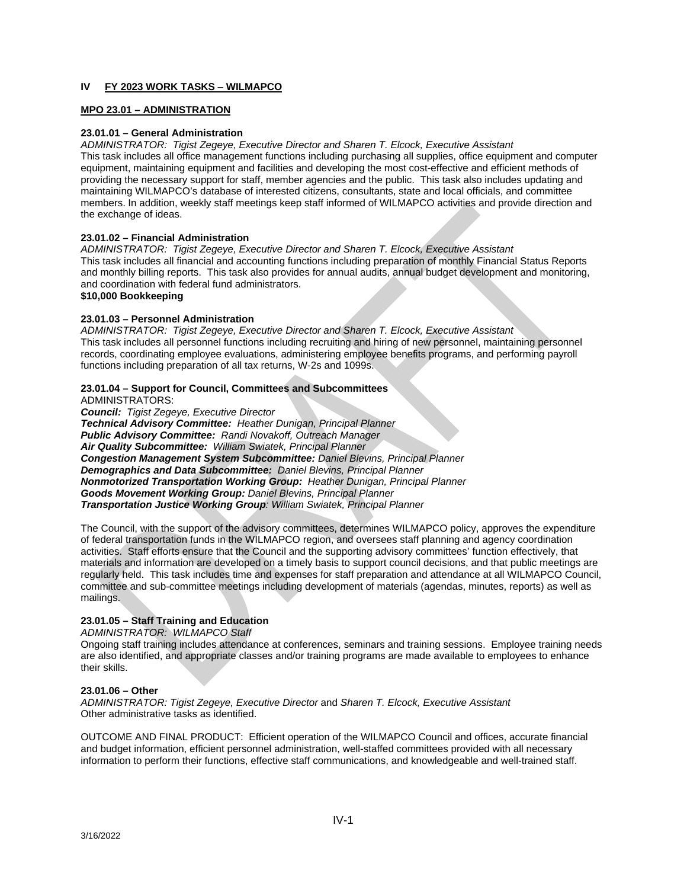#### **IV FY 2023 WORK TASKS** – **WILMAPCO**

#### **MPO 23.01 – ADMINISTRATION**

#### **23.01.01 – General Administration**

*ADMINISTRATOR: Tigist Zegeye, Executive Director and Sharen T. Elcock, Executive Assistant* 

This task includes all office management functions including purchasing all supplies, office equipment and computer equipment, maintaining equipment and facilities and developing the most cost-effective and efficient methods of providing the necessary support for staff, member agencies and the public. This task also includes updating and maintaining WILMAPCO's database of interested citizens, consultants, state and local officials, and committee members. In addition, weekly staff meetings keep staff informed of WILMAPCO activities and provide direction and the exchange of ideas.

#### **23.01.02 – Financial Administration**

*ADMINISTRATOR: Tigist Zegeye, Executive Director and Sharen T. Elcock, Executive Assistant*  This task includes all financial and accounting functions including preparation of monthly Financial Status Reports and monthly billing reports. This task also provides for annual audits, annual budget development and monitoring, and coordination with federal fund administrators.

#### **\$10,000 Bookkeeping**

#### **23.01.03 – Personnel Administration**

*ADMINISTRATOR: Tigist Zegeye, Executive Director and Sharen T. Elcock, Executive Assistant*  This task includes all personnel functions including recruiting and hiring of new personnel, maintaining personnel records, coordinating employee evaluations, administering employee benefits programs, and performing payroll functions including preparation of all tax returns, W-2s and 1099s.

#### **23.01.04 – Support for Council, Committees and Subcommittees**

ADMINISTRATORS:

*Council: Tigist Zegeye, Executive Director Technical Advisory Committee: Heather Dunigan, Principal Planner Public Advisory Committee: Randi Novakoff, Outreach Manager Air Quality Subcommittee: William Swiatek, Principal Planner Congestion Management System Subcommittee: Daniel Blevins, Principal Planner Demographics and Data Subcommittee: Daniel Blevins, Principal Planner Nonmotorized Transportation Working Group: Heather Dunigan, Principal Planner Goods Movement Working Group: Daniel Blevins, Principal Planner Transportation Justice Working Group: William Swiatek, Principal Planner* 

The Council, with the support of the advisory committees, determines WILMAPCO policy, approves the expenditure of federal transportation funds in the WILMAPCO region, and oversees staff planning and agency coordination activities. Staff efforts ensure that the Council and the supporting advisory committees' function effectively, that materials and information are developed on a timely basis to support council decisions, and that public meetings are regularly held. This task includes time and expenses for staff preparation and attendance at all WILMAPCO Council, committee and sub-committee meetings including development of materials (agendas, minutes, reports) as well as mailings.

#### **23.01.05 – Staff Training and Education**

*ADMINISTRATOR: WILMAPCO Staff* 

Ongoing staff training includes attendance at conferences, seminars and training sessions. Employee training needs are also identified, and appropriate classes and/or training programs are made available to employees to enhance their skills.

#### **23.01.06 – Other**

*ADMINISTRATOR: Tigist Zegeye, Executive Director* and *Sharen T. Elcock, Executive Assistant*  Other administrative tasks as identified.

OUTCOME AND FINAL PRODUCT: Efficient operation of the WILMAPCO Council and offices, accurate financial and budget information, efficient personnel administration, well-staffed committees provided with all necessary information to perform their functions, effective staff communications, and knowledgeable and well-trained staff.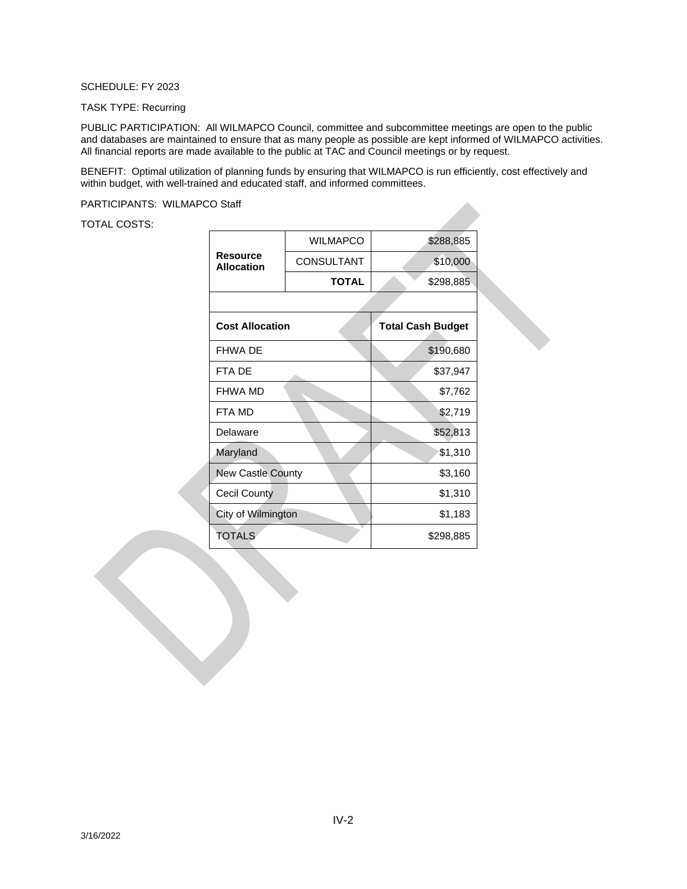#### SCHEDULE: FY 2023

#### TASK TYPE: Recurring

PUBLIC PARTICIPATION: All WILMAPCO Council, committee and subcommittee meetings are open to the public and databases are maintained to ensure that as many people as possible are kept informed of WILMAPCO activities. All financial reports are made available to the public at TAC and Council meetings or by request.

BENEFIT: Optimal utilization of planning funds by ensuring that WILMAPCO is run efficiently, cost effectively and within budget, with well-trained and educated staff, and informed committees.

PARTICIPANTS: WILMAPCO Staff

#### TOTAL COSTS:

| <b>Resource</b><br><b>Allocation</b> | <b>WILMAPCO</b>   | \$288,885                |
|--------------------------------------|-------------------|--------------------------|
|                                      | <b>CONSULTANT</b> | \$10,000                 |
|                                      | <b>TOTAL</b>      | \$298,885                |
|                                      |                   |                          |
| <b>Cost Allocation</b>               |                   | <b>Total Cash Budget</b> |
| <b>FHWA DF</b>                       |                   | \$190,680                |
| FTA DF                               |                   | \$37,947                 |
| FHWA MD                              |                   | \$7,762                  |
| FTA MD                               |                   | \$2,719                  |
| Delaware                             |                   | \$52,813                 |
| Maryland                             |                   | \$1,310                  |
| <b>New Castle County</b>             |                   | \$3,160                  |
| <b>Cecil County</b>                  |                   | \$1,310                  |
| City of Wilmington                   |                   | \$1,183                  |
| <b>TOTALS</b>                        |                   | \$298,885                |
|                                      |                   |                          |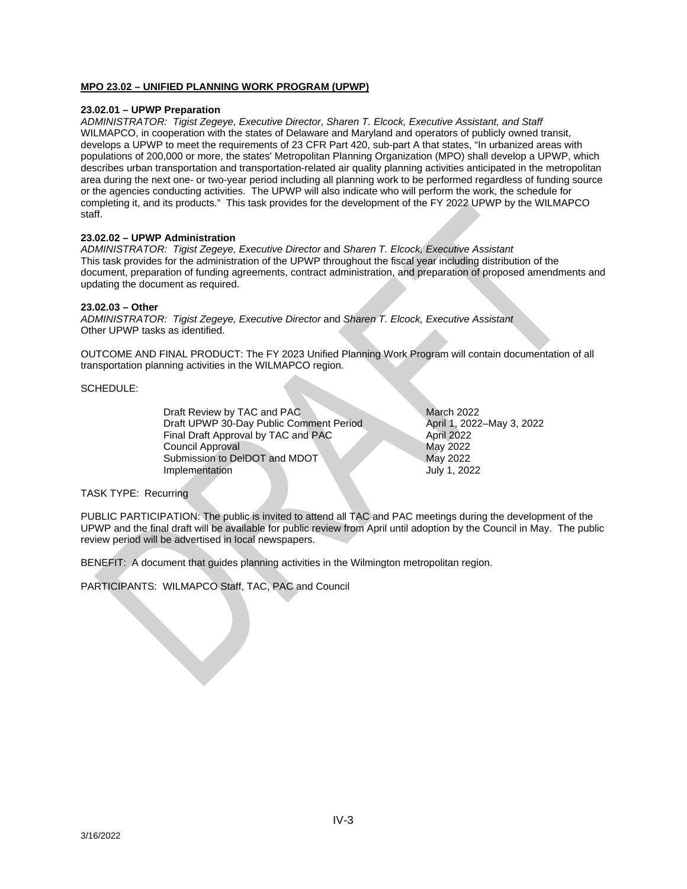#### **MPO 23.02 – UNIFIED PLANNING WORK PROGRAM (UPWP)**

#### **23.02.01 – UPWP Preparation**

*ADMINISTRATOR: Tigist Zegeye, Executive Director*, *Sharen T. Elcock, Executive Assistant, and Staff* WILMAPCO, in cooperation with the states of Delaware and Maryland and operators of publicly owned transit, develops a UPWP to meet the requirements of 23 CFR Part 420, sub-part A that states, "In urbanized areas with populations of 200,000 or more, the states' Metropolitan Planning Organization (MPO) shall develop a UPWP, which describes urban transportation and transportation-related air quality planning activities anticipated in the metropolitan area during the next one- or two-year period including all planning work to be performed regardless of funding source or the agencies conducting activities. The UPWP will also indicate who will perform the work, the schedule for completing it, and its products." This task provides for the development of the FY 2022 UPWP by the WILMAPCO staff.

#### **23.02.02 – UPWP Administration**

*ADMINISTRATOR: Tigist Zegeye, Executive Director* and *Sharen T. Elcock, Executive Assistant* This task provides for the administration of the UPWP throughout the fiscal year including distribution of the document, preparation of funding agreements, contract administration, and preparation of proposed amendments and updating the document as required.

#### **23.02.03 – Other**

*ADMINISTRATOR: Tigist Zegeye, Executive Director* and *Sharen T. Elcock, Executive Assistant* Other UPWP tasks as identified.

OUTCOME AND FINAL PRODUCT: The FY 2023 Unified Planning Work Program will contain documentation of all transportation planning activities in the WILMAPCO region.

SCHEDULE:

Draft Review by TAC and PAC March 2022 Draft UPWP 30-Day Public Comment Period April 1, 2022–May 3, 2022 Final Draft Approval by TAC and PAC April 2022 Council Approval May 2022 Submission to DelDOT and MDOT May 2022 Implementation July 1, 2022

TASK TYPE: Recurring

PUBLIC PARTICIPATION: The public is invited to attend all TAC and PAC meetings during the development of the UPWP and the final draft will be available for public review from April until adoption by the Council in May. The public review period will be advertised in local newspapers.

BENEFIT: A document that guides planning activities in the Wilmington metropolitan region.

PARTICIPANTS: WILMAPCO Staff, TAC, PAC and Council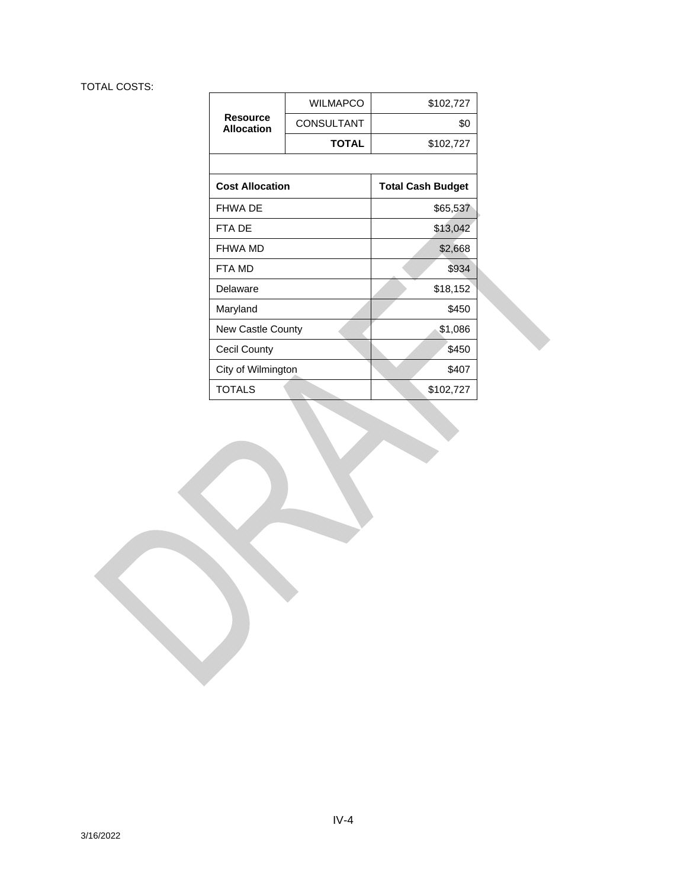### TOTAL COSTS:

|                               | <b>WILMAPCO</b> | \$102,727                |
|-------------------------------|-----------------|--------------------------|
| <b>Resource</b><br>Allocation | CONSULTANT      | \$0                      |
|                               | <b>TOTAL</b>    | \$102,727                |
|                               |                 |                          |
| <b>Cost Allocation</b>        |                 | <b>Total Cash Budget</b> |
| <b>FHWA DF</b>                |                 | \$65,537                 |
| FTA DE                        |                 | \$13,042                 |
| FHWA MD                       |                 | \$2,668                  |
| FTA MD                        |                 | \$934                    |
| Delaware                      |                 | \$18,152                 |
| Maryland                      |                 | \$450                    |
| <b>New Castle County</b>      |                 | \$1,086                  |
| <b>Cecil County</b>           |                 | \$450                    |
| City of Wilmington            |                 | \$407                    |
| TOTALS                        |                 | \$102,727                |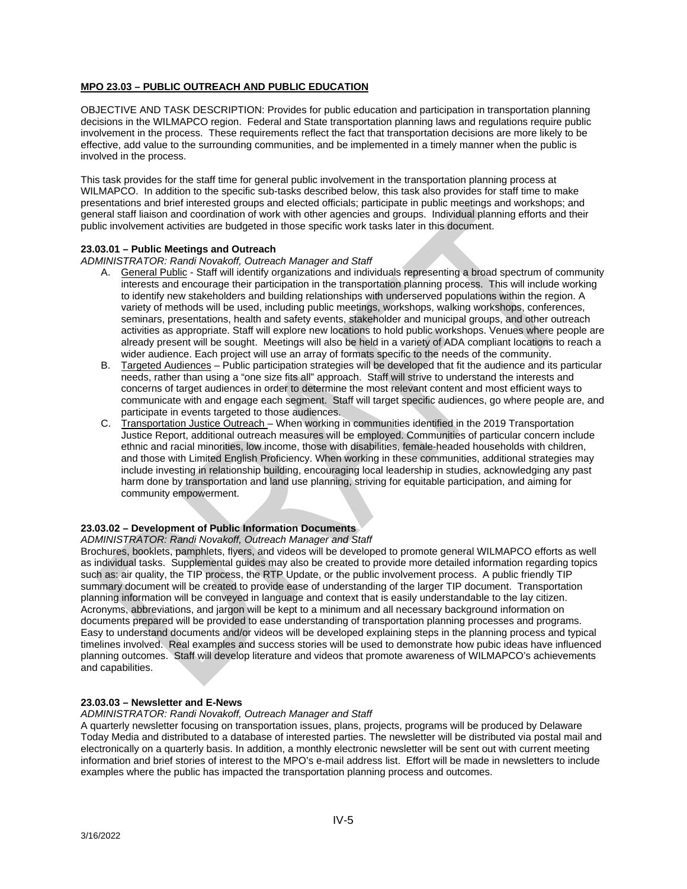#### **MPO 23.03 – PUBLIC OUTREACH AND PUBLIC EDUCATION**

OBJECTIVE AND TASK DESCRIPTION: Provides for public education and participation in transportation planning decisions in the WILMAPCO region. Federal and State transportation planning laws and regulations require public involvement in the process. These requirements reflect the fact that transportation decisions are more likely to be effective, add value to the surrounding communities, and be implemented in a timely manner when the public is involved in the process.

This task provides for the staff time for general public involvement in the transportation planning process at WILMAPCO. In addition to the specific sub-tasks described below, this task also provides for staff time to make presentations and brief interested groups and elected officials; participate in public meetings and workshops; and general staff liaison and coordination of work with other agencies and groups. Individual planning efforts and their public involvement activities are budgeted in those specific work tasks later in this document.

#### **23.03.01 – Public Meetings and Outreach**

*ADMINISTRATOR: Randi Novakoff, Outreach Manager and Staff* 

- A. General Public Staff will identify organizations and individuals representing a broad spectrum of community interests and encourage their participation in the transportation planning process. This will include working to identify new stakeholders and building relationships with underserved populations within the region. A variety of methods will be used, including public meetings, workshops, walking workshops, conferences, seminars, presentations, health and safety events, stakeholder and municipal groups, and other outreach activities as appropriate. Staff will explore new locations to hold public workshops. Venues where people are already present will be sought. Meetings will also be held in a variety of ADA compliant locations to reach a wider audience. Each project will use an array of formats specific to the needs of the community.
- B. Targeted Audiences Public participation strategies will be developed that fit the audience and its particular needs, rather than using a "one size fits all" approach. Staff will strive to understand the interests and concerns of target audiences in order to determine the most relevant content and most efficient ways to communicate with and engage each segment. Staff will target specific audiences, go where people are, and participate in events targeted to those audiences.
- C. Transportation Justice Outreach When working in communities identified in the 2019 Transportation Justice Report, additional outreach measures will be employed. Communities of particular concern include ethnic and racial minorities, low income, those with disabilities, female-headed households with children, and those with Limited English Proficiency. When working in these communities, additional strategies may include investing in relationship building, encouraging local leadership in studies, acknowledging any past harm done by transportation and land use planning, striving for equitable participation, and aiming for community empowerment.

#### **23.03.02 – Development of Public Information Documents**

*ADMINISTRATOR: Randi Novakoff, Outreach Manager and Staff* 

Brochures, booklets, pamphlets, flyers, and videos will be developed to promote general WILMAPCO efforts as well as individual tasks. Supplemental guides may also be created to provide more detailed information regarding topics such as: air quality, the TIP process, the RTP Update, or the public involvement process. A public friendly TIP summary document will be created to provide ease of understanding of the larger TIP document. Transportation planning information will be conveyed in language and context that is easily understandable to the lay citizen. Acronyms, abbreviations, and jargon will be kept to a minimum and all necessary background information on documents prepared will be provided to ease understanding of transportation planning processes and programs. Easy to understand documents and/or videos will be developed explaining steps in the planning process and typical timelines involved. Real examples and success stories will be used to demonstrate how pubic ideas have influenced planning outcomes. Staff will develop literature and videos that promote awareness of WILMAPCO's achievements and capabilities.

#### **23.03.03 – Newsletter and E-News**

#### *ADMINISTRATOR: Randi Novakoff, Outreach Manager and Staff*

A quarterly newsletter focusing on transportation issues, plans, projects, programs will be produced by Delaware Today Media and distributed to a database of interested parties. The newsletter will be distributed via postal mail and electronically on a quarterly basis. In addition, a monthly electronic newsletter will be sent out with current meeting information and brief stories of interest to the MPO's e-mail address list. Effort will be made in newsletters to include examples where the public has impacted the transportation planning process and outcomes.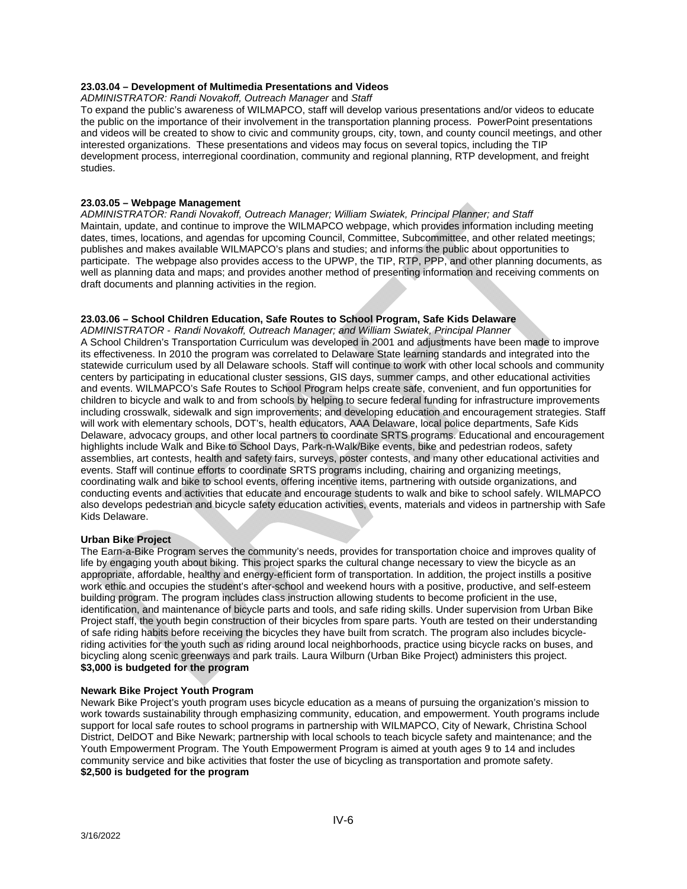#### **23.03.04 – Development of Multimedia Presentations and Videos**

#### *ADMINISTRATOR: Randi Novakoff, Outreach Manager* and *Staff*

To expand the public's awareness of WILMAPCO, staff will develop various presentations and/or videos to educate the public on the importance of their involvement in the transportation planning process. PowerPoint presentations and videos will be created to show to civic and community groups, city, town, and county council meetings, and other interested organizations. These presentations and videos may focus on several topics, including the TIP development process, interregional coordination, community and regional planning, RTP development, and freight studies.

#### **23.03.05 – Webpage Management**

*ADMINISTRATOR: Randi Novakoff, Outreach Manager; William Swiatek, Principal Planner; and Staff*  Maintain, update, and continue to improve the WILMAPCO webpage, which provides information including meeting dates, times, locations, and agendas for upcoming Council, Committee, Subcommittee, and other related meetings; publishes and makes available WILMAPCO's plans and studies; and informs the public about opportunities to participate. The webpage also provides access to the UPWP, the TIP, RTP, PPP, and other planning documents, as well as planning data and maps; and provides another method of presenting information and receiving comments on draft documents and planning activities in the region.

#### **23.03.06 – School Children Education, Safe Routes to School Program, Safe Kids Delaware**

*ADMINISTRATOR - Randi Novakoff, Outreach Manager; and William Swiatek, Principal Planner*  A School Children's Transportation Curriculum was developed in 2001 and adjustments have been made to improve its effectiveness. In 2010 the program was correlated to Delaware State learning standards and integrated into the statewide curriculum used by all Delaware schools. Staff will continue to work with other local schools and community centers by participating in educational cluster sessions, GIS days, summer camps, and other educational activities and events. WILMAPCO's Safe Routes to School Program helps create safe, convenient, and fun opportunities for children to bicycle and walk to and from schools by helping to secure federal funding for infrastructure improvements including crosswalk, sidewalk and sign improvements; and developing education and encouragement strategies. Staff will work with elementary schools, DOT's, health educators, AAA Delaware, local police departments, Safe Kids Delaware, advocacy groups, and other local partners to coordinate SRTS programs. Educational and encouragement highlights include Walk and Bike to School Days, Park-n-Walk/Bike events, bike and pedestrian rodeos, safety assemblies, art contests, health and safety fairs, surveys, poster contests, and many other educational activities and events. Staff will continue efforts to coordinate SRTS programs including, chairing and organizing meetings, coordinating walk and bike to school events, offering incentive items, partnering with outside organizations, and conducting events and activities that educate and encourage students to walk and bike to school safely. WILMAPCO also develops pedestrian and bicycle safety education activities, events, materials and videos in partnership with Safe Kids Delaware.

#### **Urban Bike Project**

The Earn-a-Bike Program serves the community's needs, provides for transportation choice and improves quality of life by engaging youth about biking. This project sparks the cultural change necessary to view the bicycle as an appropriate, affordable, healthy and energy-efficient form of transportation. In addition, the project instills a positive work ethic and occupies the student's after-school and weekend hours with a positive, productive, and self-esteem building program. The program includes class instruction allowing students to become proficient in the use, identification, and maintenance of bicycle parts and tools, and safe riding skills. Under supervision from Urban Bike Project staff, the youth begin construction of their bicycles from spare parts. Youth are tested on their understanding of safe riding habits before receiving the bicycles they have built from scratch. The program also includes bicycleriding activities for the youth such as riding around local neighborhoods, practice using bicycle racks on buses, and bicycling along scenic greenways and park trails. Laura Wilburn (Urban Bike Project) administers this project. **\$3,000 is budgeted for the program** 

#### **Newark Bike Project Youth Program**

Newark Bike Project's youth program uses bicycle education as a means of pursuing the organization's mission to work towards sustainability through emphasizing community, education, and empowerment. Youth programs include support for local safe routes to school programs in partnership with WILMAPCO, City of Newark, Christina School District, DelDOT and Bike Newark; partnership with local schools to teach bicycle safety and maintenance; and the Youth Empowerment Program. The Youth Empowerment Program is aimed at youth ages 9 to 14 and includes community service and bike activities that foster the use of bicycling as transportation and promote safety. **\$2,500 is budgeted for the program**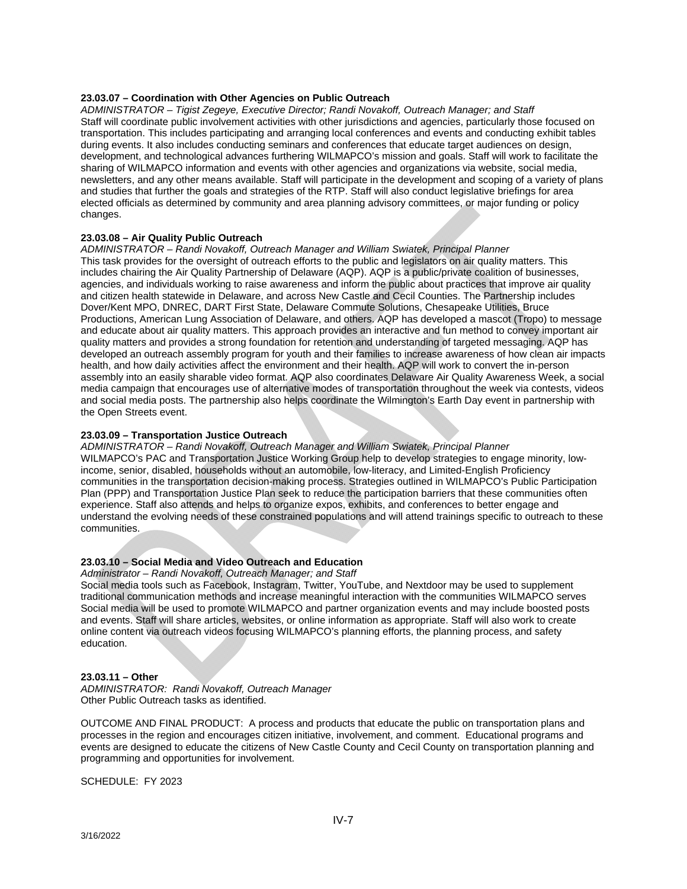#### **23.03.07 – Coordination with Other Agencies on Public Outreach**

*ADMINISTRATOR – Tigist Zegeye, Executive Director; Randi Novakoff, Outreach Manager; and Staff*  Staff will coordinate public involvement activities with other jurisdictions and agencies, particularly those focused on transportation. This includes participating and arranging local conferences and events and conducting exhibit tables during events. It also includes conducting seminars and conferences that educate target audiences on design, development, and technological advances furthering WILMAPCO's mission and goals. Staff will work to facilitate the sharing of WILMAPCO information and events with other agencies and organizations via website, social media, newsletters, and any other means available. Staff will participate in the development and scoping of a variety of plans and studies that further the goals and strategies of the RTP. Staff will also conduct legislative briefings for area elected officials as determined by community and area planning advisory committees, or major funding or policy changes.

#### **23.03.08 – Air Quality Public Outreach**

*ADMINISTRATOR – Randi Novakoff, Outreach Manager and William Swiatek, Principal Planner*  This task provides for the oversight of outreach efforts to the public and legislators on air quality matters. This includes chairing the Air Quality Partnership of Delaware (AQP). AQP is a public/private coalition of businesses, agencies, and individuals working to raise awareness and inform the public about practices that improve air quality and citizen health statewide in Delaware, and across New Castle and Cecil Counties. The Partnership includes Dover/Kent MPO, DNREC, DART First State, Delaware Commute Solutions, Chesapeake Utilities, Bruce Productions, American Lung Association of Delaware, and others. AQP has developed a mascot (Tropo) to message and educate about air quality matters. This approach provides an interactive and fun method to convey important air quality matters and provides a strong foundation for retention and understanding of targeted messaging. AQP has developed an outreach assembly program for youth and their families to increase awareness of how clean air impacts health, and how daily activities affect the environment and their health. AQP will work to convert the in-person assembly into an easily sharable video format. AQP also coordinates Delaware Air Quality Awareness Week, a social media campaign that encourages use of alternative modes of transportation throughout the week via contests, videos and social media posts. The partnership also helps coordinate the Wilmington's Earth Day event in partnership with the Open Streets event.

#### **23.03.09 – Transportation Justice Outreach**

*ADMINISTRATOR – Randi Novakoff, Outreach Manager and William Swiatek, Principal Planner*  WILMAPCO's PAC and Transportation Justice Working Group help to develop strategies to engage minority, lowincome, senior, disabled, households without an automobile, low-literacy, and Limited-English Proficiency communities in the transportation decision-making process. Strategies outlined in WILMAPCO's Public Participation Plan (PPP) and Transportation Justice Plan seek to reduce the participation barriers that these communities often experience. Staff also attends and helps to organize expos, exhibits, and conferences to better engage and understand the evolving needs of these constrained populations and will attend trainings specific to outreach to these communities.

#### **23.03.10 – Social Media and Video Outreach and Education**

*Administrator – Randi Novakoff, Outreach Manager; and Staff* 

Social media tools such as Facebook, Instagram, Twitter, YouTube, and Nextdoor may be used to supplement traditional communication methods and increase meaningful interaction with the communities WILMAPCO serves Social media will be used to promote WILMAPCO and partner organization events and may include boosted posts and events. Staff will share articles, websites, or online information as appropriate. Staff will also work to create online content via outreach videos focusing WILMAPCO's planning efforts, the planning process, and safety education.

#### **23.03.11 – Other**

*ADMINISTRATOR: Randi Novakoff, Outreach Manager* Other Public Outreach tasks as identified.

OUTCOME AND FINAL PRODUCT: A process and products that educate the public on transportation plans and processes in the region and encourages citizen initiative, involvement, and comment. Educational programs and events are designed to educate the citizens of New Castle County and Cecil County on transportation planning and programming and opportunities for involvement.

SCHEDULE: FY 2023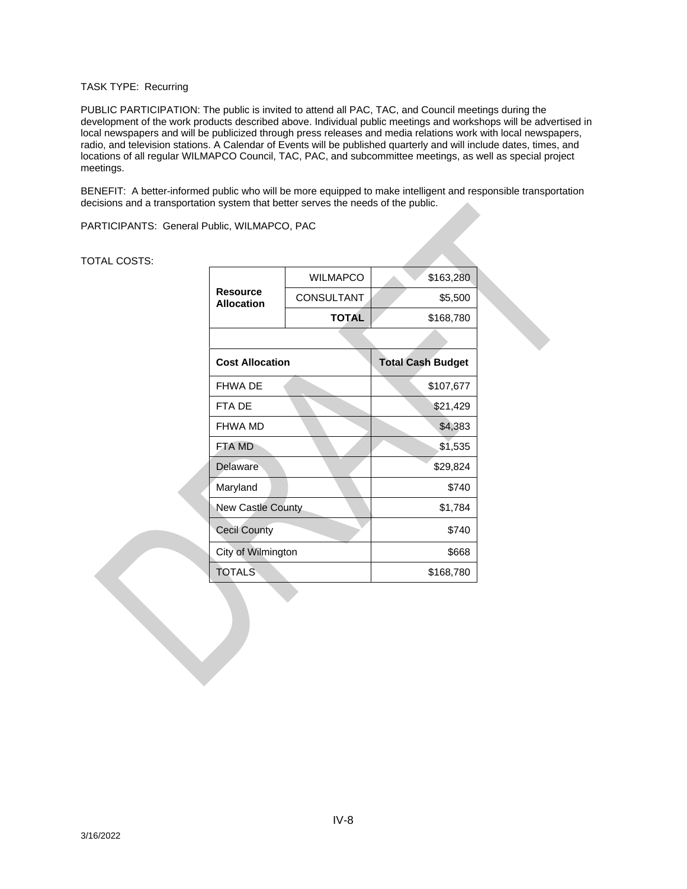#### TASK TYPE: Recurring

PUBLIC PARTICIPATION: The public is invited to attend all PAC, TAC, and Council meetings during the development of the work products described above. Individual public meetings and workshops will be advertised in local newspapers and will be publicized through press releases and media relations work with local newspapers, radio, and television stations. A Calendar of Events will be published quarterly and will include dates, times, and locations of all regular WILMAPCO Council, TAC, PAC, and subcommittee meetings, as well as special project meetings.

BENEFIT: A better-informed public who will be more equipped to make intelligent and responsible transportation decisions and a transportation system that better serves the needs of the public.

PARTICIPANTS: General Public, WILMAPCO, PAC

#### TOTAL COSTS:

|                               | <b>WILMAPCO</b>   | \$163,280                |
|-------------------------------|-------------------|--------------------------|
| Resource<br><b>Allocation</b> | <b>CONSULTANT</b> | \$5,500                  |
|                               | <b>TOTAL</b>      | \$168,780                |
|                               |                   |                          |
| <b>Cost Allocation</b>        |                   | <b>Total Cash Budget</b> |
| <b>FHWA DE</b>                |                   | \$107,677                |
| FTA DE                        |                   | \$21,429                 |
| FHWA MD                       |                   | \$4,383                  |
| <b>FTA MD</b>                 |                   | \$1,535                  |
| Delaware                      |                   | \$29,824                 |
| Maryland                      |                   | \$740                    |
| <b>New Castle County</b>      |                   | \$1,784                  |
| <b>Cecil County</b>           |                   | \$740                    |
| City of Wilmington            |                   | \$668                    |
| <b>TOTALS</b>                 |                   | \$168,780                |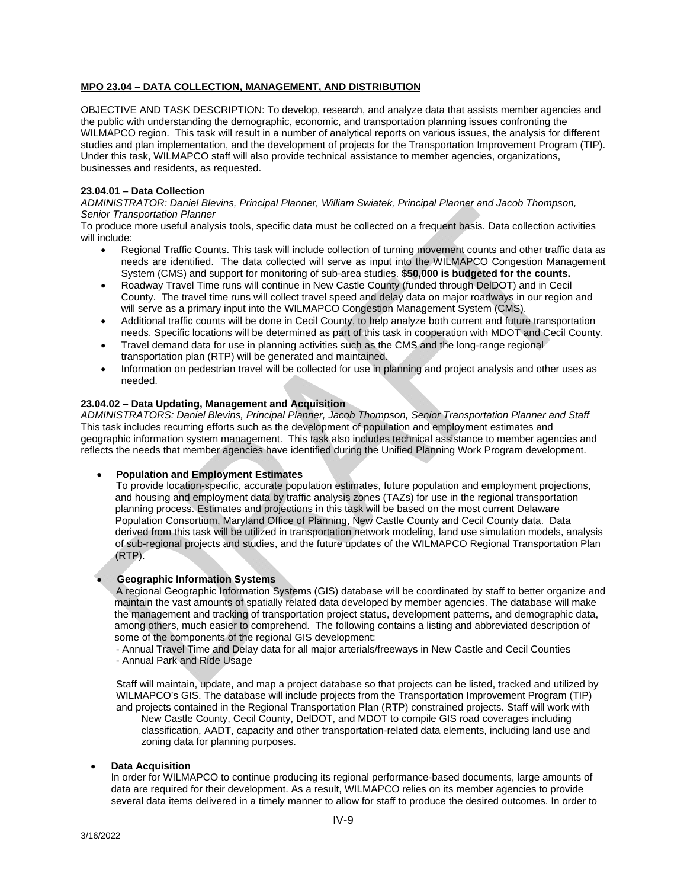#### **MPO 23.04 – DATA COLLECTION, MANAGEMENT, AND DISTRIBUTION**

OBJECTIVE AND TASK DESCRIPTION: To develop, research, and analyze data that assists member agencies and the public with understanding the demographic, economic, and transportation planning issues confronting the WILMAPCO region. This task will result in a number of analytical reports on various issues, the analysis for different studies and plan implementation, and the development of projects for the Transportation Improvement Program (TIP). Under this task, WILMAPCO staff will also provide technical assistance to member agencies, organizations, businesses and residents, as requested.

#### **23.04.01 – Data Collection**

*ADMINISTRATOR: Daniel Blevins, Principal Planner, William Swiatek, Principal Planner and Jacob Thompson, Senior Transportation Planner* 

To produce more useful analysis tools, specific data must be collected on a frequent basis. Data collection activities will include:

- Regional Traffic Counts. This task will include collection of turning movement counts and other traffic data as needs are identified. The data collected will serve as input into the WILMAPCO Congestion Management System (CMS) and support for monitoring of sub-area studies. **\$50,000 is budgeted for the counts.**
- Roadway Travel Time runs will continue in New Castle County (funded through DelDOT) and in Cecil County. The travel time runs will collect travel speed and delay data on major roadways in our region and will serve as a primary input into the WILMAPCO Congestion Management System (CMS).
- Additional traffic counts will be done in Cecil County, to help analyze both current and future transportation needs. Specific locations will be determined as part of this task in cooperation with MDOT and Cecil County.
- Travel demand data for use in planning activities such as the CMS and the long-range regional transportation plan (RTP) will be generated and maintained.
- Information on pedestrian travel will be collected for use in planning and project analysis and other uses as needed.

#### **23.04.02 – Data Updating, Management and Acquisition**

*ADMINISTRATORS: Daniel Blevins, Principal Planner, Jacob Thompson, Senior Transportation Planner and Staff*  This task includes recurring efforts such as the development of population and employment estimates and geographic information system management. This task also includes technical assistance to member agencies and reflects the needs that member agencies have identified during the Unified Planning Work Program development.

#### **Population and Employment Estimates**

To provide location-specific, accurate population estimates, future population and employment projections, and housing and employment data by traffic analysis zones (TAZs) for use in the regional transportation planning process. Estimates and projections in this task will be based on the most current Delaware Population Consortium, Maryland Office of Planning, New Castle County and Cecil County data. Data derived from this task will be utilized in transportation network modeling, land use simulation models, analysis of sub-regional projects and studies, and the future updates of the WILMAPCO Regional Transportation Plan (RTP).

#### **Geographic Information Systems**

A regional Geographic Information Systems (GIS) database will be coordinated by staff to better organize and maintain the vast amounts of spatially related data developed by member agencies. The database will make the management and tracking of transportation project status, development patterns, and demographic data, among others, much easier to comprehend. The following contains a listing and abbreviated description of some of the components of the regional GIS development:

- Annual Travel Time and Delay data for all major arterials/freeways in New Castle and Cecil Counties

- Annual Park and Ride Usage

Staff will maintain, update, and map a project database so that projects can be listed, tracked and utilized by WILMAPCO's GIS. The database will include projects from the Transportation Improvement Program (TIP) and projects contained in the Regional Transportation Plan (RTP) constrained projects. Staff will work with

New Castle County, Cecil County, DelDOT, and MDOT to compile GIS road coverages including classification, AADT, capacity and other transportation-related data elements, including land use and zoning data for planning purposes.

#### **Data Acquisition**

In order for WILMAPCO to continue producing its regional performance-based documents, large amounts of data are required for their development. As a result, WILMAPCO relies on its member agencies to provide several data items delivered in a timely manner to allow for staff to produce the desired outcomes. In order to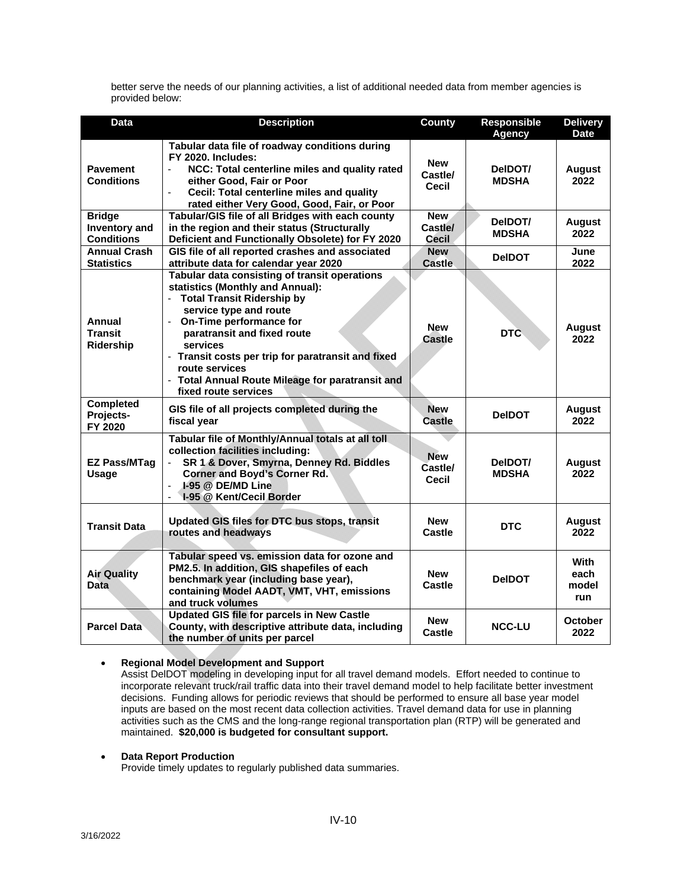better serve the needs of our planning activities, a list of additional needed data from member agencies is provided below:

| <b>Data</b>                                                | <b>Description</b>                                                                                                                                                                                                                                                                                                                                                               | <b>County</b>                         | <b>Responsible</b><br><b>Agency</b> | <b>Delivery</b><br><b>Date</b> |
|------------------------------------------------------------|----------------------------------------------------------------------------------------------------------------------------------------------------------------------------------------------------------------------------------------------------------------------------------------------------------------------------------------------------------------------------------|---------------------------------------|-------------------------------------|--------------------------------|
| <b>Pavement</b><br><b>Conditions</b>                       | Tabular data file of roadway conditions during<br>FY 2020. Includes:<br>NCC: Total centerline miles and quality rated<br>either Good, Fair or Poor<br>Cecil: Total centerline miles and quality<br>ä,<br>rated either Very Good, Good, Fair, or Poor                                                                                                                             | <b>New</b><br>Castle/<br><b>Cecil</b> | DelDOT/<br><b>MDSHA</b>             | <b>August</b><br>2022          |
| <b>Bridge</b><br><b>Inventory</b> and<br><b>Conditions</b> | Tabular/GIS file of all Bridges with each county<br>in the region and their status (Structurally<br>Deficient and Functionally Obsolete) for FY 2020                                                                                                                                                                                                                             | <b>New</b><br>Castle/<br><b>Cecil</b> | DelDOT/<br><b>MDSHA</b>             | <b>August</b><br>2022          |
| <b>Annual Crash</b><br><b>Statistics</b>                   | GIS file of all reported crashes and associated<br>attribute data for calendar year 2020                                                                                                                                                                                                                                                                                         | <b>New</b><br><b>Castle</b>           | <b>DeIDOT</b>                       | June<br>2022                   |
| Annual<br><b>Transit</b><br>Ridership                      | Tabular data consisting of transit operations<br>statistics (Monthly and Annual):<br><b>Total Transit Ridership by</b><br>service type and route<br>On-Time performance for<br>ä,<br>paratransit and fixed route<br>services<br>- Transit costs per trip for paratransit and fixed<br>route services<br>- Total Annual Route Mileage for paratransit and<br>fixed route services | <b>New</b><br>Castle                  | <b>DTC</b>                          | <b>August</b><br>2022          |
| <b>Completed</b><br>Projects-<br>FY 2020                   | GIS file of all projects completed during the<br>fiscal year                                                                                                                                                                                                                                                                                                                     | <b>New</b><br><b>Castle</b>           | <b>DeIDOT</b>                       | <b>August</b><br>2022          |
| <b>EZ Pass/MTag</b><br>Usage                               | Tabular file of Monthly/Annual totals at all toll<br>collection facilities including:<br>SR 1 & Dover, Smyrna, Denney Rd. Biddles<br>Corner and Boyd's Corner Rd.<br>I-95 @ DE/MD Line<br>÷,<br>1-95 @ Kent/Cecil Border<br>÷,                                                                                                                                                   | <b>New</b><br>Castle/<br>Cecil        | DelDOT/<br><b>MDSHA</b>             | <b>August</b><br>2022          |
| <b>Transit Data</b>                                        | Updated GIS files for DTC bus stops, transit<br>routes and headways                                                                                                                                                                                                                                                                                                              | <b>New</b><br>Castle                  | <b>DTC</b>                          | <b>August</b><br>2022          |
| <b>Air Quality</b><br><b>Data</b>                          | Tabular speed vs. emission data for ozone and<br>PM2.5. In addition, GIS shapefiles of each<br>benchmark year (including base year),<br>containing Model AADT, VMT, VHT, emissions<br>and truck volumes                                                                                                                                                                          | <b>New</b><br>Castle                  | <b>DeIDOT</b>                       | With<br>each<br>model<br>run   |
| <b>Parcel Data</b>                                         | Updated GIS file for parcels in New Castle<br>County, with descriptive attribute data, including<br>the number of units per parcel                                                                                                                                                                                                                                               | <b>New</b><br>Castle                  | <b>NCC-LU</b>                       | <b>October</b><br>2022         |

#### **Regional Model Development and Support**

Assist DelDOT modeling in developing input for all travel demand models. Effort needed to continue to incorporate relevant truck/rail traffic data into their travel demand model to help facilitate better investment decisions. Funding allows for periodic reviews that should be performed to ensure all base year model inputs are based on the most recent data collection activities. Travel demand data for use in planning activities such as the CMS and the long-range regional transportation plan (RTP) will be generated and maintained. **\$20,000 is budgeted for consultant support.** 

#### **Data Report Production**

Provide timely updates to regularly published data summaries.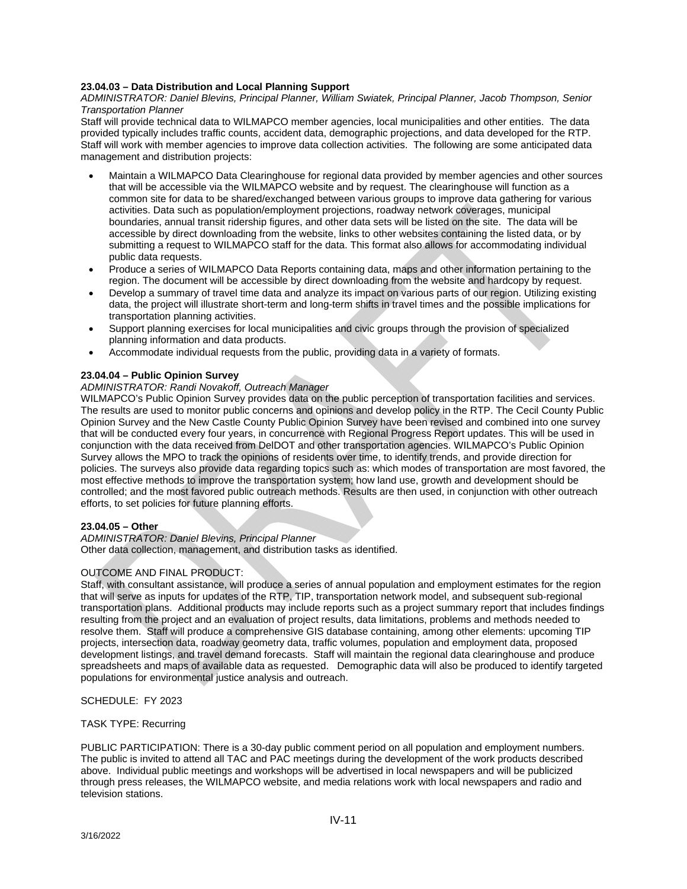#### **23.04.03 – Data Distribution and Local Planning Support**

*ADMINISTRATOR: Daniel Blevins, Principal Planner, William Swiatek, Principal Planner, Jacob Thompson, Senior Transportation Planner* 

Staff will provide technical data to WILMAPCO member agencies, local municipalities and other entities. The data provided typically includes traffic counts, accident data, demographic projections, and data developed for the RTP. Staff will work with member agencies to improve data collection activities. The following are some anticipated data management and distribution projects:

- Maintain a WILMAPCO Data Clearinghouse for regional data provided by member agencies and other sources that will be accessible via the WILMAPCO website and by request. The clearinghouse will function as a common site for data to be shared/exchanged between various groups to improve data gathering for various activities. Data such as population/employment projections, roadway network coverages, municipal boundaries, annual transit ridership figures, and other data sets will be listed on the site. The data will be accessible by direct downloading from the website, links to other websites containing the listed data, or by submitting a request to WILMAPCO staff for the data. This format also allows for accommodating individual public data requests.
- Produce a series of WILMAPCO Data Reports containing data, maps and other information pertaining to the region. The document will be accessible by direct downloading from the website and hardcopy by request.
- Develop a summary of travel time data and analyze its impact on various parts of our region. Utilizing existing data, the project will illustrate short-term and long-term shifts in travel times and the possible implications for transportation planning activities.
- Support planning exercises for local municipalities and civic groups through the provision of specialized planning information and data products.
- Accommodate individual requests from the public, providing data in a variety of formats.

#### **23.04.04 – Public Opinion Survey**

#### *ADMINISTRATOR: Randi Novakoff, Outreach Manager*

WILMAPCO's Public Opinion Survey provides data on the public perception of transportation facilities and services. The results are used to monitor public concerns and opinions and develop policy in the RTP. The Cecil County Public Opinion Survey and the New Castle County Public Opinion Survey have been revised and combined into one survey that will be conducted every four years, in concurrence with Regional Progress Report updates. This will be used in conjunction with the data received from DelDOT and other transportation agencies. WILMAPCO's Public Opinion Survey allows the MPO to track the opinions of residents over time, to identify trends, and provide direction for policies. The surveys also provide data regarding topics such as: which modes of transportation are most favored, the most effective methods to improve the transportation system; how land use, growth and development should be controlled; and the most favored public outreach methods. Results are then used, in conjunction with other outreach efforts, to set policies for future planning efforts.

#### **23.04.05 – Other**

*ADMINISTRATOR: Daniel Blevins, Principal Planner* Other data collection, management, and distribution tasks as identified.

#### OUTCOME AND FINAL PRODUCT:

Staff, with consultant assistance, will produce a series of annual population and employment estimates for the region that will serve as inputs for updates of the RTP, TIP, transportation network model, and subsequent sub-regional transportation plans. Additional products may include reports such as a project summary report that includes findings resulting from the project and an evaluation of project results, data limitations, problems and methods needed to resolve them. Staff will produce a comprehensive GIS database containing, among other elements: upcoming TIP projects, intersection data, roadway geometry data, traffic volumes, population and employment data, proposed development listings, and travel demand forecasts. Staff will maintain the regional data clearinghouse and produce spreadsheets and maps of available data as requested. Demographic data will also be produced to identify targeted populations for environmental justice analysis and outreach.

SCHEDULE: FY 2023

#### TASK TYPE: Recurring

PUBLIC PARTICIPATION: There is a 30-day public comment period on all population and employment numbers. The public is invited to attend all TAC and PAC meetings during the development of the work products described above. Individual public meetings and workshops will be advertised in local newspapers and will be publicized through press releases, the WILMAPCO website, and media relations work with local newspapers and radio and television stations.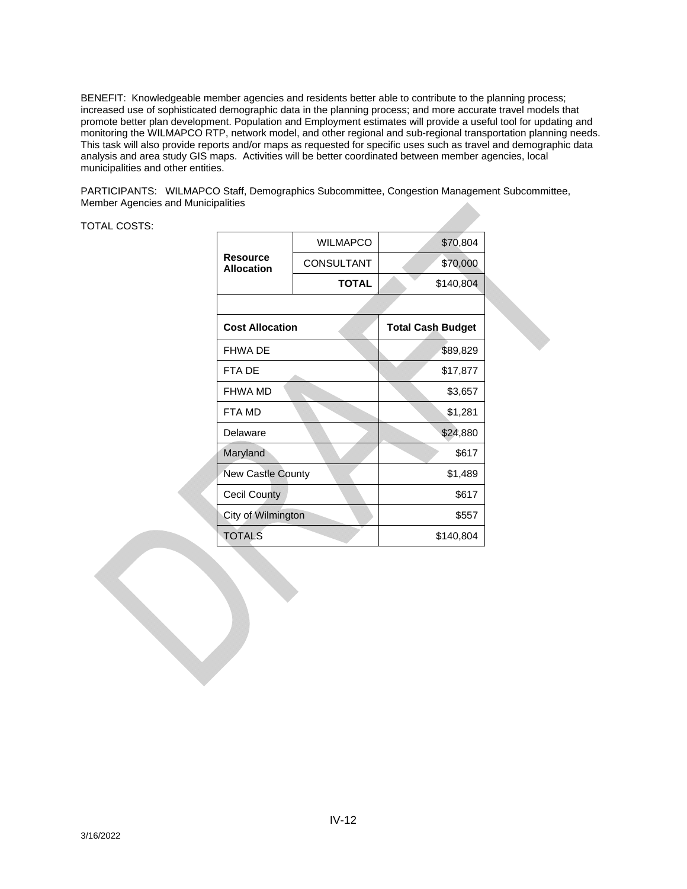BENEFIT: Knowledgeable member agencies and residents better able to contribute to the planning process; increased use of sophisticated demographic data in the planning process; and more accurate travel models that promote better plan development. Population and Employment estimates will provide a useful tool for updating and monitoring the WILMAPCO RTP, network model, and other regional and sub-regional transportation planning needs. This task will also provide reports and/or maps as requested for specific uses such as travel and demographic data analysis and area study GIS maps. Activities will be better coordinated between member agencies, local municipalities and other entities.

PARTICIPANTS: WILMAPCO Staff, Demographics Subcommittee, Congestion Management Subcommittee, Member Agencies and Municipalities

#### TOTAL COSTS:

|                                      | <b>WILMAPCO</b>          | \$70,804  |
|--------------------------------------|--------------------------|-----------|
| <b>Resource</b><br><b>Allocation</b> | <b>CONSULTANT</b>        | \$70,000  |
|                                      | <b>TOTAL</b>             | \$140,804 |
|                                      |                          |           |
| <b>Cost Allocation</b>               | <b>Total Cash Budget</b> |           |
| FHWA DF                              |                          | \$89,829  |
| FTA DE                               | \$17,877                 |           |
| FHWA MD                              |                          | \$3,657   |
| FTA MD                               |                          | \$1,281   |
| Delaware                             |                          | \$24,880  |
| Maryland                             |                          | \$617     |
| <b>New Castle County</b>             |                          | \$1,489   |
| <b>Cecil County</b>                  |                          | \$617     |
| City of Wilmington                   |                          | \$557     |
| <b>TOTALS</b>                        |                          | \$140,804 |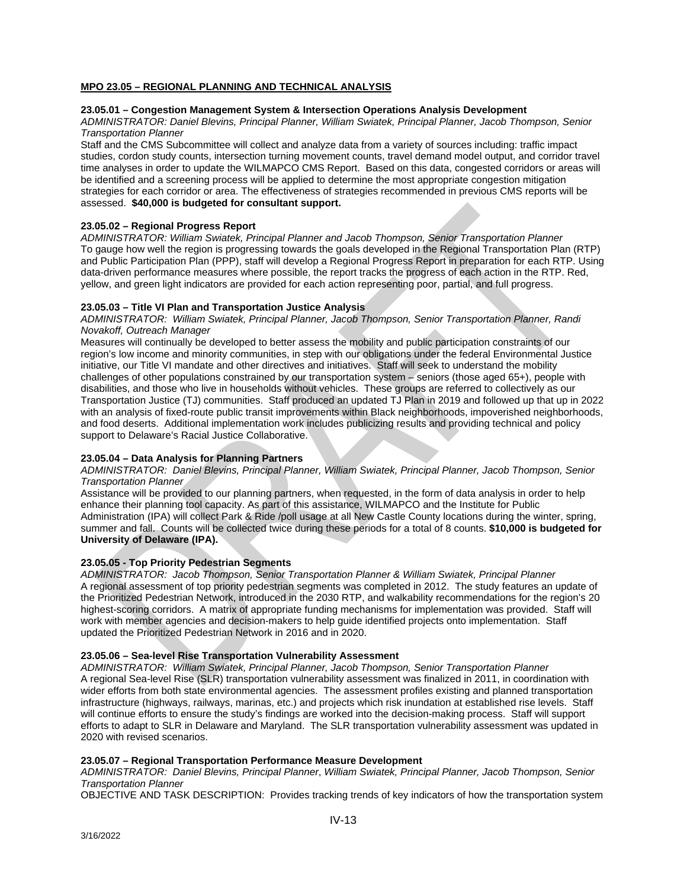#### **MPO 23.05 – REGIONAL PLANNING AND TECHNICAL ANALYSIS**

#### **23.05.01 – Congestion Management System & Intersection Operations Analysis Development**

*ADMINISTRATOR: Daniel Blevins, Principal Planner, William Swiatek, Principal Planner, Jacob Thompson, Senior Transportation Planner* 

Staff and the CMS Subcommittee will collect and analyze data from a variety of sources including: traffic impact studies, cordon study counts, intersection turning movement counts, travel demand model output, and corridor travel time analyses in order to update the WILMAPCO CMS Report. Based on this data, congested corridors or areas will be identified and a screening process will be applied to determine the most appropriate congestion mitigation strategies for each corridor or area. The effectiveness of strategies recommended in previous CMS reports will be assessed. **\$40,000 is budgeted for consultant support.**

#### **23.05.02 – Regional Progress Report**

*ADMINISTRATOR: William Swiatek, Principal Planner and Jacob Thompson, Senior Transportation Planner*  To gauge how well the region is progressing towards the goals developed in the Regional Transportation Plan (RTP) and Public Participation Plan (PPP), staff will develop a Regional Progress Report in preparation for each RTP. Using data-driven performance measures where possible, the report tracks the progress of each action in the RTP. Red, yellow, and green light indicators are provided for each action representing poor, partial, and full progress.

#### **23.05.03 – Title VI Plan and Transportation Justice Analysis**

*ADMINISTRATOR: William Swiatek, Principal Planner, Jacob Thompson, Senior Transportation Planner, Randi Novakoff, Outreach Manager*

Measures will continually be developed to better assess the mobility and public participation constraints of our region's low income and minority communities, in step with our obligations under the federal Environmental Justice initiative, our Title VI mandate and other directives and initiatives. Staff will seek to understand the mobility challenges of other populations constrained by our transportation system – seniors (those aged 65+), people with disabilities, and those who live in households without vehicles. These groups are referred to collectively as our Transportation Justice (TJ) communities. Staff produced an updated TJ Plan in 2019 and followed up that up in 2022 with an analysis of fixed-route public transit improvements within Black neighborhoods, impoverished neighborhoods, and food deserts. Additional implementation work includes publicizing results and providing technical and policy support to Delaware's Racial Justice Collaborative.

#### **23.05.04 – Data Analysis for Planning Partners**

*ADMINISTRATOR: Daniel Blevins, Principal Planner, William Swiatek, Principal Planner, Jacob Thompson, Senior Transportation Planner*

Assistance will be provided to our planning partners, when requested, in the form of data analysis in order to help enhance their planning tool capacity. As part of this assistance, WILMAPCO and the Institute for Public Administration (IPA) will collect Park & Ride /poll usage at all New Castle County locations during the winter, spring, summer and fall. Counts will be collected twice during these periods for a total of 8 counts. **\$10,000 is budgeted for University of Delaware (IPA).** 

#### **23.05.05 - Top Priority Pedestrian Segments**

*ADMINISTRATOR: Jacob Thompson, Senior Transportation Planner & William Swiatek, Principal Planner*  A regional assessment of top priority pedestrian segments was completed in 2012. The study features an update of the Prioritized Pedestrian Network, introduced in the 2030 RTP, and walkability recommendations for the region's 20 highest-scoring corridors. A matrix of appropriate funding mechanisms for implementation was provided. Staff will work with member agencies and decision-makers to help guide identified projects onto implementation. Staff updated the Prioritized Pedestrian Network in 2016 and in 2020.

#### **23.05.06 – Sea-level Rise Transportation Vulnerability Assessment**

*ADMINISTRATOR: William Swiatek, Principal Planner, Jacob Thompson, Senior Transportation Planner*  A regional Sea-level Rise (SLR) transportation vulnerability assessment was finalized in 2011, in coordination with wider efforts from both state environmental agencies. The assessment profiles existing and planned transportation infrastructure (highways, railways, marinas, etc.) and projects which risk inundation at established rise levels. Staff will continue efforts to ensure the study's findings are worked into the decision-making process. Staff will support efforts to adapt to SLR in Delaware and Maryland. The SLR transportation vulnerability assessment was updated in 2020 with revised scenarios.

#### **23.05.07 – Regional Transportation Performance Measure Development**

*ADMINISTRATOR: Daniel Blevins, Principal Planner*, *William Swiatek, Principal Planner, Jacob Thompson, Senior Transportation Planner*

OBJECTIVE AND TASK DESCRIPTION: Provides tracking trends of key indicators of how the transportation system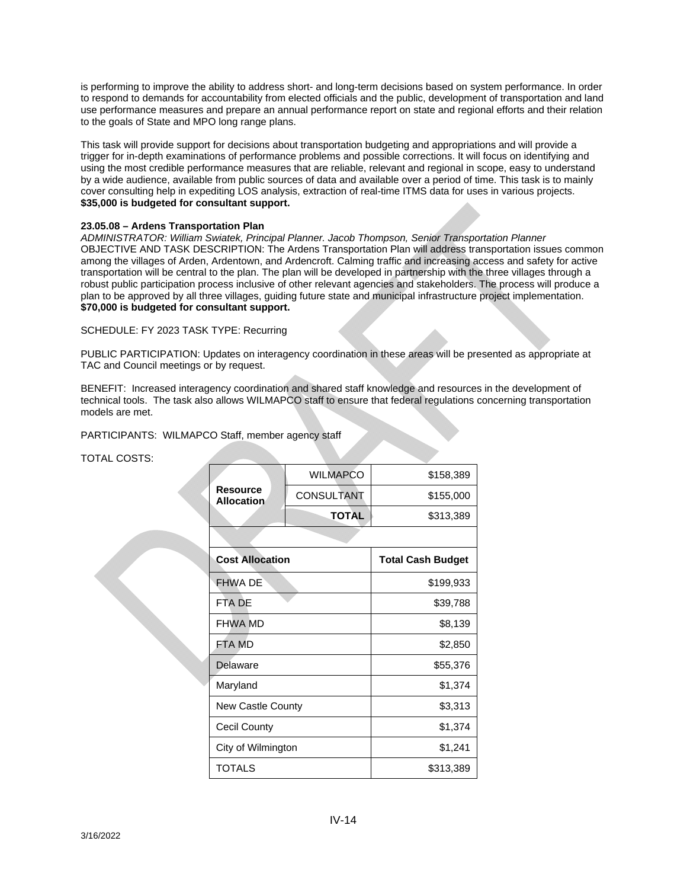is performing to improve the ability to address short- and long-term decisions based on system performance. In order to respond to demands for accountability from elected officials and the public, development of transportation and land use performance measures and prepare an annual performance report on state and regional efforts and their relation to the goals of State and MPO long range plans.

This task will provide support for decisions about transportation budgeting and appropriations and will provide a trigger for in-depth examinations of performance problems and possible corrections. It will focus on identifying and using the most credible performance measures that are reliable, relevant and regional in scope, easy to understand by a wide audience, available from public sources of data and available over a period of time. This task is to mainly cover consulting help in expediting LOS analysis, extraction of real-time ITMS data for uses in various projects. **\$35,000 is budgeted for consultant support.** 

#### **23.05.08 – Ardens Transportation Plan**

*ADMINISTRATOR: William Swiatek, Principal Planner. Jacob Thompson, Senior Transportation Planner*  OBJECTIVE AND TASK DESCRIPTION: The Ardens Transportation Plan will address transportation issues common among the villages of Arden, Ardentown, and Ardencroft. Calming traffic and increasing access and safety for active transportation will be central to the plan. The plan will be developed in partnership with the three villages through a robust public participation process inclusive of other relevant agencies and stakeholders. The process will produce a plan to be approved by all three villages, guiding future state and municipal infrastructure project implementation. **\$70,000 is budgeted for consultant support.** 

#### SCHEDULE: FY 2023 TASK TYPE: Recurring

PUBLIC PARTICIPATION: Updates on interagency coordination in these areas will be presented as appropriate at TAC and Council meetings or by request.

BENEFIT: Increased interagency coordination and shared staff knowledge and resources in the development of technical tools. The task also allows WILMAPCO staff to ensure that federal regulations concerning transportation models are met.

#### PARTICIPANTS: WILMAPCO Staff, member agency staff

#### TOTAL COSTS:

|                                      | <b>WII MAPCO</b> | \$158,389                |
|--------------------------------------|------------------|--------------------------|
| <b>Resource</b><br><b>Allocation</b> | CONSULTANT       | \$155,000                |
|                                      | <b>TOTAL</b>     | \$313,389                |
|                                      |                  |                          |
| <b>Cost Allocation</b>               |                  | <b>Total Cash Budget</b> |
| <b>FHWA DE</b>                       |                  | \$199,933                |
| <b>FTA DE</b>                        |                  | \$39,788                 |
| <b>FHWA MD</b>                       |                  | \$8,139                  |
| <b>FTA MD</b>                        |                  | \$2,850                  |
| Delaware                             |                  | \$55,376                 |
| Maryland                             |                  | \$1,374                  |
| New Castle County                    |                  | \$3,313                  |
| Cecil County                         |                  | \$1,374                  |
| City of Wilmington                   |                  | \$1,241                  |
| TOTALS                               |                  | \$313,389                |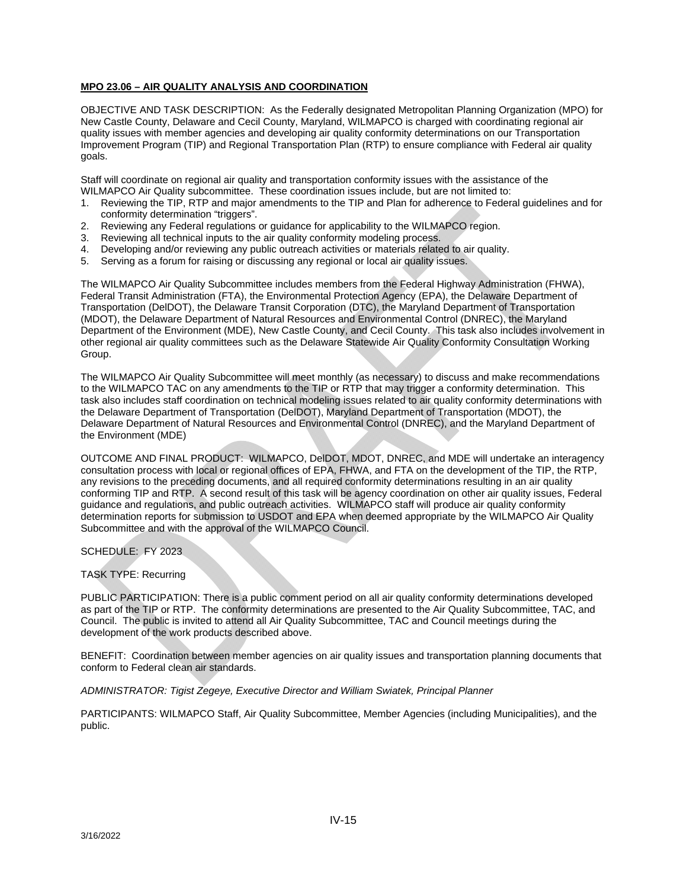#### **MPO 23.06 – AIR QUALITY ANALYSIS AND COORDINATION**

OBJECTIVE AND TASK DESCRIPTION: As the Federally designated Metropolitan Planning Organization (MPO) for New Castle County, Delaware and Cecil County, Maryland, WILMAPCO is charged with coordinating regional air quality issues with member agencies and developing air quality conformity determinations on our Transportation Improvement Program (TIP) and Regional Transportation Plan (RTP) to ensure compliance with Federal air quality goals.

Staff will coordinate on regional air quality and transportation conformity issues with the assistance of the WILMAPCO Air Quality subcommittee. These coordination issues include, but are not limited to:

- 1. Reviewing the TIP, RTP and major amendments to the TIP and Plan for adherence to Federal guidelines and for conformity determination "triggers".
- 2. Reviewing any Federal regulations or guidance for applicability to the WILMAPCO region.
- 3. Reviewing all technical inputs to the air quality conformity modeling process.
- 4. Developing and/or reviewing any public outreach activities or materials related to air quality.
- 5. Serving as a forum for raising or discussing any regional or local air quality issues.

The WILMAPCO Air Quality Subcommittee includes members from the Federal Highway Administration (FHWA), Federal Transit Administration (FTA), the Environmental Protection Agency (EPA), the Delaware Department of Transportation (DelDOT), the Delaware Transit Corporation (DTC), the Maryland Department of Transportation (MDOT), the Delaware Department of Natural Resources and Environmental Control (DNREC), the Maryland Department of the Environment (MDE), New Castle County, and Cecil County. This task also includes involvement in other regional air quality committees such as the Delaware Statewide Air Quality Conformity Consultation Working Group.

The WILMAPCO Air Quality Subcommittee will meet monthly (as necessary) to discuss and make recommendations to the WILMAPCO TAC on any amendments to the TIP or RTP that may trigger a conformity determination. This task also includes staff coordination on technical modeling issues related to air quality conformity determinations with the Delaware Department of Transportation (DelDOT), Maryland Department of Transportation (MDOT), the Delaware Department of Natural Resources and Environmental Control (DNREC), and the Maryland Department of the Environment (MDE)

OUTCOME AND FINAL PRODUCT: WILMAPCO, DelDOT, MDOT, DNREC, and MDE will undertake an interagency consultation process with local or regional offices of EPA, FHWA, and FTA on the development of the TIP, the RTP, any revisions to the preceding documents, and all required conformity determinations resulting in an air quality conforming TIP and RTP. A second result of this task will be agency coordination on other air quality issues, Federal guidance and regulations, and public outreach activities. WILMAPCO staff will produce air quality conformity determination reports for submission to USDOT and EPA when deemed appropriate by the WILMAPCO Air Quality Subcommittee and with the approval of the WILMAPCO Council.

SCHEDULE: FY 2023

TASK TYPE: Recurring

PUBLIC PARTICIPATION: There is a public comment period on all air quality conformity determinations developed as part of the TIP or RTP. The conformity determinations are presented to the Air Quality Subcommittee, TAC, and Council. The public is invited to attend all Air Quality Subcommittee, TAC and Council meetings during the development of the work products described above.

BENEFIT: Coordination between member agencies on air quality issues and transportation planning documents that conform to Federal clean air standards.

*ADMINISTRATOR: Tigist Zegeye, Executive Director and William Swiatek, Principal Planner* 

PARTICIPANTS: WILMAPCO Staff, Air Quality Subcommittee, Member Agencies (including Municipalities), and the public.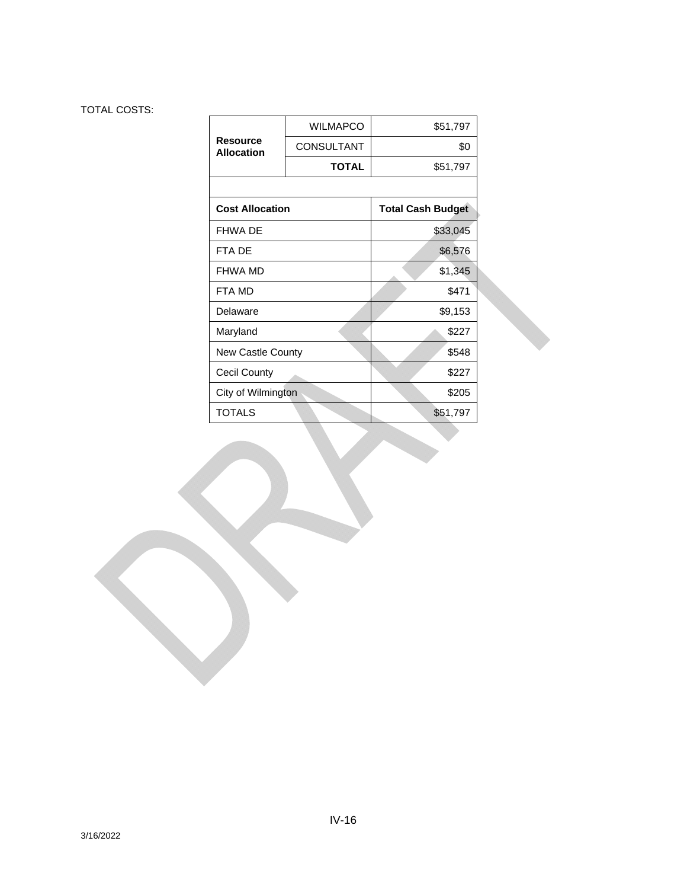### TOTAL COSTS:

|                               | WILMAPCO          | \$51,797                 |
|-------------------------------|-------------------|--------------------------|
| Resource<br><b>Allocation</b> | <b>CONSULTANT</b> | \$0                      |
|                               | <b>TOTAL</b>      | \$51,797                 |
|                               |                   |                          |
| <b>Cost Allocation</b>        |                   | <b>Total Cash Budget</b> |
| <b>FHWA DF</b>                |                   | \$33,045                 |
| FTA DE                        |                   | \$6,576                  |
| FHWA MD                       |                   | \$1,345                  |
| FTA MD                        |                   | \$471                    |
| Delaware                      |                   | \$9,153                  |
| Maryland                      |                   | \$227                    |
| New Castle County             |                   | \$548                    |
| Cecil County                  |                   | \$227                    |
| City of Wilmington            |                   | \$205                    |
| TOTALS                        |                   | \$51,797                 |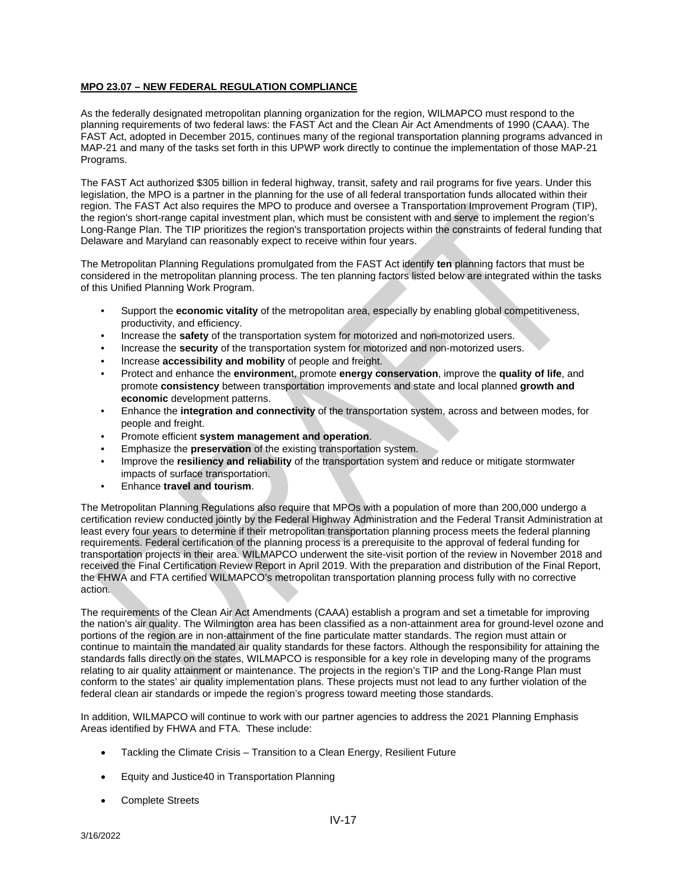#### **MPO 23.07 – NEW FEDERAL REGULATION COMPLIANCE**

As the federally designated metropolitan planning organization for the region, WILMAPCO must respond to the planning requirements of two federal laws: the FAST Act and the Clean Air Act Amendments of 1990 (CAAA). The FAST Act, adopted in December 2015, continues many of the regional transportation planning programs advanced in MAP-21 and many of the tasks set forth in this UPWP work directly to continue the implementation of those MAP-21 Programs.

The FAST Act authorized \$305 billion in federal highway, transit, safety and rail programs for five years. Under this legislation, the MPO is a partner in the planning for the use of all federal transportation funds allocated within their region. The FAST Act also requires the MPO to produce and oversee a Transportation Improvement Program (TIP), the region's short-range capital investment plan, which must be consistent with and serve to implement the region's Long-Range Plan. The TIP prioritizes the region's transportation projects within the constraints of federal funding that Delaware and Maryland can reasonably expect to receive within four years.

The Metropolitan Planning Regulations promulgated from the FAST Act identify **ten** planning factors that must be considered in the metropolitan planning process. The ten planning factors listed below are integrated within the tasks of this Unified Planning Work Program.

- Support the **economic vitality** of the metropolitan area, especially by enabling global competitiveness, productivity, and efficiency.
- Increase the **safety** of the transportation system for motorized and non-motorized users.
- Increase the **security** of the transportation system for motorized and non-motorized users.
- Increase **accessibility and mobility** of people and freight.
- Protect and enhance the **environmen**t, promote **energy conservation**, improve the **quality of life**, and promote **consistency** between transportation improvements and state and local planned **growth and economic** development patterns.
- Enhance the **integration and connectivity** of the transportation system, across and between modes, for people and freight.
- Promote efficient **system management and operation**.
- Emphasize the **preservation** of the existing transportation system.
- Improve the **resiliency and reliability** of the transportation system and reduce or mitigate stormwater impacts of surface transportation.
- Enhance **travel and tourism**.

The Metropolitan Planning Regulations also require that MPOs with a population of more than 200,000 undergo a certification review conducted jointly by the Federal Highway Administration and the Federal Transit Administration at least every four years to determine if their metropolitan transportation planning process meets the federal planning requirements. Federal certification of the planning process is a prerequisite to the approval of federal funding for transportation projects in their area. WILMAPCO underwent the site-visit portion of the review in November 2018 and received the Final Certification Review Report in April 2019. With the preparation and distribution of the Final Report, the FHWA and FTA certified WILMAPCO's metropolitan transportation planning process fully with no corrective action.

The requirements of the Clean Air Act Amendments (CAAA) establish a program and set a timetable for improving the nation's air quality. The Wilmington area has been classified as a non-attainment area for ground-level ozone and portions of the region are in non-attainment of the fine particulate matter standards. The region must attain or continue to maintain the mandated air quality standards for these factors. Although the responsibility for attaining the standards falls directly on the states, WILMAPCO is responsible for a key role in developing many of the programs relating to air quality attainment or maintenance. The projects in the region's TIP and the Long-Range Plan must conform to the states' air quality implementation plans. These projects must not lead to any further violation of the federal clean air standards or impede the region's progress toward meeting those standards.

In addition, WILMAPCO will continue to work with our partner agencies to address the 2021 Planning Emphasis Areas identified by FHWA and FTA. These include:

- Tackling the Climate Crisis Transition to a Clean Energy, Resilient Future
- Equity and Justice40 in Transportation Planning
- Complete Streets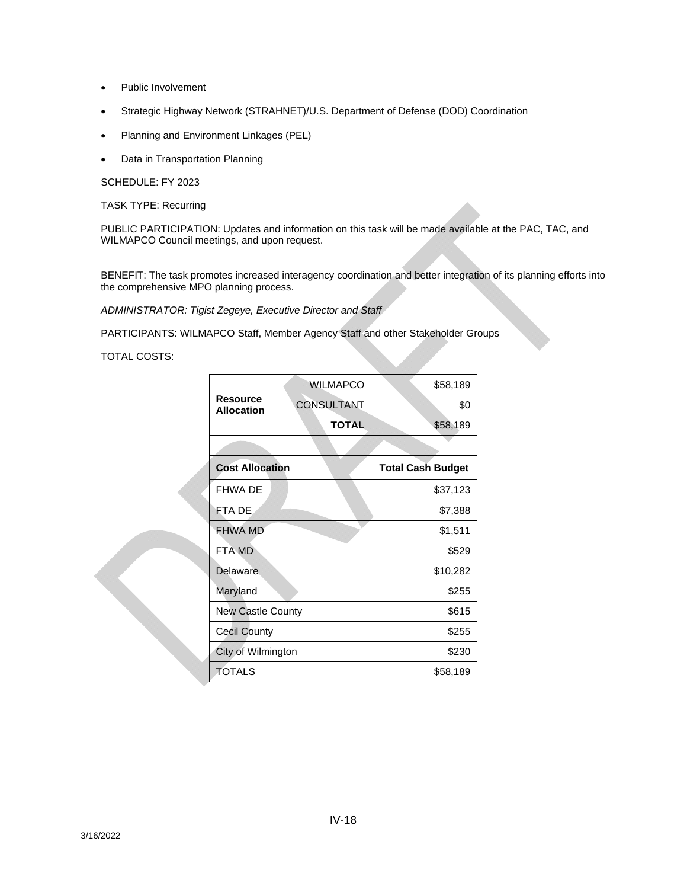- Public Involvement
- Strategic Highway Network (STRAHNET)/U.S. Department of Defense (DOD) Coordination
- Planning and Environment Linkages (PEL)
- Data in Transportation Planning

SCHEDULE: FY 2023

TASK TYPE: Recurring

PUBLIC PARTICIPATION: Updates and information on this task will be made available at the PAC, TAC, and WILMAPCO Council meetings, and upon request.

BENEFIT: The task promotes increased interagency coordination and better integration of its planning efforts into the comprehensive MPO planning process.

*ADMINISTRATOR: Tigist Zegeye, Executive Director and Staff* 

PARTICIPANTS: WILMAPCO Staff, Member Agency Staff and other Stakeholder Groups

TOTAL COSTS:

|                               | <b>WILMAPCO</b>          | \$58,189 |  |  |
|-------------------------------|--------------------------|----------|--|--|
| Resource<br><b>Allocation</b> | <b>CONSULTANT</b>        | \$0      |  |  |
|                               | <b>TOTAL</b>             | \$58,189 |  |  |
|                               |                          |          |  |  |
| <b>Cost Allocation</b>        | <b>Total Cash Budget</b> |          |  |  |
| FHWA DE                       |                          | \$37,123 |  |  |
| FTA DE                        |                          | \$7,388  |  |  |
| <b>FHWA MD</b>                |                          | \$1,511  |  |  |
| <b>FTA MD</b>                 |                          | \$529    |  |  |
| Delaware                      |                          | \$10,282 |  |  |
| Maryland                      |                          | \$255    |  |  |
| <b>New Castle County</b>      |                          | \$615    |  |  |
| <b>Cecil County</b>           |                          | \$255    |  |  |
| City of Wilmington            |                          | \$230    |  |  |
| <b>TOTALS</b>                 |                          | \$58,189 |  |  |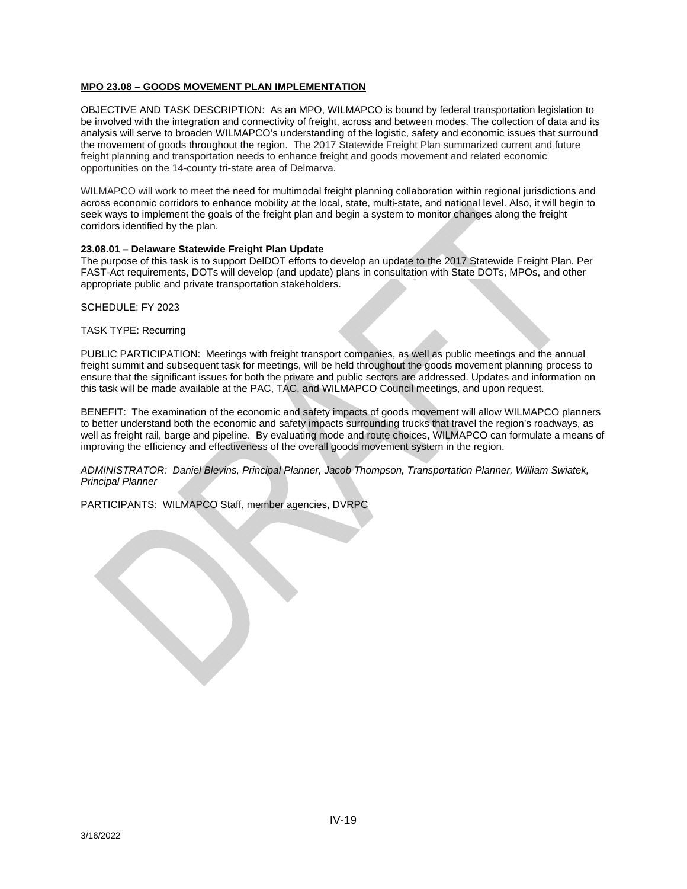#### **MPO 23.08 – GOODS MOVEMENT PLAN IMPLEMENTATION**

OBJECTIVE AND TASK DESCRIPTION: As an MPO, WILMAPCO is bound by federal transportation legislation to be involved with the integration and connectivity of freight, across and between modes. The collection of data and its analysis will serve to broaden WILMAPCO's understanding of the logistic, safety and economic issues that surround the movement of goods throughout the region. The 2017 Statewide Freight Plan summarized current and future freight planning and transportation needs to enhance freight and goods movement and related economic opportunities on the 14-county tri-state area of Delmarva.

WILMAPCO will work to meet the need for multimodal freight planning collaboration within regional jurisdictions and across economic corridors to enhance mobility at the local, state, multi-state, and national level. Also, it will begin to seek ways to implement the goals of the freight plan and begin a system to monitor changes along the freight corridors identified by the plan.

#### **23.08.01 – Delaware Statewide Freight Plan Update**

The purpose of this task is to support DelDOT efforts to develop an update to the 2017 Statewide Freight Plan. Per FAST-Act requirements, DOTs will develop (and update) plans in consultation with State DOTs, MPOs, and other appropriate public and private transportation stakeholders.

SCHEDULE: FY 2023

TASK TYPE: Recurring

PUBLIC PARTICIPATION: Meetings with freight transport companies, as well as public meetings and the annual freight summit and subsequent task for meetings, will be held throughout the goods movement planning process to ensure that the significant issues for both the private and public sectors are addressed. Updates and information on this task will be made available at the PAC, TAC, and WILMAPCO Council meetings, and upon request.

BENEFIT: The examination of the economic and safety impacts of goods movement will allow WILMAPCO planners to better understand both the economic and safety impacts surrounding trucks that travel the region's roadways, as well as freight rail, barge and pipeline. By evaluating mode and route choices, WILMAPCO can formulate a means of improving the efficiency and effectiveness of the overall goods movement system in the region.

*ADMINISTRATOR: Daniel Blevins, Principal Planner, Jacob Thompson, Transportation Planner, William Swiatek, Principal Planner* 

PARTICIPANTS: WILMAPCO Staff, member agencies, DVRPC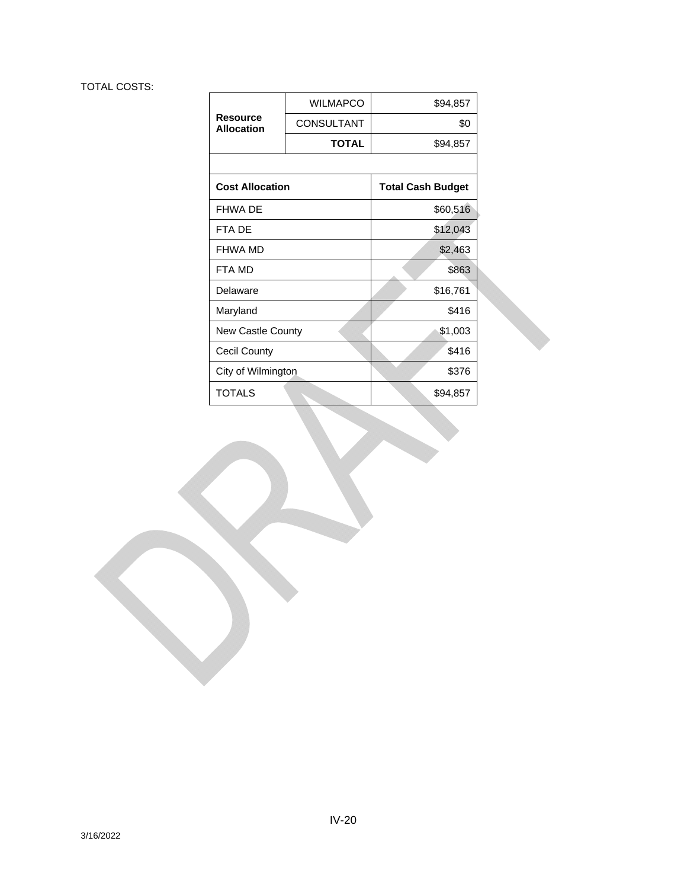### TOTAL COSTS:

|                                      | <b>WILMAPCO</b>          | \$94,857 |
|--------------------------------------|--------------------------|----------|
| <b>Resource</b><br><b>Allocation</b> | <b>CONSULTANT</b>        | \$0      |
|                                      | <b>TOTAL</b>             | \$94,857 |
|                                      |                          |          |
| <b>Cost Allocation</b>               | <b>Total Cash Budget</b> |          |
| FHWA DE                              | \$60,516                 |          |
| FTA DE                               | \$12,043                 |          |
| FHWA MD                              | \$2,463                  |          |
| FTA MD                               | \$863                    |          |
| Delaware                             | \$16,761                 |          |
| Maryland                             | \$416                    |          |
| <b>New Castle County</b>             | \$1,003                  |          |
| Cecil County                         |                          | \$416    |
| City of Wilmington                   |                          | \$376    |
| <b>TOTALS</b>                        |                          | \$94,857 |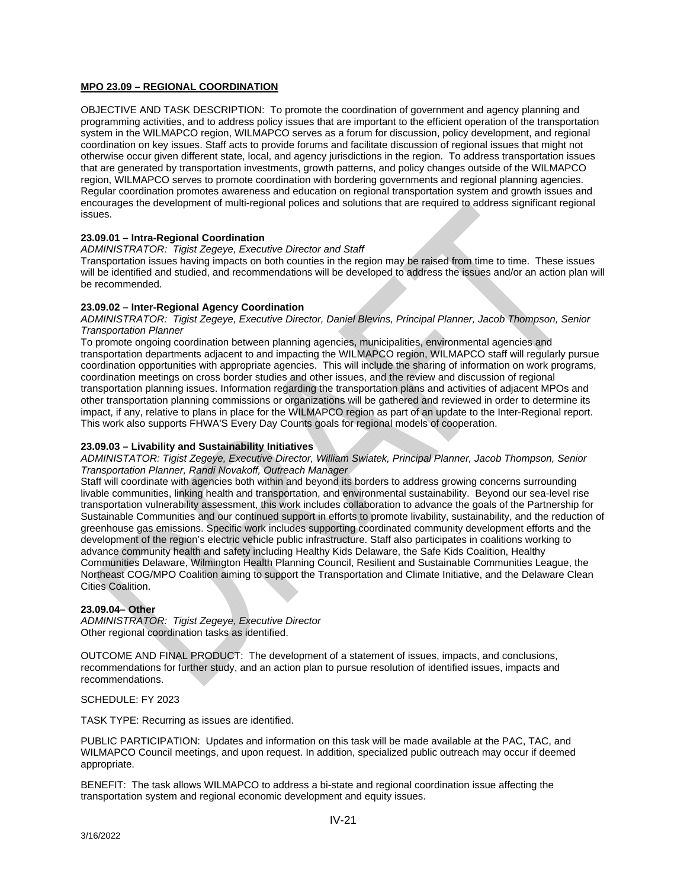#### **MPO 23.09 – REGIONAL COORDINATION**

OBJECTIVE AND TASK DESCRIPTION: To promote the coordination of government and agency planning and programming activities, and to address policy issues that are important to the efficient operation of the transportation system in the WILMAPCO region, WILMAPCO serves as a forum for discussion, policy development, and regional coordination on key issues. Staff acts to provide forums and facilitate discussion of regional issues that might not otherwise occur given different state, local, and agency jurisdictions in the region. To address transportation issues that are generated by transportation investments, growth patterns, and policy changes outside of the WILMAPCO region, WILMAPCO serves to promote coordination with bordering governments and regional planning agencies. Regular coordination promotes awareness and education on regional transportation system and growth issues and encourages the development of multi-regional polices and solutions that are required to address significant regional issues.

#### **23.09.01 – Intra-Regional Coordination**

#### *ADMINISTRATOR: Tigist Zegeye, Executive Director and Staff*

Transportation issues having impacts on both counties in the region may be raised from time to time. These issues will be identified and studied, and recommendations will be developed to address the issues and/or an action plan will be recommended.

#### **23.09.02 – Inter-Regional Agency Coordination**

#### *ADMINISTRATOR: Tigist Zegeye, Executive Director, Daniel Blevins, Principal Planner, Jacob Thompson, Senior Transportation Planner*

To promote ongoing coordination between planning agencies, municipalities, environmental agencies and transportation departments adjacent to and impacting the WILMAPCO region, WILMAPCO staff will regularly pursue coordination opportunities with appropriate agencies. This will include the sharing of information on work programs, coordination meetings on cross border studies and other issues, and the review and discussion of regional transportation planning issues. Information regarding the transportation plans and activities of adjacent MPOs and other transportation planning commissions or organizations will be gathered and reviewed in order to determine its impact, if any, relative to plans in place for the WILMAPCO region as part of an update to the Inter-Regional report. This work also supports FHWA'S Every Day Counts goals for regional models of cooperation.

#### **23.09.03 – Livability and Sustainability Initiatives**

#### *ADMINISTATOR: Tigist Zegeye, Executive Director, William Swiatek, Principal Planner, Jacob Thompson, Senior Transportation Planner, Randi Novakoff, Outreach Manager*

Staff will coordinate with agencies both within and beyond its borders to address growing concerns surrounding livable communities, linking health and transportation, and environmental sustainability. Beyond our sea-level rise transportation vulnerability assessment, this work includes collaboration to advance the goals of the Partnership for Sustainable Communities and our continued support in efforts to promote livability, sustainability, and the reduction of greenhouse gas emissions. Specific work includes supporting coordinated community development efforts and the development of the region's electric vehicle public infrastructure. Staff also participates in coalitions working to advance community health and safety including Healthy Kids Delaware, the Safe Kids Coalition, Healthy Communities Delaware, Wilmington Health Planning Council, Resilient and Sustainable Communities League, the Northeast COG/MPO Coalition aiming to support the Transportation and Climate Initiative, and the Delaware Clean Cities Coalition.

#### **23.09.04– Other**

*ADMINISTRATOR: Tigist Zegeye, Executive Director*  Other regional coordination tasks as identified.

OUTCOME AND FINAL PRODUCT: The development of a statement of issues, impacts, and conclusions, recommendations for further study, and an action plan to pursue resolution of identified issues, impacts and recommendations.

#### SCHEDULE: FY 2023

TASK TYPE: Recurring as issues are identified.

PUBLIC PARTICIPATION: Updates and information on this task will be made available at the PAC, TAC, and WILMAPCO Council meetings, and upon request. In addition, specialized public outreach may occur if deemed appropriate.

BENEFIT: The task allows WILMAPCO to address a bi-state and regional coordination issue affecting the transportation system and regional economic development and equity issues.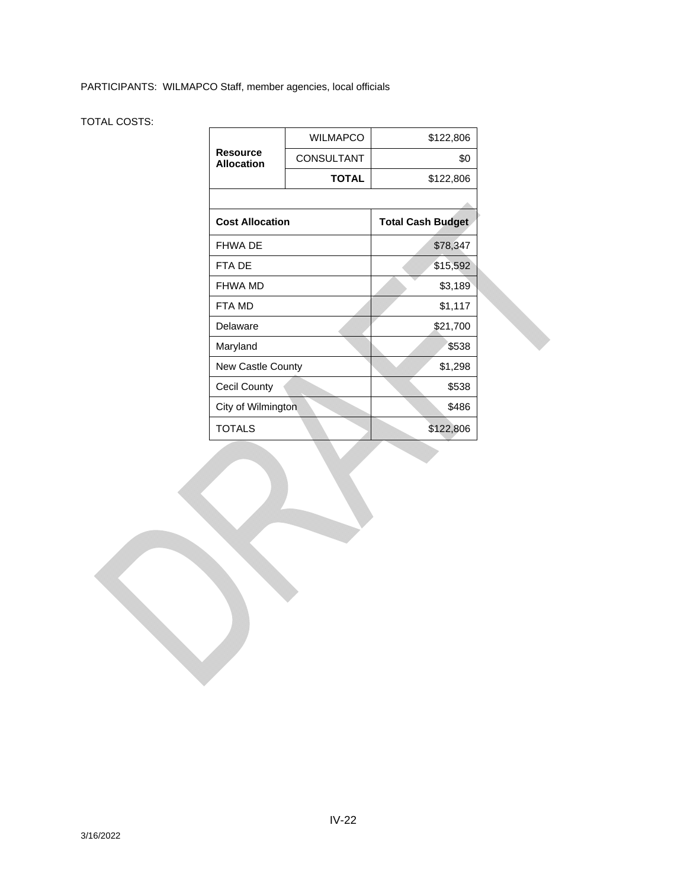PARTICIPANTS: WILMAPCO Staff, member agencies, local officials

## TOTAL COSTS:

|                                      | <b>WILMAPCO</b>          | \$122,806 |  |  |
|--------------------------------------|--------------------------|-----------|--|--|
| <b>Resource</b><br><b>Allocation</b> | <b>CONSULTANT</b>        | \$0       |  |  |
|                                      | <b>TOTAL</b>             | \$122,806 |  |  |
|                                      |                          |           |  |  |
| <b>Cost Allocation</b>               | <b>Total Cash Budget</b> |           |  |  |
| FHWA DF                              | \$78,347                 |           |  |  |
| FTA DE                               | \$15,592                 |           |  |  |
| FHWA MD                              | \$3,189                  |           |  |  |
| FTA MD                               | \$1,117                  |           |  |  |
| Delaware                             |                          | \$21,700  |  |  |
| Maryland                             |                          | \$538     |  |  |
| New Castle County                    |                          | \$1,298   |  |  |
| Cecil County                         |                          | \$538     |  |  |
| City of Wilmington                   |                          | \$486     |  |  |
| <b>TOTALS</b>                        |                          | \$122,806 |  |  |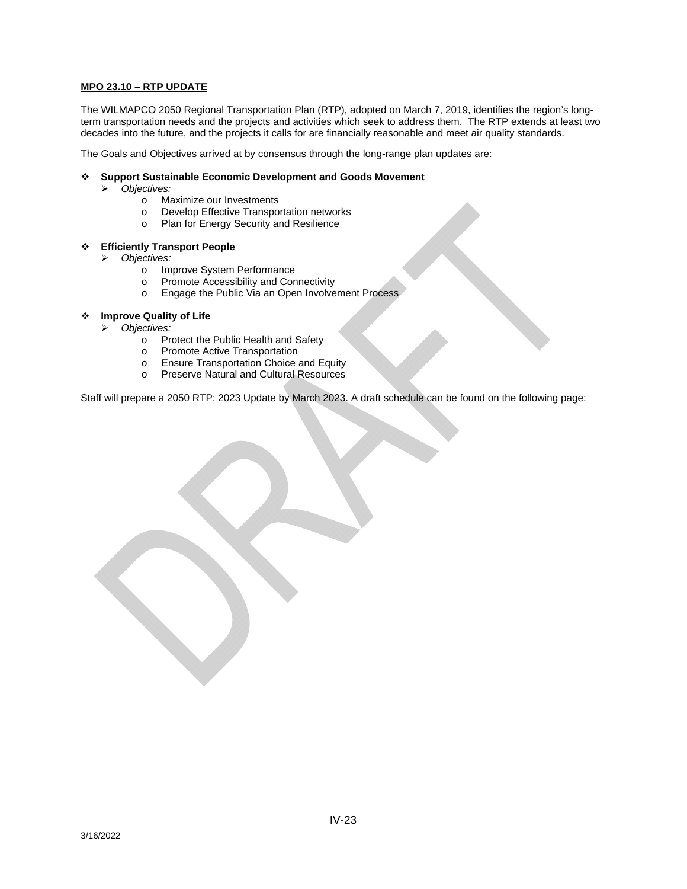#### **MPO 23.10 – RTP UPDATE**

The WILMAPCO 2050 Regional Transportation Plan (RTP), adopted on March 7, 2019, identifies the region's longterm transportation needs and the projects and activities which seek to address them. The RTP extends at least two decades into the future, and the projects it calls for are financially reasonable and meet air quality standards.

The Goals and Objectives arrived at by consensus through the long-range plan updates are:

#### **Support Sustainable Economic Development and Goods Movement**

- *Objectives:* 
	- o Maximize our Investments
	- o Develop Effective Transportation networks
	- o Plan for Energy Security and Resilience

#### **Efficiently Transport People**

- *Objectives:* 
	- o Improve System Performance
	- o Promote Accessibility and Connectivity
	- o Engage the Public Via an Open Involvement Process

#### **Improve Quality of Life**

- *Objectives:* 
	- o Protect the Public Health and Safety
	- o Promote Active Transportation
	- o Ensure Transportation Choice and Equity
	- o Preserve Natural and Cultural Resources

Staff will prepare a 2050 RTP: 2023 Update by March 2023. A draft schedule can be found on the following page: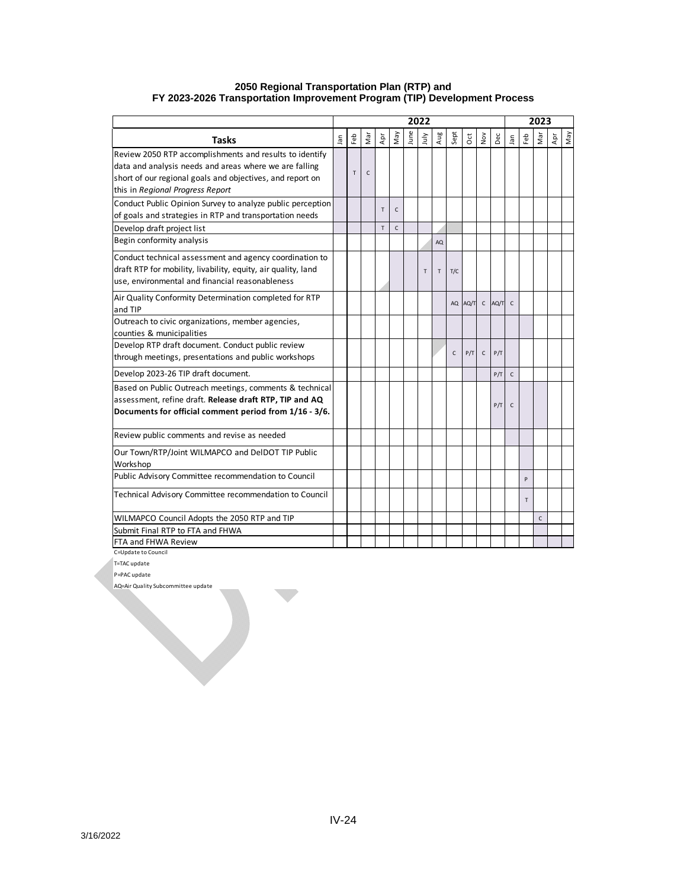#### **2050 Regional Transportation Plan (RTP) and FY 2023-2026 Transportation Improvement Program (TIP) Development Process**

|                                                                                                                                                                                                                    | 2022                    |     |              |     |              |      | 2023 |     |              |              |                         |          |              |     |              |                |     |
|--------------------------------------------------------------------------------------------------------------------------------------------------------------------------------------------------------------------|-------------------------|-----|--------------|-----|--------------|------|------|-----|--------------|--------------|-------------------------|----------|--------------|-----|--------------|----------------|-----|
| <b>Tasks</b>                                                                                                                                                                                                       | $\overline{\mathsf{a}}$ | Feb | λāτ<br>Σ     | Apr | Nay          | June | July | Aug | Sept         | $_{\rm Oct}$ | $\mathop{\mathsf{Now}}$ | Dec      | $\Xi$        | Feb | Ρğ           | $\overline{A}$ | Vie |
| Review 2050 RTP accomplishments and results to identify<br>data and analysis needs and areas where we are falling<br>short of our regional goals and objectives, and report on<br>this in Regional Progress Report |                         | T   | $\mathsf{C}$ |     |              |      |      |     |              |              |                         |          |              |     |              |                |     |
| Conduct Public Opinion Survey to analyze public perception<br>of goals and strategies in RTP and transportation needs                                                                                              |                         |     |              | T.  | $\mathsf{C}$ |      |      |     |              |              |                         |          |              |     |              |                |     |
| Develop draft project list<br>Begin conformity analysis                                                                                                                                                            |                         |     |              | T.  | $\mathsf{C}$ |      |      | AQ  |              |              |                         |          |              |     |              |                |     |
| Conduct technical assessment and agency coordination to<br>draft RTP for mobility, livability, equity, air quality, land<br>use, environmental and financial reasonableness                                        |                         |     |              |     |              |      | T    | T   | T/C          |              |                         |          |              |     |              |                |     |
| Air Quality Conformity Determination completed for RTP<br>and TIP                                                                                                                                                  |                         |     |              |     |              |      |      |     |              | AQ AQ/T      |                         | C AQ/T C |              |     |              |                |     |
| Outreach to civic organizations, member agencies,<br>counties & municipalities                                                                                                                                     |                         |     |              |     |              |      |      |     |              |              |                         |          |              |     |              |                |     |
| Develop RTP draft document. Conduct public review<br>through meetings, presentations and public workshops                                                                                                          |                         |     |              |     |              |      |      |     | $\mathsf{C}$ | P/T          | $\mathsf{C}$            | P/T      |              |     |              |                |     |
| Develop 2023-26 TIP draft document.                                                                                                                                                                                |                         |     |              |     |              |      |      |     |              |              |                         | P/T      | $\mathsf{C}$ |     |              |                |     |
| Based on Public Outreach meetings, comments & technical<br>assessment, refine draft. Release draft RTP, TIP and AQ<br>Documents for official comment period from 1/16 - 3/6.                                       |                         |     |              |     |              |      |      |     |              |              |                         | P/T      | C            |     |              |                |     |
| Review public comments and revise as needed                                                                                                                                                                        |                         |     |              |     |              |      |      |     |              |              |                         |          |              |     |              |                |     |
| Our Town/RTP/Joint WILMAPCO and DelDOT TIP Public<br>Workshop                                                                                                                                                      |                         |     |              |     |              |      |      |     |              |              |                         |          |              |     |              |                |     |
| Public Advisory Committee recommendation to Council                                                                                                                                                                |                         |     |              |     |              |      |      |     |              |              |                         |          |              | P   |              |                |     |
| Technical Advisory Committee recommendation to Council                                                                                                                                                             |                         |     |              |     |              |      |      |     |              |              |                         |          |              | T.  |              |                |     |
| WILMAPCO Council Adopts the 2050 RTP and TIP                                                                                                                                                                       |                         |     |              |     |              |      |      |     |              |              |                         |          |              |     | $\mathsf{C}$ |                |     |
| Submit Final RTP to FTA and FHWA                                                                                                                                                                                   |                         |     |              |     |              |      |      |     |              |              |                         |          |              |     |              |                |     |
| FTA and FHWA Review<br>C=Update to Council                                                                                                                                                                         |                         |     |              |     |              |      |      |     |              |              |                         |          |              |     |              |                |     |

T=TAC update

P=PAC update

AQ=Air Quality Subcommittee update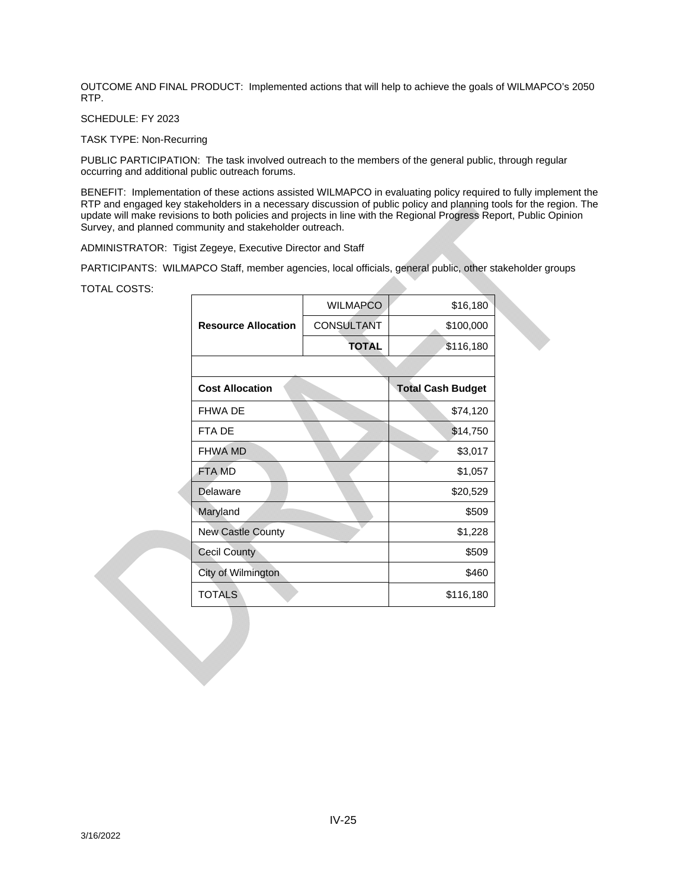OUTCOME AND FINAL PRODUCT: Implemented actions that will help to achieve the goals of WILMAPCO's 2050 RTP.

SCHEDULE: FY 2023

TASK TYPE: Non-Recurring

PUBLIC PARTICIPATION: The task involved outreach to the members of the general public, through regular occurring and additional public outreach forums.

BENEFIT: Implementation of these actions assisted WILMAPCO in evaluating policy required to fully implement the RTP and engaged key stakeholders in a necessary discussion of public policy and planning tools for the region. The update will make revisions to both policies and projects in line with the Regional Progress Report, Public Opinion Survey, and planned community and stakeholder outreach.

ADMINISTRATOR: Tigist Zegeye, Executive Director and Staff

PARTICIPANTS: WILMAPCO Staff, member agencies, local officials, general public, other stakeholder groups

#### TOTAL COSTS:

|                            | <b>WILMAPCO</b>          | \$16,180  |
|----------------------------|--------------------------|-----------|
| <b>Resource Allocation</b> | <b>CONSULTANT</b>        | \$100,000 |
|                            | <b>TOTAL</b>             | \$116,180 |
|                            |                          |           |
| <b>Cost Allocation</b>     | <b>Total Cash Budget</b> |           |
| FHWA DE                    | \$74,120                 |           |
| FTA DE                     | \$14,750                 |           |
| <b>FHWA MD</b>             | \$3,017                  |           |
| <b>FTAMD</b>               | \$1,057                  |           |
| Delaware                   | \$20,529                 |           |
| Maryland                   |                          | \$509     |
| <b>New Castle County</b>   | \$1,228                  |           |
| <b>Cecil County</b>        | \$509                    |           |
| City of Wilmington         | \$460                    |           |
| <b>TOTALS</b>              | \$116,180                |           |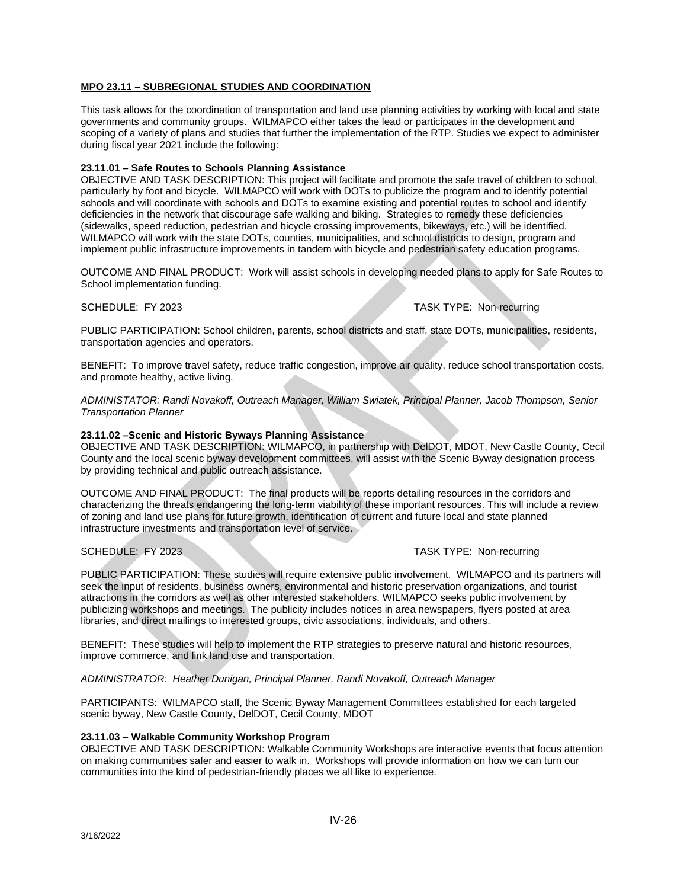#### **MPO 23.11 – SUBREGIONAL STUDIES AND COORDINATION**

This task allows for the coordination of transportation and land use planning activities by working with local and state governments and community groups. WILMAPCO either takes the lead or participates in the development and scoping of a variety of plans and studies that further the implementation of the RTP. Studies we expect to administer during fiscal year 2021 include the following:

#### **23.11.01 – Safe Routes to Schools Planning Assistance**

OBJECTIVE AND TASK DESCRIPTION: This project will facilitate and promote the safe travel of children to school, particularly by foot and bicycle. WILMAPCO will work with DOTs to publicize the program and to identify potential schools and will coordinate with schools and DOTs to examine existing and potential routes to school and identify deficiencies in the network that discourage safe walking and biking. Strategies to remedy these deficiencies (sidewalks, speed reduction, pedestrian and bicycle crossing improvements, bikeways, etc.) will be identified. WILMAPCO will work with the state DOTs, counties, municipalities, and school districts to design, program and implement public infrastructure improvements in tandem with bicycle and pedestrian safety education programs.

OUTCOME AND FINAL PRODUCT: Work will assist schools in developing needed plans to apply for Safe Routes to School implementation funding.

SCHEDULE: FY 2023 TASK TYPE: Non-recurring

PUBLIC PARTICIPATION: School children, parents, school districts and staff, state DOTs, municipalities, residents, transportation agencies and operators.

BENEFIT: To improve travel safety, reduce traffic congestion, improve air quality, reduce school transportation costs, and promote healthy, active living.

*ADMINISTATOR: Randi Novakoff, Outreach Manager, William Swiatek, Principal Planner, Jacob Thompson, Senior Transportation Planner* 

#### **23.11.02 –Scenic and Historic Byways Planning Assistance**

OBJECTIVE AND TASK DESCRIPTION: WILMAPCO, in partnership with DelDOT, MDOT, New Castle County, Cecil County and the local scenic byway development committees, will assist with the Scenic Byway designation process by providing technical and public outreach assistance.

OUTCOME AND FINAL PRODUCT: The final products will be reports detailing resources in the corridors and characterizing the threats endangering the long-term viability of these important resources. This will include a review of zoning and land use plans for future growth, identification of current and future local and state planned infrastructure investments and transportation level of service.

#### SCHEDULE: FY 2023 TASK TYPE: Non-recurring

PUBLIC PARTICIPATION: These studies will require extensive public involvement. WILMAPCO and its partners will seek the input of residents, business owners, environmental and historic preservation organizations, and tourist attractions in the corridors as well as other interested stakeholders. WILMAPCO seeks public involvement by publicizing workshops and meetings. The publicity includes notices in area newspapers, flyers posted at area libraries, and direct mailings to interested groups, civic associations, individuals, and others.

BENEFIT: These studies will help to implement the RTP strategies to preserve natural and historic resources, improve commerce, and link land use and transportation.

*ADMINISTRATOR: Heather Dunigan, Principal Planner, Randi Novakoff, Outreach Manager* 

PARTICIPANTS: WILMAPCO staff, the Scenic Byway Management Committees established for each targeted scenic byway, New Castle County, DelDOT, Cecil County, MDOT

#### **23.11.03 – Walkable Community Workshop Program**

OBJECTIVE AND TASK DESCRIPTION: Walkable Community Workshops are interactive events that focus attention on making communities safer and easier to walk in. Workshops will provide information on how we can turn our communities into the kind of pedestrian-friendly places we all like to experience.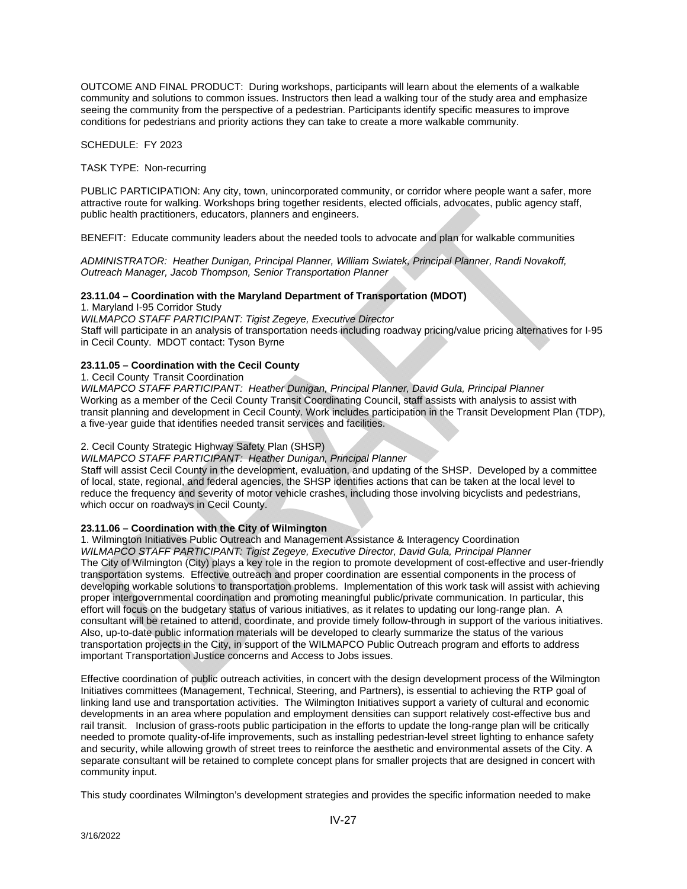OUTCOME AND FINAL PRODUCT: During workshops, participants will learn about the elements of a walkable community and solutions to common issues. Instructors then lead a walking tour of the study area and emphasize seeing the community from the perspective of a pedestrian. Participants identify specific measures to improve conditions for pedestrians and priority actions they can take to create a more walkable community.

SCHEDULE: FY 2023

TASK TYPE: Non-recurring

PUBLIC PARTICIPATION: Any city, town, unincorporated community, or corridor where people want a safer, more attractive route for walking. Workshops bring together residents, elected officials, advocates, public agency staff, public health practitioners, educators, planners and engineers.

BENEFIT: Educate community leaders about the needed tools to advocate and plan for walkable communities

*ADMINISTRATOR: Heather Dunigan, Principal Planner, William Swiatek, Principal Planner, Randi Novakoff, Outreach Manager, Jacob Thompson, Senior Transportation Planner* 

#### **23.11.04 – Coordination with the Maryland Department of Transportation (MDOT)**

1. Maryland I-95 Corridor Study

*WILMAPCO STAFF PARTICIPANT: Tigist Zegeye, Executive Director*  Staff will participate in an analysis of transportation needs including roadway pricing/value pricing alternatives for I-95 in Cecil County. MDOT contact: Tyson Byrne

#### **23.11.05 – Coordination with the Cecil County**

1. Cecil County Transit Coordination

*WILMAPCO STAFF PARTICIPANT: Heather Dunigan, Principal Planner, David Gula, Principal Planner* Working as a member of the Cecil County Transit Coordinating Council, staff assists with analysis to assist with transit planning and development in Cecil County. Work includes participation in the Transit Development Plan (TDP), a five-year guide that identifies needed transit services and facilities.

#### 2. Cecil County Strategic Highway Safety Plan (SHSP)

*WILMAPCO STAFF PARTICIPANT: Heather Dunigan, Principal Planner* 

Staff will assist Cecil County in the development, evaluation, and updating of the SHSP. Developed by a committee of local, state, regional, and federal agencies, the SHSP identifies actions that can be taken at the local level to reduce the frequency and severity of motor vehicle crashes, including those involving bicyclists and pedestrians, which occur on roadways in Cecil County.

#### **23.11.06 – Coordination with the City of Wilmington**

1. Wilmington Initiatives Public Outreach and Management Assistance & Interagency Coordination

*WILMAPCO STAFF PARTICIPANT: Tigist Zegeye, Executive Director, David Gula, Principal Planner*  The City of Wilmington (City) plays a key role in the region to promote development of cost-effective and user-friendly transportation systems. Effective outreach and proper coordination are essential components in the process of developing workable solutions to transportation problems. Implementation of this work task will assist with achieving proper intergovernmental coordination and promoting meaningful public/private communication. In particular, this effort will focus on the budgetary status of various initiatives, as it relates to updating our long-range plan. A consultant will be retained to attend, coordinate, and provide timely follow-through in support of the various initiatives. Also, up-to-date public information materials will be developed to clearly summarize the status of the various transportation projects in the City, in support of the WILMAPCO Public Outreach program and efforts to address important Transportation Justice concerns and Access to Jobs issues.

Effective coordination of public outreach activities, in concert with the design development process of the Wilmington Initiatives committees (Management, Technical, Steering, and Partners), is essential to achieving the RTP goal of linking land use and transportation activities. The Wilmington Initiatives support a variety of cultural and economic developments in an area where population and employment densities can support relatively cost-effective bus and rail transit. Inclusion of grass-roots public participation in the efforts to update the long-range plan will be critically needed to promote quality-of-life improvements, such as installing pedestrian-level street lighting to enhance safety and security, while allowing growth of street trees to reinforce the aesthetic and environmental assets of the City. A separate consultant will be retained to complete concept plans for smaller projects that are designed in concert with community input.

This study coordinates Wilmington's development strategies and provides the specific information needed to make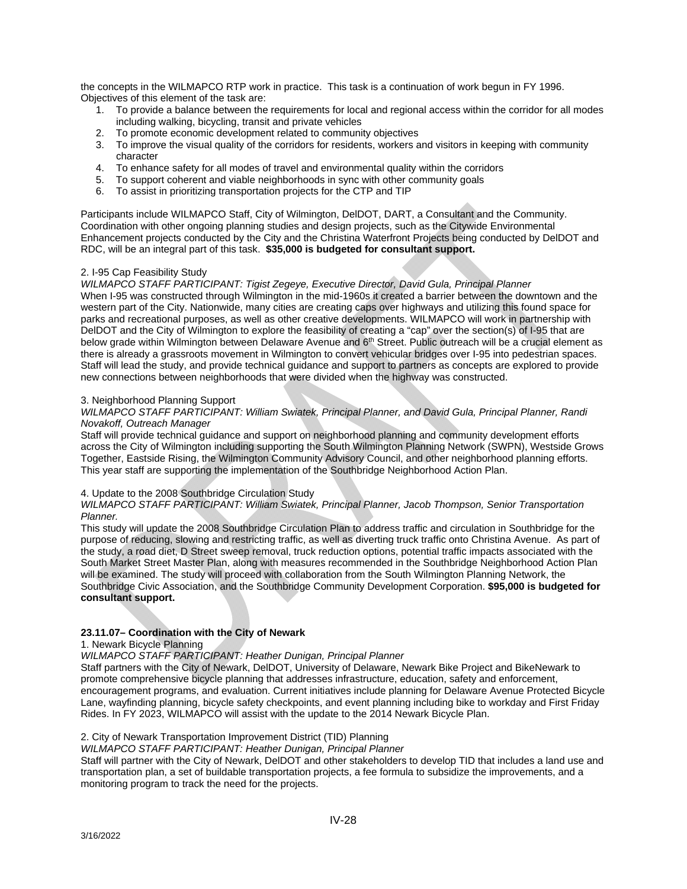the concepts in the WILMAPCO RTP work in practice. This task is a continuation of work begun in FY 1996. Objectives of this element of the task are:

- 1. To provide a balance between the requirements for local and regional access within the corridor for all modes including walking, bicycling, transit and private vehicles
- 2. To promote economic development related to community objectives
- 3. To improve the visual quality of the corridors for residents, workers and visitors in keeping with community character
- 4. To enhance safety for all modes of travel and environmental quality within the corridors
- 5. To support coherent and viable neighborhoods in sync with other community goals
- 6. To assist in prioritizing transportation projects for the CTP and TIP

Participants include WILMAPCO Staff, City of Wilmington, DelDOT, DART, a Consultant and the Community. Coordination with other ongoing planning studies and design projects, such as the Citywide Environmental Enhancement projects conducted by the City and the Christina Waterfront Projects being conducted by DelDOT and RDC, will be an integral part of this task. **\$35,000 is budgeted for consultant support.** 

#### 2. I-95 Cap Feasibility Study

#### *WILMAPCO STAFF PARTICIPANT: Tigist Zegeye, Executive Director, David Gula, Principal Planner*

When I-95 was constructed through Wilmington in the mid-1960s it created a barrier between the downtown and the western part of the City. Nationwide, many cities are creating caps over highways and utilizing this found space for parks and recreational purposes, as well as other creative developments. WILMAPCO will work in partnership with DelDOT and the City of Wilmington to explore the feasibility of creating a "cap" over the section(s) of I-95 that are below grade within Wilmington between Delaware Avenue and 6<sup>th</sup> Street. Public outreach will be a crucial element as there is already a grassroots movement in Wilmington to convert vehicular bridges over I-95 into pedestrian spaces. Staff will lead the study, and provide technical guidance and support to partners as concepts are explored to provide new connections between neighborhoods that were divided when the highway was constructed.

#### 3. Neighborhood Planning Support

#### *WILMAPCO STAFF PARTICIPANT: William Swiatek, Principal Planner, and David Gula, Principal Planner, Randi Novakoff, Outreach Manager*

Staff will provide technical guidance and support on neighborhood planning and community development efforts across the City of Wilmington including supporting the South Wilmington Planning Network (SWPN), Westside Grows Together, Eastside Rising, the Wilmington Community Advisory Council, and other neighborhood planning efforts. This year staff are supporting the implementation of the Southbridge Neighborhood Action Plan.

#### 4. Update to the 2008 Southbridge Circulation Study

#### *WILMAPCO STAFF PARTICIPANT: William Swiatek, Principal Planner, Jacob Thompson, Senior Transportation Planner.*

This study will update the 2008 Southbridge Circulation Plan to address traffic and circulation in Southbridge for the purpose of reducing, slowing and restricting traffic, as well as diverting truck traffic onto Christina Avenue. As part of the study, a road diet, D Street sweep removal, truck reduction options, potential traffic impacts associated with the South Market Street Master Plan, along with measures recommended in the Southbridge Neighborhood Action Plan will be examined. The study will proceed with collaboration from the South Wilmington Planning Network, the Southbridge Civic Association, and the Southbridge Community Development Corporation. **\$95,000 is budgeted for consultant support.**

#### **23.11.07– Coordination with the City of Newark**

#### 1. Newark Bicycle Planning

#### *WILMAPCO STAFF PARTICIPANT: Heather Dunigan, Principal Planner*

Staff partners with the City of Newark, DelDOT, University of Delaware, Newark Bike Project and BikeNewark to promote comprehensive bicycle planning that addresses infrastructure, education, safety and enforcement, encouragement programs, and evaluation. Current initiatives include planning for Delaware Avenue Protected Bicycle Lane, wayfinding planning, bicycle safety checkpoints, and event planning including bike to workday and First Friday Rides. In FY 2023, WILMAPCO will assist with the update to the 2014 Newark Bicycle Plan.

#### 2. City of Newark Transportation Improvement District (TID) Planning

*WILMAPCO STAFF PARTICIPANT: Heather Dunigan, Principal Planner* 

Staff will partner with the City of Newark, DelDOT and other stakeholders to develop TID that includes a land use and transportation plan, a set of buildable transportation projects, a fee formula to subsidize the improvements, and a monitoring program to track the need for the projects.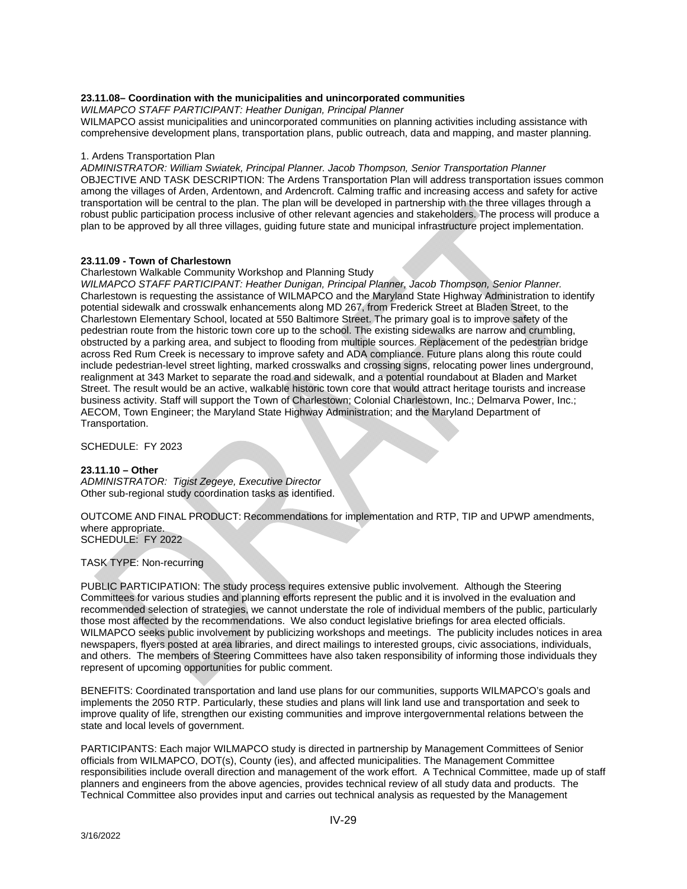#### **23.11.08– Coordination with the municipalities and unincorporated communities**

*WILMAPCO STAFF PARTICIPANT: Heather Dunigan, Principal Planner*

WILMAPCO assist municipalities and unincorporated communities on planning activities including assistance with comprehensive development plans, transportation plans, public outreach, data and mapping, and master planning.

#### 1. Ardens Transportation Plan

*ADMINISTRATOR: William Swiatek, Principal Planner. Jacob Thompson, Senior Transportation Planner*  OBJECTIVE AND TASK DESCRIPTION: The Ardens Transportation Plan will address transportation issues common among the villages of Arden, Ardentown, and Ardencroft. Calming traffic and increasing access and safety for active transportation will be central to the plan. The plan will be developed in partnership with the three villages through a robust public participation process inclusive of other relevant agencies and stakeholders. The process will produce a plan to be approved by all three villages, guiding future state and municipal infrastructure project implementation.

#### **23.11.09 - Town of Charlestown**

Charlestown Walkable Community Workshop and Planning Study

*WILMAPCO STAFF PARTICIPANT: Heather Dunigan, Principal Planner, Jacob Thompson, Senior Planner.*  Charlestown is requesting the assistance of WILMAPCO and the Maryland State Highway Administration to identify potential sidewalk and crosswalk enhancements along MD 267, from Frederick Street at Bladen Street, to the Charlestown Elementary School, located at 550 Baltimore Street. The primary goal is to improve safety of the pedestrian route from the historic town core up to the school. The existing sidewalks are narrow and crumbling, obstructed by a parking area, and subject to flooding from multiple sources. Replacement of the pedestrian bridge across Red Rum Creek is necessary to improve safety and ADA compliance. Future plans along this route could include pedestrian-level street lighting, marked crosswalks and crossing signs, relocating power lines underground, realignment at 343 Market to separate the road and sidewalk, and a potential roundabout at Bladen and Market Street. The result would be an active, walkable historic town core that would attract heritage tourists and increase business activity. Staff will support the Town of Charlestown; Colonial Charlestown, Inc.; Delmarva Power, Inc.; AECOM, Town Engineer; the Maryland State Highway Administration; and the Maryland Department of Transportation.

SCHEDULE: FY 2023

#### **23.11.10 – Other**

*ADMINISTRATOR: Tigist Zegeye, Executive Director* Other sub-regional study coordination tasks as identified.

OUTCOME AND FINAL PRODUCT: Recommendations for implementation and RTP, TIP and UPWP amendments, where appropriate. SCHEDULE: FY 2022

TASK TYPE: Non-recurring

PUBLIC PARTICIPATION: The study process requires extensive public involvement. Although the Steering Committees for various studies and planning efforts represent the public and it is involved in the evaluation and recommended selection of strategies, we cannot understate the role of individual members of the public, particularly those most affected by the recommendations. We also conduct legislative briefings for area elected officials. WILMAPCO seeks public involvement by publicizing workshops and meetings. The publicity includes notices in area newspapers, flyers posted at area libraries, and direct mailings to interested groups, civic associations, individuals, and others. The members of Steering Committees have also taken responsibility of informing those individuals they represent of upcoming opportunities for public comment.

BENEFITS: Coordinated transportation and land use plans for our communities, supports WILMAPCO's goals and implements the 2050 RTP. Particularly, these studies and plans will link land use and transportation and seek to improve quality of life, strengthen our existing communities and improve intergovernmental relations between the state and local levels of government.

PARTICIPANTS: Each major WILMAPCO study is directed in partnership by Management Committees of Senior officials from WILMAPCO, DOT(s), County (ies), and affected municipalities. The Management Committee responsibilities include overall direction and management of the work effort. A Technical Committee, made up of staff planners and engineers from the above agencies, provides technical review of all study data and products. The Technical Committee also provides input and carries out technical analysis as requested by the Management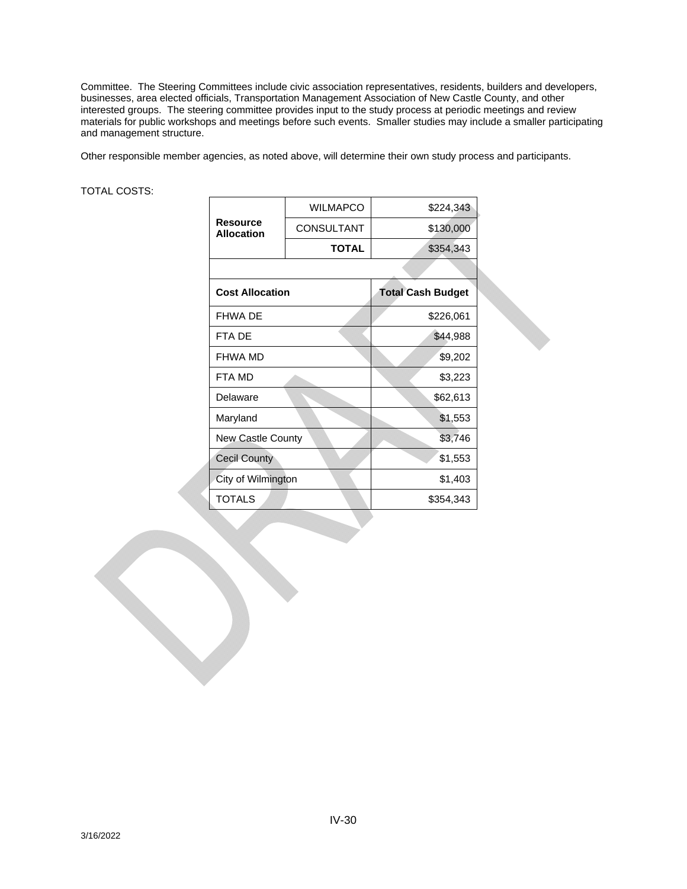Committee. The Steering Committees include civic association representatives, residents, builders and developers, businesses, area elected officials, Transportation Management Association of New Castle County, and other interested groups. The steering committee provides input to the study process at periodic meetings and review materials for public workshops and meetings before such events. Smaller studies may include a smaller participating and management structure.

Other responsible member agencies, as noted above, will determine their own study process and participants.

|                                      | <b>WILMAPCO</b>          | \$224,343 |  |  |
|--------------------------------------|--------------------------|-----------|--|--|
| <b>Resource</b><br><b>Allocation</b> | <b>CONSULTANT</b>        | \$130,000 |  |  |
|                                      | <b>TOTAL</b>             | \$354,343 |  |  |
|                                      |                          |           |  |  |
| <b>Cost Allocation</b>               | <b>Total Cash Budget</b> |           |  |  |
| FHWA DF                              | \$226,061                |           |  |  |
| FTA DE                               | \$44,988                 |           |  |  |
| <b>FHWA MD</b>                       | \$9,202                  |           |  |  |
| FTA MD                               | \$3,223                  |           |  |  |
| Delaware                             |                          | \$62,613  |  |  |
| Maryland                             |                          | \$1,553   |  |  |
| <b>New Castle County</b>             |                          | \$3,746   |  |  |
| <b>Cecil County</b>                  |                          | \$1,553   |  |  |
| City of Wilmington                   |                          | \$1,403   |  |  |
| <b>TOTALS</b>                        |                          | \$354,343 |  |  |

TOTAL COSTS: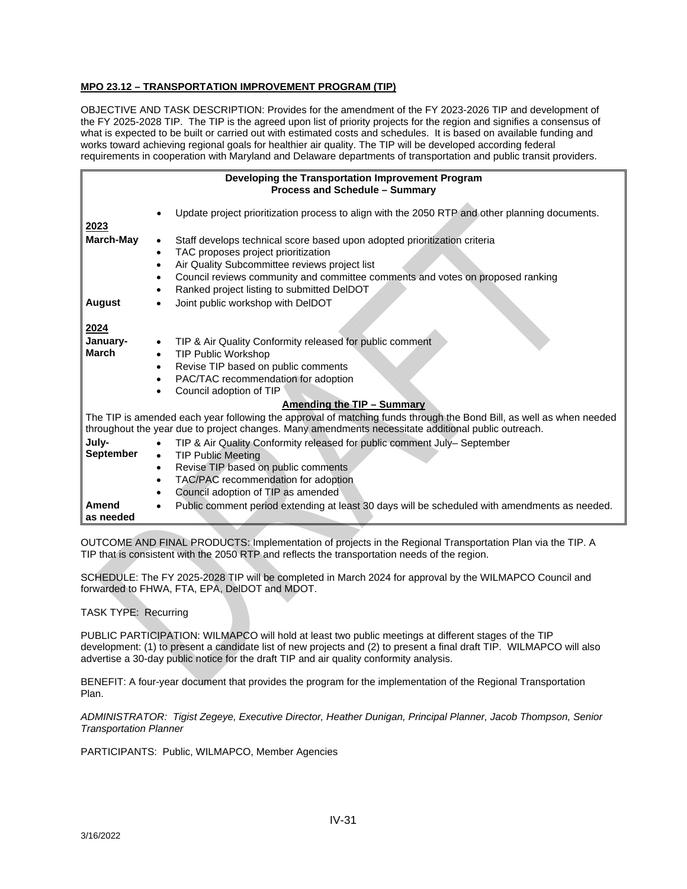#### **MPO 23.12 – TRANSPORTATION IMPROVEMENT PROGRAM (TIP)**

OBJECTIVE AND TASK DESCRIPTION: Provides for the amendment of the FY 2023-2026 TIP and development of the FY 2025-2028 TIP. The TIP is the agreed upon list of priority projects for the region and signifies a consensus of what is expected to be built or carried out with estimated costs and schedules. It is based on available funding and works toward achieving regional goals for healthier air quality. The TIP will be developed according federal requirements in cooperation with Maryland and Delaware departments of transportation and public transit providers.

| Developing the Transportation Improvement Program<br>Process and Schedule - Summary |           |                                                                                                                                                                                                                            |  |  |  |  |  |  |
|-------------------------------------------------------------------------------------|-----------|----------------------------------------------------------------------------------------------------------------------------------------------------------------------------------------------------------------------------|--|--|--|--|--|--|
| <u>2023</u>                                                                         |           | Update project prioritization process to align with the 2050 RTP and other planning documents.                                                                                                                             |  |  |  |  |  |  |
| March-May                                                                           | $\bullet$ | Staff develops technical score based upon adopted prioritization criteria                                                                                                                                                  |  |  |  |  |  |  |
|                                                                                     | ٠         | TAC proposes project prioritization                                                                                                                                                                                        |  |  |  |  |  |  |
|                                                                                     | ٠         | Air Quality Subcommittee reviews project list                                                                                                                                                                              |  |  |  |  |  |  |
|                                                                                     | $\bullet$ | Council reviews community and committee comments and votes on proposed ranking                                                                                                                                             |  |  |  |  |  |  |
|                                                                                     |           | Ranked project listing to submitted DelDOT                                                                                                                                                                                 |  |  |  |  |  |  |
| <b>August</b>                                                                       |           | Joint public workshop with DelDOT                                                                                                                                                                                          |  |  |  |  |  |  |
| 2024                                                                                |           |                                                                                                                                                                                                                            |  |  |  |  |  |  |
| January-                                                                            | $\bullet$ | TIP & Air Quality Conformity released for public comment                                                                                                                                                                   |  |  |  |  |  |  |
| <b>March</b>                                                                        |           | TIP Public Workshop                                                                                                                                                                                                        |  |  |  |  |  |  |
|                                                                                     | $\bullet$ | Revise TIP based on public comments                                                                                                                                                                                        |  |  |  |  |  |  |
|                                                                                     |           | PAC/TAC recommendation for adoption                                                                                                                                                                                        |  |  |  |  |  |  |
|                                                                                     | $\bullet$ | Council adoption of TIP                                                                                                                                                                                                    |  |  |  |  |  |  |
|                                                                                     |           | Amending the TIP - Summary                                                                                                                                                                                                 |  |  |  |  |  |  |
|                                                                                     |           | The TIP is amended each year following the approval of matching funds through the Bond Bill, as well as when needed<br>throughout the year due to project changes. Many amendments necessitate additional public outreach. |  |  |  |  |  |  |
| July-                                                                               |           | TIP & Air Quality Conformity released for public comment July- September                                                                                                                                                   |  |  |  |  |  |  |
| <b>September</b>                                                                    | $\bullet$ | <b>TIP Public Meeting</b>                                                                                                                                                                                                  |  |  |  |  |  |  |
|                                                                                     | $\bullet$ | Revise TIP based on public comments                                                                                                                                                                                        |  |  |  |  |  |  |
|                                                                                     | $\bullet$ | TAC/PAC recommendation for adoption                                                                                                                                                                                        |  |  |  |  |  |  |
|                                                                                     | $\bullet$ | Council adoption of TIP as amended                                                                                                                                                                                         |  |  |  |  |  |  |
| Amend<br>as needed                                                                  | $\bullet$ | Public comment period extending at least 30 days will be scheduled with amendments as needed.                                                                                                                              |  |  |  |  |  |  |

OUTCOME AND FINAL PRODUCTS: Implementation of projects in the Regional Transportation Plan via the TIP. A TIP that is consistent with the 2050 RTP and reflects the transportation needs of the region.

SCHEDULE: The FY 2025-2028 TIP will be completed in March 2024 for approval by the WILMAPCO Council and forwarded to FHWA, FTA, EPA, DelDOT and MDOT.

TASK TYPE: Recurring

PUBLIC PARTICIPATION: WILMAPCO will hold at least two public meetings at different stages of the TIP development: (1) to present a candidate list of new projects and (2) to present a final draft TIP. WILMAPCO will also advertise a 30-day public notice for the draft TIP and air quality conformity analysis.

BENEFIT: A four-year document that provides the program for the implementation of the Regional Transportation Plan.

*ADMINISTRATOR: Tigist Zegeye, Executive Director, Heather Dunigan, Principal Planner, Jacob Thompson, Senior Transportation Planner* 

PARTICIPANTS: Public, WILMAPCO, Member Agencies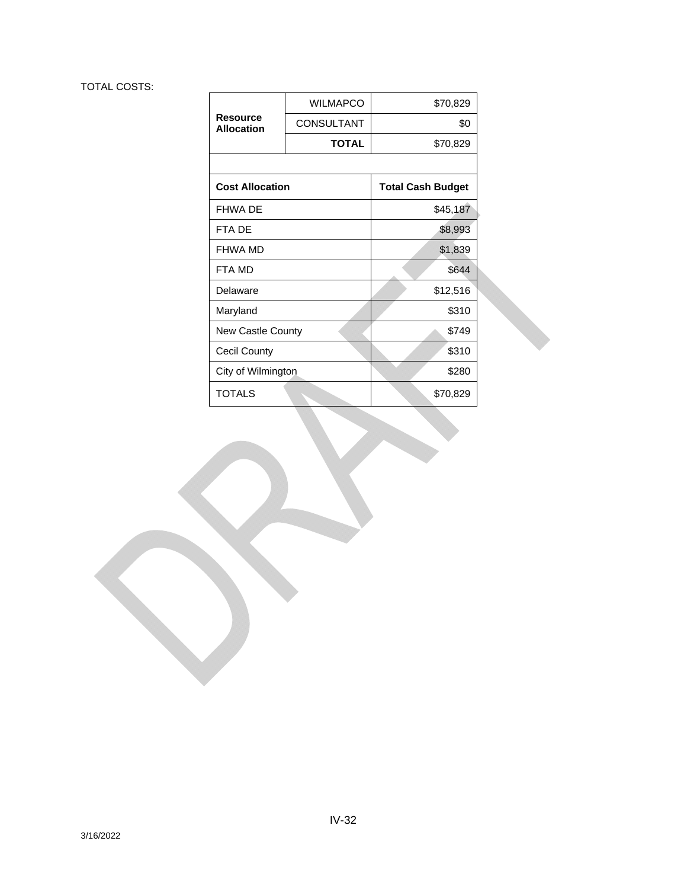### TOTAL COSTS:

|                               | <b>WILMAPCO</b>          | \$70,829 |
|-------------------------------|--------------------------|----------|
| Resource<br><b>Allocation</b> | <b>CONSULTANT</b>        | \$0      |
|                               | <b>TOTAL</b>             | \$70,829 |
|                               |                          |          |
| <b>Cost Allocation</b>        | <b>Total Cash Budget</b> |          |
| <b>FHWA DE</b>                | \$45,187                 |          |
| FTA DE                        | \$8,993                  |          |
| FHWA MD                       | \$1,839                  |          |
| FTA MD                        | \$644                    |          |
| Delaware                      |                          | \$12,516 |
| Maryland                      |                          | \$310    |
| New Castle County             |                          | \$749    |
| Cecil County                  | \$310                    |          |
| City of Wilmington            |                          | \$280    |
| <b>TOTALS</b>                 |                          | \$70,829 |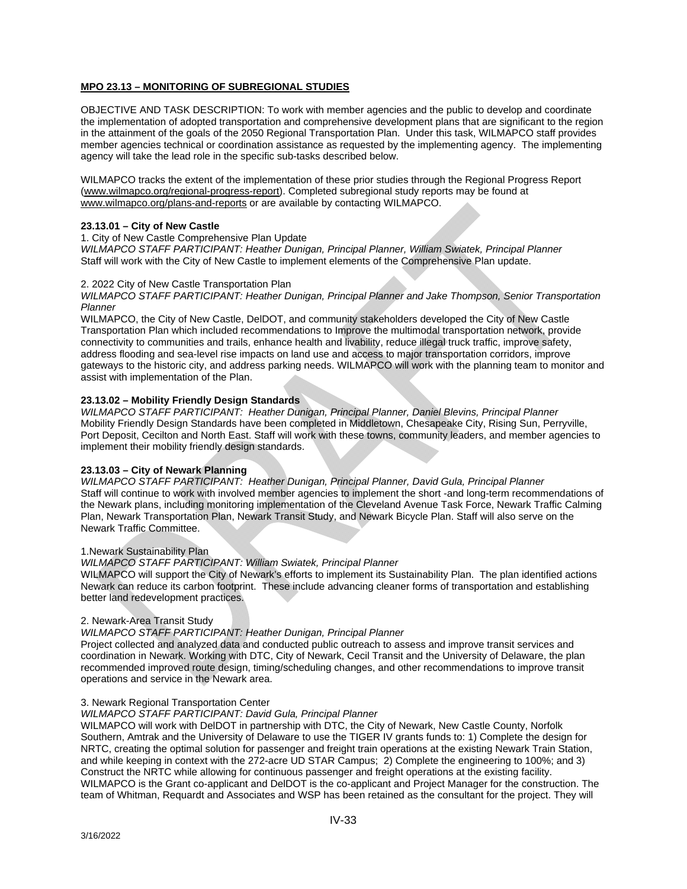#### **MPO 23.13 – MONITORING OF SUBREGIONAL STUDIES**

OBJECTIVE AND TASK DESCRIPTION: To work with member agencies and the public to develop and coordinate the implementation of adopted transportation and comprehensive development plans that are significant to the region in the attainment of the goals of the 2050 Regional Transportation Plan. Under this task, WILMAPCO staff provides member agencies technical or coordination assistance as requested by the implementing agency. The implementing agency will take the lead role in the specific sub-tasks described below.

WILMAPCO tracks the extent of the implementation of these prior studies through the Regional Progress Report (www.wilmapco.org/regional-progress-report). Completed subregional study reports may be found at www.wilmapco.org/plans-and-reports or are available by contacting WILMAPCO.

#### **23.13.01 – City of New Castle**

#### 1. City of New Castle Comprehensive Plan Update

*WILMAPCO STAFF PARTICIPANT: Heather Dunigan, Principal Planner, William Swiatek, Principal Planner*  Staff will work with the City of New Castle to implement elements of the Comprehensive Plan update.

#### 2. 2022 City of New Castle Transportation Plan

*WILMAPCO STAFF PARTICIPANT: Heather Dunigan, Principal Planner and Jake Thompson, Senior Transportation Planner* 

WILMAPCO, the City of New Castle, DelDOT, and community stakeholders developed the City of New Castle Transportation Plan which included recommendations to Improve the multimodal transportation network, provide connectivity to communities and trails, enhance health and livability, reduce illegal truck traffic, improve safety, address flooding and sea-level rise impacts on land use and access to major transportation corridors, improve gateways to the historic city, and address parking needs. WILMAPCO will work with the planning team to monitor and assist with implementation of the Plan.

#### **23.13.02 – Mobility Friendly Design Standards**

*WILMAPCO STAFF PARTICIPANT: Heather Dunigan, Principal Planner, Daniel Blevins, Principal Planner*  Mobility Friendly Design Standards have been completed in Middletown, Chesapeake City, Rising Sun, Perryville, Port Deposit, Cecilton and North East. Staff will work with these towns, community leaders, and member agencies to implement their mobility friendly design standards.

#### **23.13.03 – City of Newark Planning**

*WILMAPCO STAFF PARTICIPANT: Heather Dunigan, Principal Planner, David Gula, Principal Planner*  Staff will continue to work with involved member agencies to implement the short -and long-term recommendations of the Newark plans, including monitoring implementation of the Cleveland Avenue Task Force, Newark Traffic Calming Plan, Newark Transportation Plan, Newark Transit Study, and Newark Bicycle Plan. Staff will also serve on the Newark Traffic Committee.

#### 1.Newark Sustainability Plan

#### *WILMAPCO STAFF PARTICIPANT: William Swiatek, Principal Planner*

WILMAPCO will support the City of Newark's efforts to implement its Sustainability Plan. The plan identified actions Newark can reduce its carbon footprint. These include advancing cleaner forms of transportation and establishing better land redevelopment practices.

#### 2. Newark-Area Transit Study

#### *WILMAPCO STAFF PARTICIPANT: Heather Dunigan, Principal Planner*

Project collected and analyzed data and conducted public outreach to assess and improve transit services and coordination in Newark. Working with DTC, City of Newark, Cecil Transit and the University of Delaware, the plan recommended improved route design, timing/scheduling changes, and other recommendations to improve transit operations and service in the Newark area.

#### 3. Newark Regional Transportation Center

*WILMAPCO STAFF PARTICIPANT: David Gula, Principal Planner* 

WILMAPCO will work with DelDOT in partnership with DTC, the City of Newark, New Castle County, Norfolk Southern, Amtrak and the University of Delaware to use the TIGER IV grants funds to: 1) Complete the design for NRTC, creating the optimal solution for passenger and freight train operations at the existing Newark Train Station, and while keeping in context with the 272-acre UD STAR Campus; 2) Complete the engineering to 100%; and 3) Construct the NRTC while allowing for continuous passenger and freight operations at the existing facility. WILMAPCO is the Grant co-applicant and DelDOT is the co-applicant and Project Manager for the construction. The team of Whitman, Requardt and Associates and WSP has been retained as the consultant for the project. They will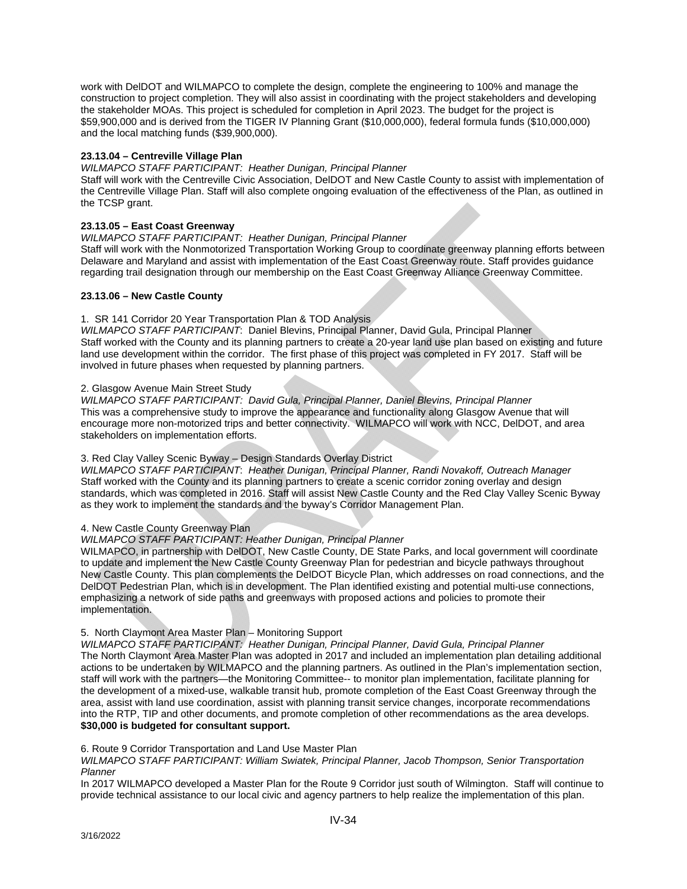work with DelDOT and WILMAPCO to complete the design, complete the engineering to 100% and manage the construction to project completion. They will also assist in coordinating with the project stakeholders and developing the stakeholder MOAs. This project is scheduled for completion in April 2023. The budget for the project is \$59,900,000 and is derived from the TIGER IV Planning Grant (\$10,000,000), federal formula funds (\$10,000,000) and the local matching funds (\$39,900,000).

#### **23.13.04 – Centreville Village Plan**

#### *WILMAPCO STAFF PARTICIPANT: Heather Dunigan, Principal Planner*

Staff will work with the Centreville Civic Association, DelDOT and New Castle County to assist with implementation of the Centreville Village Plan. Staff will also complete ongoing evaluation of the effectiveness of the Plan, as outlined in the TCSP grant.

#### **23.13.05 – East Coast Greenway**

#### *WILMAPCO STAFF PARTICIPANT: Heather Dunigan, Principal Planner*

Staff will work with the Nonmotorized Transportation Working Group to coordinate greenway planning efforts between Delaware and Maryland and assist with implementation of the East Coast Greenway route. Staff provides guidance regarding trail designation through our membership on the East Coast Greenway Alliance Greenway Committee.

#### **23.13.06 – New Castle County**

#### 1. SR 141 Corridor 20 Year Transportation Plan & TOD Analysis

*WILMAPCO STAFF PARTICIPANT*: Daniel Blevins, Principal Planner, David Gula, Principal Planner Staff worked with the County and its planning partners to create a 20-year land use plan based on existing and future land use development within the corridor. The first phase of this project was completed in FY 2017. Staff will be involved in future phases when requested by planning partners.

#### 2. Glasgow Avenue Main Street Study

*WILMAPCO STAFF PARTICIPANT: David Gula, Principal Planner, Daniel Blevins, Principal Planner* This was a comprehensive study to improve the appearance and functionality along Glasgow Avenue that will encourage more non-motorized trips and better connectivity. WILMAPCO will work with NCC, DelDOT, and area stakeholders on implementation efforts.

#### 3. Red Clay Valley Scenic Byway – Design Standards Overlay District

*WILMAPCO STAFF PARTICIPANT*: *Heather Dunigan, Principal Planner, Randi Novakoff, Outreach Manager* Staff worked with the County and its planning partners to create a scenic corridor zoning overlay and design standards, which was completed in 2016. Staff will assist New Castle County and the Red Clay Valley Scenic Byway as they work to implement the standards and the byway's Corridor Management Plan.

#### 4. New Castle County Greenway Plan

#### *WILMAPCO STAFF PARTICIPANT: Heather Dunigan, Principal Planner*

WILMAPCO, in partnership with DelDOT, New Castle County, DE State Parks, and local government will coordinate to update and implement the New Castle County Greenway Plan for pedestrian and bicycle pathways throughout New Castle County. This plan complements the DelDOT Bicycle Plan, which addresses on road connections, and the DelDOT Pedestrian Plan, which is in development. The Plan identified existing and potential multi-use connections, emphasizing a network of side paths and greenways with proposed actions and policies to promote their implementation.

#### 5. North Claymont Area Master Plan – Monitoring Support

*WILMAPCO STAFF PARTICIPANT: Heather Dunigan, Principal Planner, David Gula, Principal Planner*  The North Claymont Area Master Plan was adopted in 2017 and included an implementation plan detailing additional actions to be undertaken by WILMAPCO and the planning partners. As outlined in the Plan's implementation section, staff will work with the partners—the Monitoring Committee-- to monitor plan implementation, facilitate planning for the development of a mixed-use, walkable transit hub, promote completion of the East Coast Greenway through the area, assist with land use coordination, assist with planning transit service changes, incorporate recommendations into the RTP, TIP and other documents, and promote completion of other recommendations as the area develops. **\$30,000 is budgeted for consultant support.** 

#### 6. Route 9 Corridor Transportation and Land Use Master Plan

*WILMAPCO STAFF PARTICIPANT: William Swiatek, Principal Planner, Jacob Thompson, Senior Transportation Planner* 

In 2017 WILMAPCO developed a Master Plan for the Route 9 Corridor just south of Wilmington. Staff will continue to provide technical assistance to our local civic and agency partners to help realize the implementation of this plan.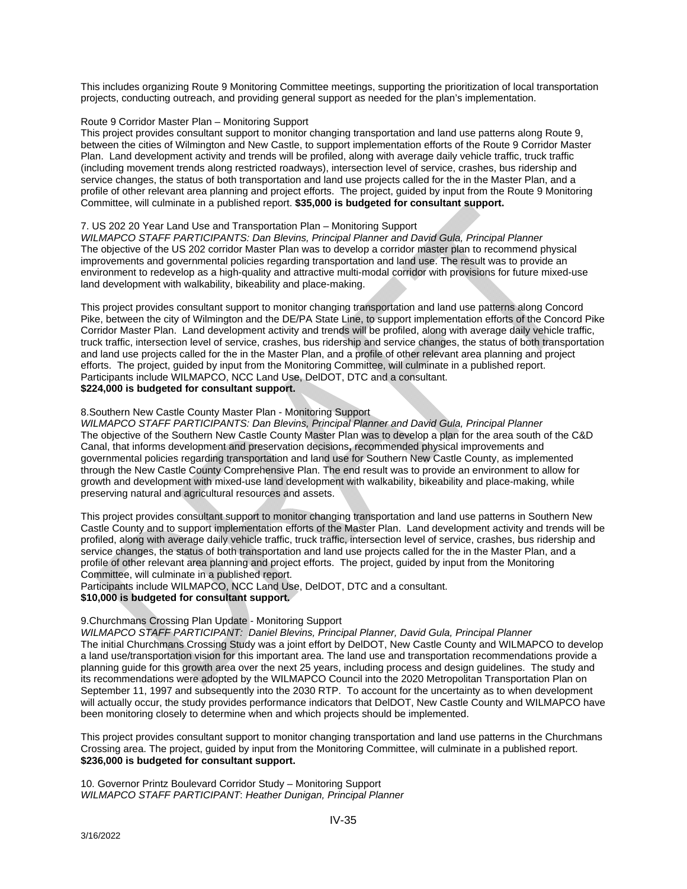This includes organizing Route 9 Monitoring Committee meetings, supporting the prioritization of local transportation projects, conducting outreach, and providing general support as needed for the plan's implementation.

#### Route 9 Corridor Master Plan – Monitoring Support

This project provides consultant support to monitor changing transportation and land use patterns along Route 9, between the cities of Wilmington and New Castle, to support implementation efforts of the Route 9 Corridor Master Plan. Land development activity and trends will be profiled, along with average daily vehicle traffic, truck traffic (including movement trends along restricted roadways), intersection level of service, crashes, bus ridership and service changes, the status of both transportation and land use projects called for the in the Master Plan, and a profile of other relevant area planning and project efforts. The project, guided by input from the Route 9 Monitoring Committee, will culminate in a published report. **\$35,000 is budgeted for consultant support.**

#### 7. US 202 20 Year Land Use and Transportation Plan – Monitoring Support

*WILMAPCO STAFF PARTICIPANTS: Dan Blevins, Principal Planner and David Gula, Principal Planner*  The objective of the US 202 corridor Master Plan was to develop a corridor master plan to recommend physical improvements and governmental policies regarding transportation and land use. The result was to provide an environment to redevelop as a high-quality and attractive multi-modal corridor with provisions for future mixed-use land development with walkability, bikeability and place-making.

This project provides consultant support to monitor changing transportation and land use patterns along Concord Pike, between the city of Wilmington and the DE/PA State Line, to support implementation efforts of the Concord Pike Corridor Master Plan. Land development activity and trends will be profiled, along with average daily vehicle traffic, truck traffic, intersection level of service, crashes, bus ridership and service changes, the status of both transportation and land use projects called for the in the Master Plan, and a profile of other relevant area planning and project efforts. The project, guided by input from the Monitoring Committee, will culminate in a published report. Participants include WILMAPCO, NCC Land Use, DelDOT, DTC and a consultant. **\$224,000 is budgeted for consultant support.** 

#### 8.Southern New Castle County Master Plan - Monitoring Support

*WILMAPCO STAFF PARTICIPANTS: Dan Blevins, Principal Planner and David Gula, Principal Planner*  The objective of the Southern New Castle County Master Plan was to develop a plan for the area south of the C&D Canal, that informs development and preservation decisions**,** recommended physical improvements and governmental policies regarding transportation and land use for Southern New Castle County, as implemented through the New Castle County Comprehensive Plan. The end result was to provide an environment to allow for growth and development with mixed-use land development with walkability, bikeability and place-making, while preserving natural and agricultural resources and assets.

This project provides consultant support to monitor changing transportation and land use patterns in Southern New Castle County and to support implementation efforts of the Master Plan. Land development activity and trends will be profiled, along with average daily vehicle traffic, truck traffic, intersection level of service, crashes, bus ridership and service changes, the status of both transportation and land use projects called for the in the Master Plan, and a profile of other relevant area planning and project efforts. The project, guided by input from the Monitoring Committee, will culminate in a published report.

Participants include WILMAPCO, NCC Land Use, DelDOT, DTC and a consultant.

#### **\$10,000 is budgeted for consultant support.**

#### 9.Churchmans Crossing Plan Update - Monitoring Support

*WILMAPCO STAFF PARTICIPANT: Daniel Blevins, Principal Planner, David Gula, Principal Planner*  The initial Churchmans Crossing Study was a joint effort by DelDOT, New Castle County and WILMAPCO to develop a land use/transportation vision for this important area. The land use and transportation recommendations provide a planning guide for this growth area over the next 25 years, including process and design guidelines. The study and its recommendations were adopted by the WILMAPCO Council into the 2020 Metropolitan Transportation Plan on September 11, 1997 and subsequently into the 2030 RTP. To account for the uncertainty as to when development will actually occur, the study provides performance indicators that DelDOT, New Castle County and WILMAPCO have been monitoring closely to determine when and which projects should be implemented.

This project provides consultant support to monitor changing transportation and land use patterns in the Churchmans Crossing area. The project, guided by input from the Monitoring Committee, will culminate in a published report. **\$236,000 is budgeted for consultant support.**

10. Governor Printz Boulevard Corridor Study – Monitoring Support *WILMAPCO STAFF PARTICIPANT*: *Heather Dunigan, Principal Planner*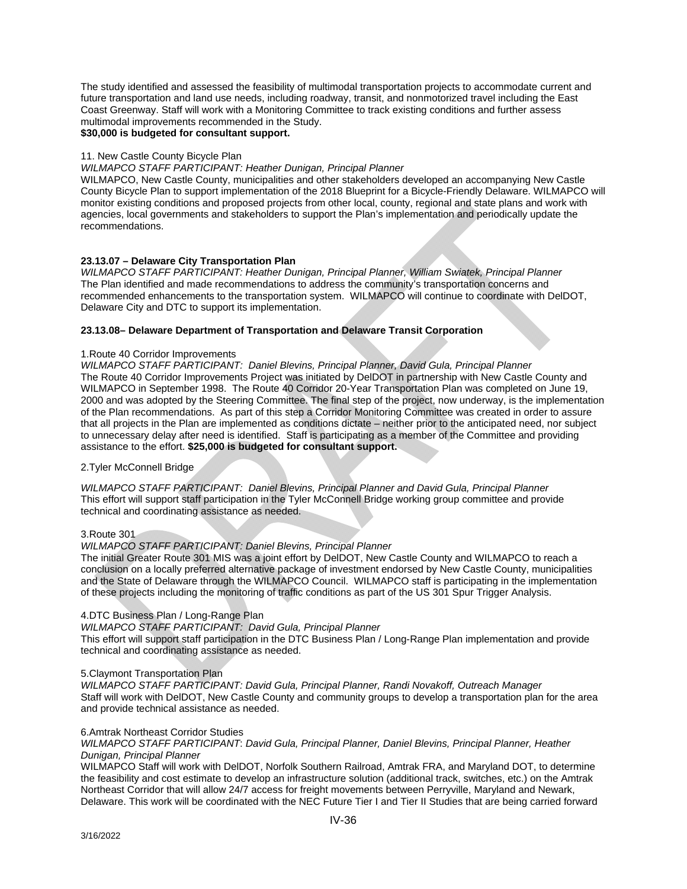The study identified and assessed the feasibility of multimodal transportation projects to accommodate current and future transportation and land use needs, including roadway, transit, and nonmotorized travel including the East Coast Greenway. Staff will work with a Monitoring Committee to track existing conditions and further assess multimodal improvements recommended in the Study.

## **\$30,000 is budgeted for consultant support.**

#### 11. New Castle County Bicycle Plan

#### *WILMAPCO STAFF PARTICIPANT: Heather Dunigan, Principal Planner*

WILMAPCO, New Castle County, municipalities and other stakeholders developed an accompanying New Castle County Bicycle Plan to support implementation of the 2018 Blueprint for a Bicycle-Friendly Delaware. WILMAPCO will monitor existing conditions and proposed projects from other local, county, regional and state plans and work with agencies, local governments and stakeholders to support the Plan's implementation and periodically update the recommendations.

#### **23.13.07 – Delaware City Transportation Plan**

*WILMAPCO STAFF PARTICIPANT: Heather Dunigan, Principal Planner, William Swiatek, Principal Planner*  The Plan identified and made recommendations to address the community's transportation concerns and recommended enhancements to the transportation system. WILMAPCO will continue to coordinate with DelDOT, Delaware City and DTC to support its implementation.

#### **23.13.08– Delaware Department of Transportation and Delaware Transit Corporation**

#### 1.Route 40 Corridor Improvements

*WILMAPCO STAFF PARTICIPANT: Daniel Blevins, Principal Planner, David Gula, Principal Planner*  The Route 40 Corridor Improvements Project was initiated by DelDOT in partnership with New Castle County and WILMAPCO in September 1998. The Route 40 Corridor 20-Year Transportation Plan was completed on June 19, 2000 and was adopted by the Steering Committee. The final step of the project, now underway, is the implementation of the Plan recommendations. As part of this step a Corridor Monitoring Committee was created in order to assure that all projects in the Plan are implemented as conditions dictate – neither prior to the anticipated need, nor subject to unnecessary delay after need is identified. Staff is participating as a member of the Committee and providing assistance to the effort. **\$25,000 is budgeted for consultant support.**

#### 2.Tyler McConnell Bridge

*WILMAPCO STAFF PARTICIPANT: Daniel Blevins, Principal Planner and David Gula, Principal Planner*  This effort will support staff participation in the Tyler McConnell Bridge working group committee and provide technical and coordinating assistance as needed.

#### 3.Route 301

#### *WILMAPCO STAFF PARTICIPANT: Daniel Blevins, Principal Planner*

The initial Greater Route 301 MIS was a joint effort by DelDOT, New Castle County and WILMAPCO to reach a conclusion on a locally preferred alternative package of investment endorsed by New Castle County, municipalities and the State of Delaware through the WILMAPCO Council. WILMAPCO staff is participating in the implementation of these projects including the monitoring of traffic conditions as part of the US 301 Spur Trigger Analysis.

#### 4.DTC Business Plan / Long-Range Plan

*WILMAPCO STAFF PARTICIPANT: David Gula, Principal Planner* 

This effort will support staff participation in the DTC Business Plan / Long-Range Plan implementation and provide technical and coordinating assistance as needed.

#### 5.Claymont Transportation Plan

*WILMAPCO STAFF PARTICIPANT: David Gula, Principal Planner, Randi Novakoff, Outreach Manager*  Staff will work with DelDOT, New Castle County and community groups to develop a transportation plan for the area and provide technical assistance as needed.

#### 6.Amtrak Northeast Corridor Studies

#### *WILMAPCO STAFF PARTICIPANT*: *David Gula, Principal Planner, Daniel Blevins, Principal Planner, Heather Dunigan, Principal Planner*

WILMAPCO Staff will work with DelDOT, Norfolk Southern Railroad, Amtrak FRA, and Maryland DOT, to determine the feasibility and cost estimate to develop an infrastructure solution (additional track, switches, etc.) on the Amtrak Northeast Corridor that will allow 24/7 access for freight movements between Perryville, Maryland and Newark, Delaware. This work will be coordinated with the NEC Future Tier I and Tier II Studies that are being carried forward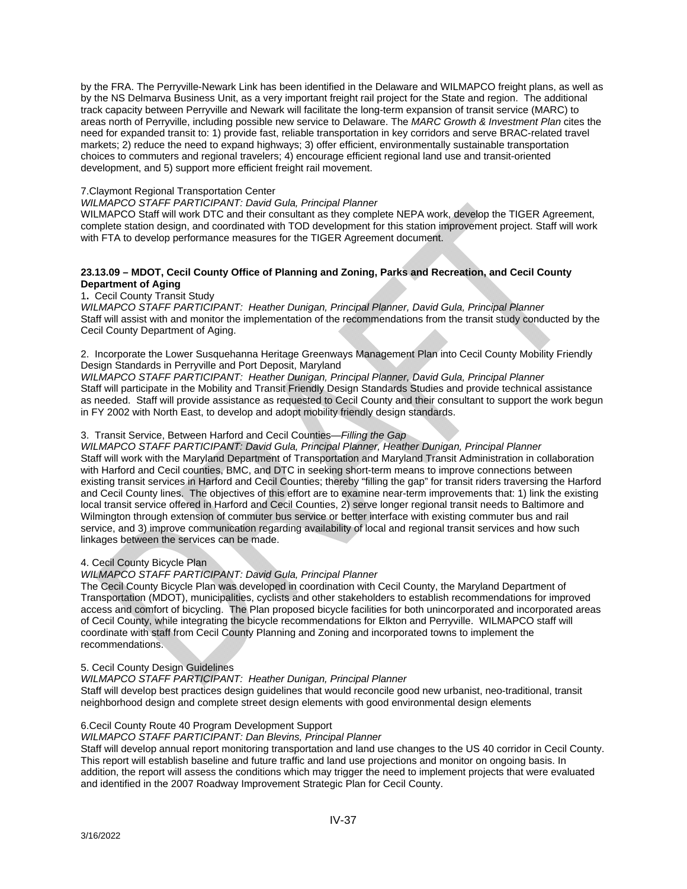by the FRA. The Perryville-Newark Link has been identified in the Delaware and WILMAPCO freight plans, as well as by the NS Delmarva Business Unit, as a very important freight rail project for the State and region. The additional track capacity between Perryville and Newark will facilitate the long-term expansion of transit service (MARC) to areas north of Perryville, including possible new service to Delaware. The *MARC Growth & Investment Plan* cites the need for expanded transit to: 1) provide fast, reliable transportation in key corridors and serve BRAC-related travel markets; 2) reduce the need to expand highways; 3) offer efficient, environmentally sustainable transportation choices to commuters and regional travelers; 4) encourage efficient regional land use and transit-oriented development, and 5) support more efficient freight rail movement.

#### 7.Claymont Regional Transportation Center

*WILMAPCO STAFF PARTICIPANT: David Gula, Principal Planner* 

WILMAPCO Staff will work DTC and their consultant as they complete NEPA work, develop the TIGER Agreement, complete station design, and coordinated with TOD development for this station improvement project. Staff will work with FTA to develop performance measures for the TIGER Agreement document.

#### **23.13.09 – MDOT, Cecil County Office of Planning and Zoning, Parks and Recreation, and Cecil County Department of Aging**

1**.** Cecil County Transit Study

*WILMAPCO STAFF PARTICIPANT: Heather Dunigan, Principal Planner, David Gula, Principal Planner*  Staff will assist with and monitor the implementation of the recommendations from the transit study conducted by the Cecil County Department of Aging.

2. Incorporate the Lower Susquehanna Heritage Greenways Management Plan into Cecil County Mobility Friendly Design Standards in Perryville and Port Deposit, Maryland

*WILMAPCO STAFF PARTICIPANT: Heather Dunigan, Principal Planner, David Gula, Principal Planner*  Staff will participate in the Mobility and Transit Friendly Design Standards Studies and provide technical assistance as needed. Staff will provide assistance as requested to Cecil County and their consultant to support the work begun in FY 2002 with North East, to develop and adopt mobility friendly design standards.

#### 3. Transit Service, Between Harford and Cecil Counties—*Filling the Gap*

*WILMAPCO STAFF PARTICIPANT: David Gula, Principal Planner, Heather Dunigan, Principal Planner*  Staff will work with the Maryland Department of Transportation and Maryland Transit Administration in collaboration with Harford and Cecil counties, BMC, and DTC in seeking short-term means to improve connections between existing transit services in Harford and Cecil Counties; thereby "filling the gap" for transit riders traversing the Harford and Cecil County lines. The objectives of this effort are to examine near-term improvements that: 1) link the existing local transit service offered in Harford and Cecil Counties, 2) serve longer regional transit needs to Baltimore and Wilmington through extension of commuter bus service or better interface with existing commuter bus and rail service, and 3) improve communication regarding availability of local and regional transit services and how such linkages between the services can be made.

#### 4. Cecil County Bicycle Plan

#### *WILMAPCO STAFF PARTICIPANT: David Gula, Principal Planner*

The Cecil County Bicycle Plan was developed in coordination with Cecil County, the Maryland Department of Transportation (MDOT), municipalities, cyclists and other stakeholders to establish recommendations for improved access and comfort of bicycling. The Plan proposed bicycle facilities for both unincorporated and incorporated areas of Cecil County, while integrating the bicycle recommendations for Elkton and Perryville. WILMAPCO staff will coordinate with staff from Cecil County Planning and Zoning and incorporated towns to implement the recommendations.

#### 5. Cecil County Design Guidelines

*WILMAPCO STAFF PARTICIPANT: Heather Dunigan, Principal Planner*

Staff will develop best practices design guidelines that would reconcile good new urbanist, neo-traditional, transit neighborhood design and complete street design elements with good environmental design elements

#### 6.Cecil County Route 40 Program Development Support

*WILMAPCO STAFF PARTICIPANT: Dan Blevins, Principal Planner* 

Staff will develop annual report monitoring transportation and land use changes to the US 40 corridor in Cecil County. This report will establish baseline and future traffic and land use projections and monitor on ongoing basis. In addition, the report will assess the conditions which may trigger the need to implement projects that were evaluated and identified in the 2007 Roadway Improvement Strategic Plan for Cecil County.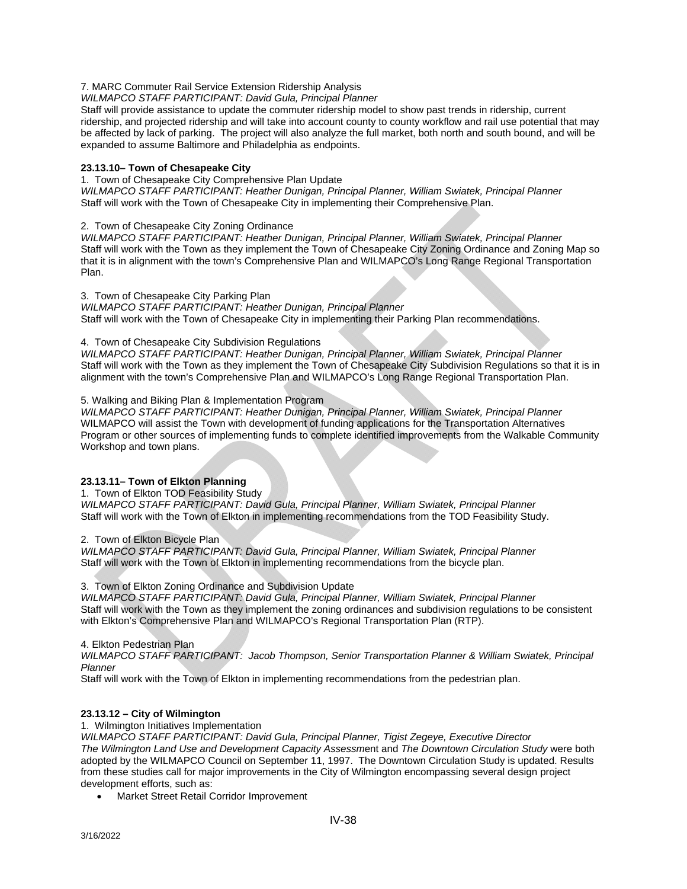#### 7. MARC Commuter Rail Service Extension Ridership Analysis

#### *WILMAPCO STAFF PARTICIPANT: David Gula, Principal Planner*

Staff will provide assistance to update the commuter ridership model to show past trends in ridership, current ridership, and projected ridership and will take into account county to county workflow and rail use potential that may be affected by lack of parking. The project will also analyze the full market, both north and south bound, and will be expanded to assume Baltimore and Philadelphia as endpoints.

#### **23.13.10– Town of Chesapeake City**

1. Town of Chesapeake City Comprehensive Plan Update

*WILMAPCO STAFF PARTICIPANT: Heather Dunigan, Principal Planner, William Swiatek, Principal Planner*  Staff will work with the Town of Chesapeake City in implementing their Comprehensive Plan.

#### 2.Town of Chesapeake City Zoning Ordinance

*WILMAPCO STAFF PARTICIPANT: Heather Dunigan, Principal Planner, William Swiatek, Principal Planner*  Staff will work with the Town as they implement the Town of Chesapeake City Zoning Ordinance and Zoning Map so that it is in alignment with the town's Comprehensive Plan and WILMAPCO's Long Range Regional Transportation Plan.

3. Town of Chesapeake City Parking Plan

*WILMAPCO STAFF PARTICIPANT: Heather Dunigan, Principal Planner*  Staff will work with the Town of Chesapeake City in implementing their Parking Plan recommendations.

#### 4. Town of Chesapeake City Subdivision Regulations

*WILMAPCO STAFF PARTICIPANT: Heather Dunigan, Principal Planner, William Swiatek, Principal Planner*  Staff will work with the Town as they implement the Town of Chesapeake City Subdivision Regulations so that it is in alignment with the town's Comprehensive Plan and WILMAPCO's Long Range Regional Transportation Plan.

#### 5. Walking and Biking Plan & Implementation Program

*WILMAPCO STAFF PARTICIPANT: Heather Dunigan, Principal Planner, William Swiatek, Principal Planner*  WILMAPCO will assist the Town with development of funding applications for the Transportation Alternatives Program or other sources of implementing funds to complete identified improvements from the Walkable Community Workshop and town plans.

#### **23.13.11– Town of Elkton Planning**

1. Town of Elkton TOD Feasibility Study

*WILMAPCO STAFF PARTICIPANT: David Gula, Principal Planner, William Swiatek, Principal Planner*  Staff will work with the Town of Elkton in implementing recommendations from the TOD Feasibility Study.

#### 2. Town of Elkton Bicycle Plan

*WILMAPCO STAFF PARTICIPANT: David Gula, Principal Planner, William Swiatek, Principal Planner* Staff will work with the Town of Elkton in implementing recommendations from the bicycle plan.

#### 3. Town of Elkton Zoning Ordinance and Subdivision Update

*WILMAPCO STAFF PARTICIPANT: David Gula, Principal Planner, William Swiatek, Principal Planner*  Staff will work with the Town as they implement the zoning ordinances and subdivision regulations to be consistent with Elkton's Comprehensive Plan and WILMAPCO's Regional Transportation Plan (RTP).

#### 4. Elkton Pedestrian Plan

*WILMAPCO STAFF PARTICIPANT: Jacob Thompson, Senior Transportation Planner & William Swiatek, Principal Planner*

Staff will work with the Town of Elkton in implementing recommendations from the pedestrian plan.

#### **23.13.12 – City of Wilmington**

1. Wilmington Initiatives Implementation

*WILMAPCO STAFF PARTICIPANT: David Gula, Principal Planner, Tigist Zegeye, Executive Director The Wilmington Land Use and Development Capacity Assessm*ent and *The Downtown Circulation Study* were both adopted by the WILMAPCO Council on September 11, 1997. The Downtown Circulation Study is updated. Results from these studies call for major improvements in the City of Wilmington encompassing several design project development efforts, such as:

Market Street Retail Corridor Improvement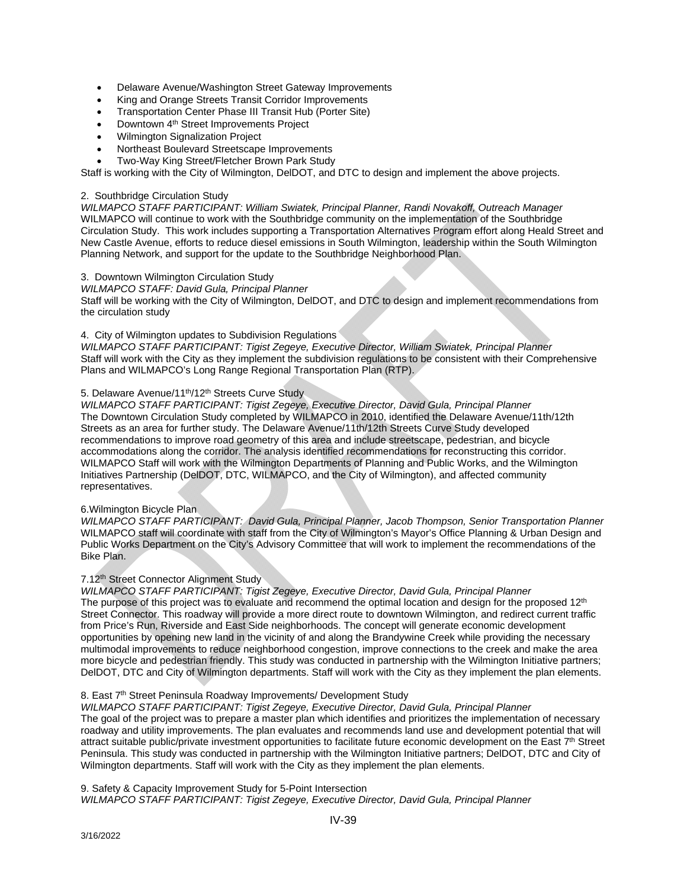- Delaware Avenue/Washington Street Gateway Improvements
- King and Orange Streets Transit Corridor Improvements
- Transportation Center Phase III Transit Hub (Porter Site)
- Downtown 4th Street Improvements Project
- Wilmington Signalization Project
- Northeast Boulevard Streetscape Improvements
- Two-Way King Street/Fletcher Brown Park Study

Staff is working with the City of Wilmington, DelDOT, and DTC to design and implement the above projects.

#### 2. Southbridge Circulation Study

*WILMAPCO STAFF PARTICIPANT: William Swiatek, Principal Planner, Randi Novakoff, Outreach Manager*  WILMAPCO will continue to work with the Southbridge community on the implementation of the Southbridge Circulation Study. This work includes supporting a Transportation Alternatives Program effort along Heald Street and New Castle Avenue, efforts to reduce diesel emissions in South Wilmington, leadership within the South Wilmington Planning Network, and support for the update to the Southbridge Neighborhood Plan.

#### 3. Downtown Wilmington Circulation Study

#### *WILMAPCO STAFF: David Gula, Principal Planner*

Staff will be working with the City of Wilmington, DelDOT, and DTC to design and implement recommendations from the circulation study

#### 4. City of Wilmington updates to Subdivision Regulations

*WILMAPCO STAFF PARTICIPANT: Tigist Zegeye, Executive Director, William Swiatek, Principal Planner*  Staff will work with the City as they implement the subdivision regulations to be consistent with their Comprehensive Plans and WILMAPCO's Long Range Regional Transportation Plan (RTP).

#### 5. Delaware Avenue/11<sup>th</sup>/12<sup>th</sup> Streets Curve Study

*WILMAPCO STAFF PARTICIPANT: Tigist Zegeye, Executive Director, David Gula, Principal Planner*  The Downtown Circulation Study completed by WILMAPCO in 2010, identified the Delaware Avenue/11th/12th Streets as an area for further study. The Delaware Avenue/11th/12th Streets Curve Study developed recommendations to improve road geometry of this area and include streetscape, pedestrian, and bicycle accommodations along the corridor. The analysis identified recommendations for reconstructing this corridor. WILMAPCO Staff will work with the Wilmington Departments of Planning and Public Works, and the Wilmington Initiatives Partnership (DelDOT, DTC, WILMAPCO, and the City of Wilmington), and affected community representatives.

#### 6.Wilmington Bicycle Plan

*WILMAPCO STAFF PARTICIPANT: David Gula, Principal Planner, Jacob Thompson, Senior Transportation Planner*  WILMAPCO staff will coordinate with staff from the City of Wilmington's Mayor's Office Planning & Urban Design and Public Works Department on the City's Advisory Committee that will work to implement the recommendations of the Bike Plan.

#### 7.12th Street Connector Alignment Study

*WILMAPCO STAFF PARTICIPANT: Tigist Zegeye, Executive Director, David Gula, Principal Planner*  The purpose of this project was to evaluate and recommend the optimal location and design for the proposed  $12<sup>th</sup>$ Street Connector. This roadway will provide a more direct route to downtown Wilmington, and redirect current traffic from Price's Run, Riverside and East Side neighborhoods. The concept will generate economic development opportunities by opening new land in the vicinity of and along the Brandywine Creek while providing the necessary multimodal improvements to reduce neighborhood congestion, improve connections to the creek and make the area more bicycle and pedestrian friendly. This study was conducted in partnership with the Wilmington Initiative partners; DelDOT, DTC and City of Wilmington departments. Staff will work with the City as they implement the plan elements.

#### 8. East 7<sup>th</sup> Street Peninsula Roadway Improvements/ Development Study

#### *WILMAPCO STAFF PARTICIPANT: Tigist Zegeye, Executive Director, David Gula, Principal Planner*

The goal of the project was to prepare a master plan which identifies and prioritizes the implementation of necessary roadway and utility improvements. The plan evaluates and recommends land use and development potential that will attract suitable public/private investment opportunities to facilitate future economic development on the East 7<sup>th</sup> Street Peninsula. This study was conducted in partnership with the Wilmington Initiative partners; DelDOT, DTC and City of Wilmington departments. Staff will work with the City as they implement the plan elements.

9. Safety & Capacity Improvement Study for 5-Point Intersection *WILMAPCO STAFF PARTICIPANT: Tigist Zegeye, Executive Director, David Gula, Principal Planner*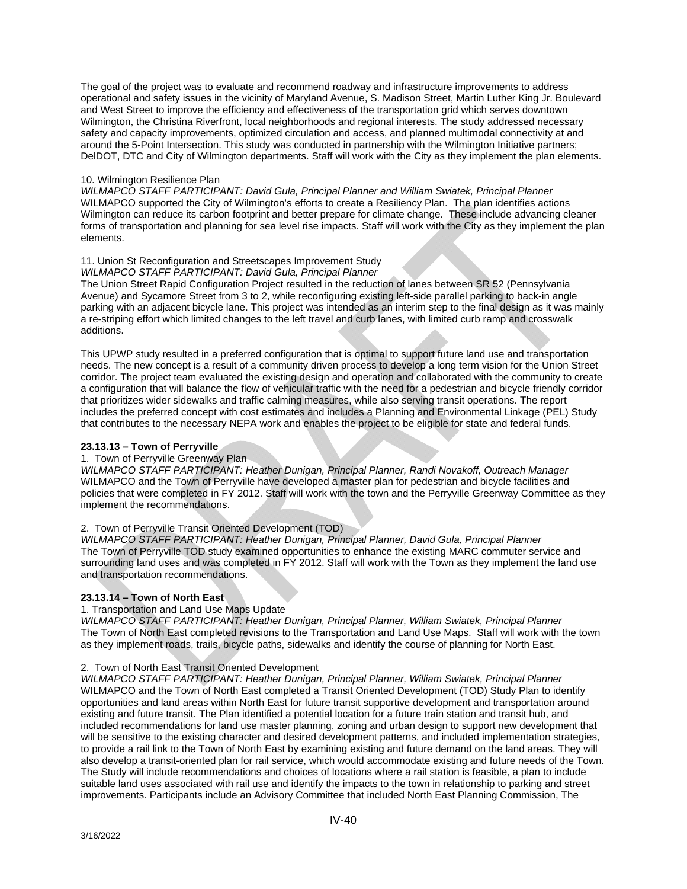The goal of the project was to evaluate and recommend roadway and infrastructure improvements to address operational and safety issues in the vicinity of Maryland Avenue, S. Madison Street, Martin Luther King Jr. Boulevard and West Street to improve the efficiency and effectiveness of the transportation grid which serves downtown Wilmington, the Christina Riverfront, local neighborhoods and regional interests. The study addressed necessary safety and capacity improvements, optimized circulation and access, and planned multimodal connectivity at and around the 5-Point Intersection. This study was conducted in partnership with the Wilmington Initiative partners; DelDOT, DTC and City of Wilmington departments. Staff will work with the City as they implement the plan elements.

#### 10. Wilmington Resilience Plan

*WILMAPCO STAFF PARTICIPANT: David Gula, Principal Planner and William Swiatek, Principal Planner*  WILMAPCO supported the City of Wilmington's efforts to create a Resiliency Plan. The plan identifies actions Wilmington can reduce its carbon footprint and better prepare for climate change. These include advancing cleaner forms of transportation and planning for sea level rise impacts. Staff will work with the City as they implement the plan elements.

#### 11. Union St Reconfiguration and Streetscapes Improvement Study *WILMAPCO STAFF PARTICIPANT: David Gula, Principal Planner*

The Union Street Rapid Configuration Project resulted in the reduction of lanes between SR 52 (Pennsylvania Avenue) and Sycamore Street from 3 to 2, while reconfiguring existing left-side parallel parking to back-in angle parking with an adjacent bicycle lane. This project was intended as an interim step to the final design as it was mainly a re-striping effort which limited changes to the left travel and curb lanes, with limited curb ramp and crosswalk additions.

This UPWP study resulted in a preferred configuration that is optimal to support future land use and transportation needs. The new concept is a result of a community driven process to develop a long term vision for the Union Street corridor. The project team evaluated the existing design and operation and collaborated with the community to create a configuration that will balance the flow of vehicular traffic with the need for a pedestrian and bicycle friendly corridor that prioritizes wider sidewalks and traffic calming measures, while also serving transit operations. The report includes the preferred concept with cost estimates and includes a Planning and Environmental Linkage (PEL) Study that contributes to the necessary NEPA work and enables the project to be eligible for state and federal funds.

#### **23.13.13 – Town of Perryville**

#### 1. Town of Perryville Greenway Plan

*WILMAPCO STAFF PARTICIPANT: Heather Dunigan, Principal Planner, Randi Novakoff, Outreach Manager*  WILMAPCO and the Town of Perryville have developed a master plan for pedestrian and bicycle facilities and policies that were completed in FY 2012. Staff will work with the town and the Perryville Greenway Committee as they implement the recommendations.

#### 2. Town of Perryville Transit Oriented Development (TOD)

*WILMAPCO STAFF PARTICIPANT: Heather Dunigan, Principal Planner, David Gula, Principal Planner*  The Town of Perryville TOD study examined opportunities to enhance the existing MARC commuter service and surrounding land uses and was completed in FY 2012. Staff will work with the Town as they implement the land use and transportation recommendations.

#### **23.13.14 – Town of North East**

#### 1. Transportation and Land Use Maps Update

*WILMAPCO STAFF PARTICIPANT: Heather Dunigan, Principal Planner, William Swiatek, Principal Planner*  The Town of North East completed revisions to the Transportation and Land Use Maps. Staff will work with the town as they implement roads, trails, bicycle paths, sidewalks and identify the course of planning for North East.

#### 2. Town of North East Transit Oriented Development

*WILMAPCO STAFF PARTICIPANT: Heather Dunigan, Principal Planner, William Swiatek, Principal Planner*  WILMAPCO and the Town of North East completed a Transit Oriented Development (TOD) Study Plan to identify opportunities and land areas within North East for future transit supportive development and transportation around existing and future transit. The Plan identified a potential location for a future train station and transit hub, and included recommendations for land use master planning, zoning and urban design to support new development that will be sensitive to the existing character and desired development patterns, and included implementation strategies, to provide a rail link to the Town of North East by examining existing and future demand on the land areas. They will also develop a transit-oriented plan for rail service, which would accommodate existing and future needs of the Town. The Study will include recommendations and choices of locations where a rail station is feasible, a plan to include suitable land uses associated with rail use and identify the impacts to the town in relationship to parking and street improvements. Participants include an Advisory Committee that included North East Planning Commission, The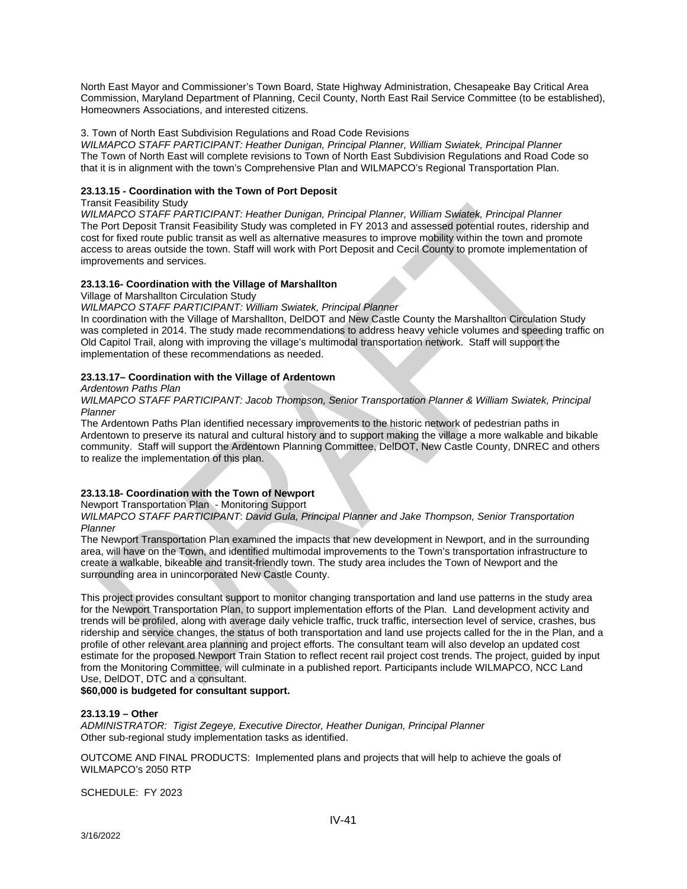North East Mayor and Commissioner's Town Board, State Highway Administration, Chesapeake Bay Critical Area Commission, Maryland Department of Planning, Cecil County, North East Rail Service Committee (to be established), Homeowners Associations, and interested citizens.

#### 3. Town of North East Subdivision Regulations and Road Code Revisions

*WILMAPCO STAFF PARTICIPANT: Heather Dunigan, Principal Planner, William Swiatek, Principal Planner*  The Town of North East will complete revisions to Town of North East Subdivision Regulations and Road Code so that it is in alignment with the town's Comprehensive Plan and WILMAPCO's Regional Transportation Plan.

#### **23.13.15 - Coordination with the Town of Port Deposit**

#### Transit Feasibility Study

*WILMAPCO STAFF PARTICIPANT: Heather Dunigan, Principal Planner, William Swiatek, Principal Planner* The Port Deposit Transit Feasibility Study was completed in FY 2013 and assessed potential routes, ridership and cost for fixed route public transit as well as alternative measures to improve mobility within the town and promote access to areas outside the town. Staff will work with Port Deposit and Cecil County to promote implementation of improvements and services.

#### **23.13.16- Coordination with the Village of Marshallton**

Village of Marshallton Circulation Study

#### *WILMAPCO STAFF PARTICIPANT: William Swiatek, Principal Planner*

In coordination with the Village of Marshallton, DelDOT and New Castle County the Marshallton Circulation Study was completed in 2014. The study made recommendations to address heavy vehicle volumes and speeding traffic on Old Capitol Trail, along with improving the village's multimodal transportation network. Staff will support the implementation of these recommendations as needed.

#### **23.13.17– Coordination with the Village of Ardentown**

#### *Ardentown Paths Plan*

*WILMAPCO STAFF PARTICIPANT: Jacob Thompson, Senior Transportation Planner & William Swiatek, Principal Planner* 

The Ardentown Paths Plan identified necessary improvements to the historic network of pedestrian paths in Ardentown to preserve its natural and cultural history and to support making the village a more walkable and bikable community. Staff will support the Ardentown Planning Committee, DelDOT, New Castle County, DNREC and others to realize the implementation of this plan.

#### **23.13.18- Coordination with the Town of Newport**

Newport Transportation Plan - Monitoring Support

*WILMAPCO STAFF PARTICIPANT*: *David Gula, Principal Planner and Jake Thompson, Senior Transportation Planner*

The Newport Transportation Plan examined the impacts that new development in Newport, and in the surrounding area, will have on the Town, and identified multimodal improvements to the Town's transportation infrastructure to create a walkable, bikeable and transit-friendly town. The study area includes the Town of Newport and the surrounding area in unincorporated New Castle County.

This project provides consultant support to monitor changing transportation and land use patterns in the study area for the Newport Transportation Plan, to support implementation efforts of the Plan. Land development activity and trends will be profiled, along with average daily vehicle traffic, truck traffic, intersection level of service, crashes, bus ridership and service changes, the status of both transportation and land use projects called for the in the Plan, and a profile of other relevant area planning and project efforts. The consultant team will also develop an updated cost estimate for the proposed Newport Train Station to reflect recent rail project cost trends. The project, guided by input from the Monitoring Committee, will culminate in a published report. Participants include WILMAPCO, NCC Land Use, DelDOT, DTC and a consultant.

#### **\$60,000 is budgeted for consultant support.**

#### **23.13.19 – Other**

*ADMINISTRATOR: Tigist Zegeye, Executive Director, Heather Dunigan, Principal Planner* Other sub-regional study implementation tasks as identified.

OUTCOME AND FINAL PRODUCTS: Implemented plans and projects that will help to achieve the goals of WILMAPCO's 2050 RTP

SCHEDULE: FY 2023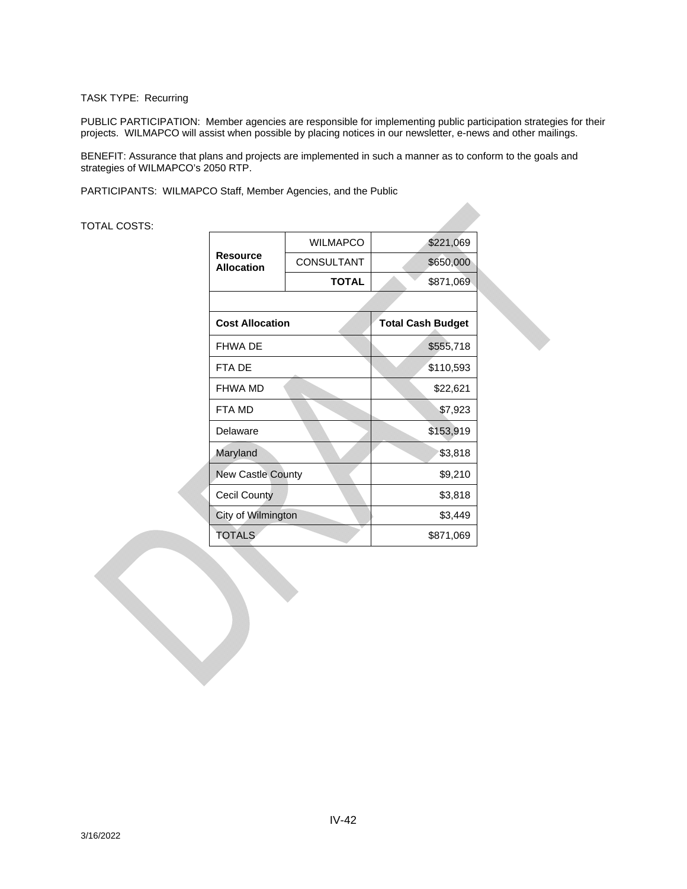#### TASK TYPE: Recurring

PUBLIC PARTICIPATION: Member agencies are responsible for implementing public participation strategies for their projects. WILMAPCO will assist when possible by placing notices in our newsletter, e-news and other mailings.

BENEFIT: Assurance that plans and projects are implemented in such a manner as to conform to the goals and strategies of WILMAPCO's 2050 RTP.

PARTICIPANTS: WILMAPCO Staff, Member Agencies, and the Public

#### TOTAL COSTS:

|                                      | <b>WILMAPCO</b>          | \$221,069 |
|--------------------------------------|--------------------------|-----------|
| <b>Resource</b><br><b>Allocation</b> | <b>CONSULTANT</b>        | \$650,000 |
|                                      | <b>TOTAL</b>             | \$871,069 |
|                                      |                          |           |
| <b>Cost Allocation</b>               | <b>Total Cash Budget</b> |           |
| FHWA DF                              |                          | \$555,718 |
| FTA DE                               |                          | \$110,593 |
| FHWA MD                              |                          | \$22,621  |
| FTA MD                               |                          | \$7,923   |
| Delaware                             |                          | \$153,919 |
| Maryland                             |                          | \$3,818   |
| <b>New Castle County</b>             |                          | \$9,210   |
| <b>Cecil County</b>                  |                          | \$3,818   |
| City of Wilmington                   |                          | \$3,449   |
| <b>TOTALS</b>                        |                          | \$871,069 |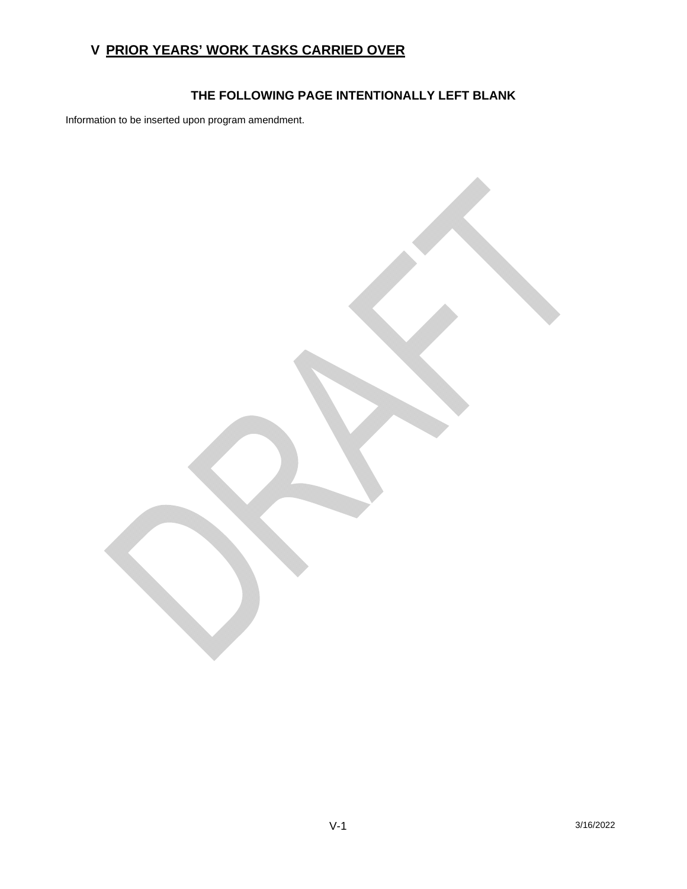# **V PRIOR YEARS' WORK TASKS CARRIED OVER**

## **THE FOLLOWING PAGE INTENTIONALLY LEFT BLANK**

Information to be inserted upon program amendment.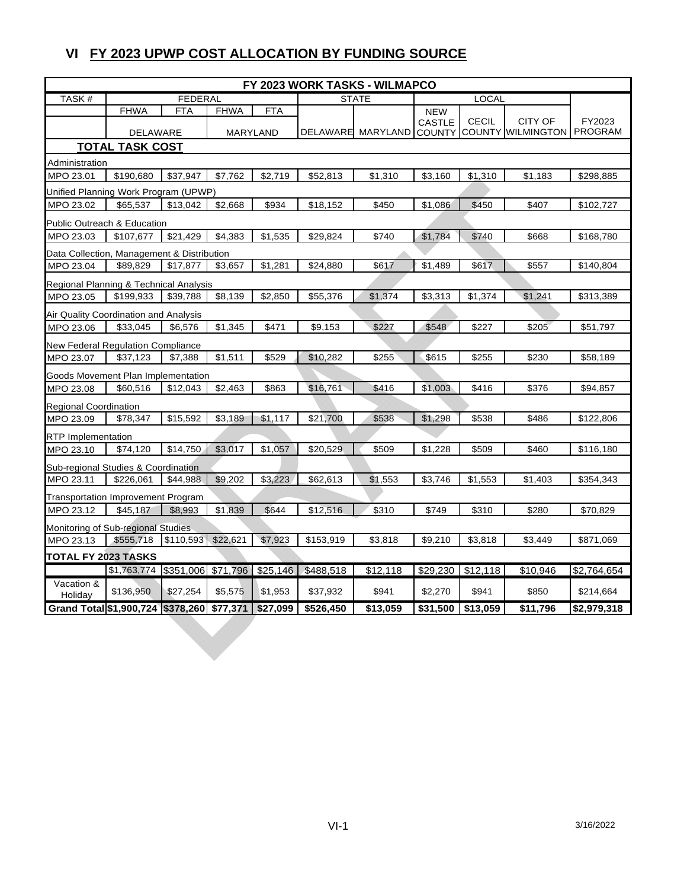# **VI FY 2023 UPWP COST ALLOCATION BY FUNDING SOURCE**

| FY 2023 WORK TASKS - WILMAPCO                      |                                |                |             |            |           |                   |                                |              |                                            |                          |
|----------------------------------------------------|--------------------------------|----------------|-------------|------------|-----------|-------------------|--------------------------------|--------------|--------------------------------------------|--------------------------|
| TASK#                                              |                                | <b>FEDERAL</b> |             |            |           | <b>STATE</b>      |                                | LOCAL        |                                            |                          |
|                                                    | <b>FHWA</b>                    | FTA            | <b>FHWA</b> | <b>FTA</b> |           |                   | <b>NEW</b>                     |              |                                            |                          |
|                                                    | DELAWARE                       |                | MARYLAND    |            |           | DELAWARE MARYLAND | <b>CASTLE</b><br><b>COUNTY</b> | <b>CECIL</b> | <b>CITY OF</b><br><b>COUNTY WILMINGTON</b> | FY2023<br><b>PROGRAM</b> |
|                                                    | <b>TOTAL TASK COST</b>         |                |             |            |           |                   |                                |              |                                            |                          |
| Administration                                     |                                |                |             |            |           |                   |                                |              |                                            |                          |
| MPO 23.01                                          | \$190,680                      | \$37,947       | \$7,762     | \$2,719    | \$52,813  | \$1,310           | \$3,160                        | \$1,310      | \$1,183                                    | \$298,885                |
| Jnified Planning Work Program (UPWP)               |                                |                |             |            |           |                   |                                |              |                                            |                          |
| MPO 23.02                                          | \$65,537                       | \$13,042       | \$2,668     | \$934      | \$18,152  | \$450             | \$1,086                        | \$450        | \$407                                      | \$102,727                |
| <b>Public Outreach &amp; Education</b>             |                                |                |             |            |           |                   |                                |              |                                            |                          |
| MPO 23.03                                          | \$107,677                      | \$21,429       | \$4,383     | \$1,535    | \$29,824  | \$740             | \$1,784                        | \$740        | \$668                                      | \$168,780                |
| Data Collection, Management & Distribution         |                                |                |             |            |           |                   |                                |              |                                            |                          |
| MPO 23.04                                          | \$89,829                       | \$17,877       | \$3,657     | \$1,281    | \$24,880  | \$617             | \$1,489                        | \$617        | \$557                                      | \$140,804                |
| Regional Planning & Technical Analysis             |                                |                |             |            |           |                   |                                |              |                                            |                          |
| MPO 23.05                                          | \$199,933                      | \$39,788       | \$8,139     | \$2,850    | \$55,376  | \$1,374           | \$3,313                        | \$1,374      | \$1,241                                    | \$313,389                |
|                                                    |                                |                |             |            |           |                   |                                |              |                                            |                          |
| Air Quality Coordination and Analysis<br>MPO 23.06 | \$33,045                       | \$6,576        | \$1,345     | \$471      | \$9,153   | \$227             | \$548                          | \$227        | \$205                                      | \$51,797                 |
|                                                    |                                |                |             |            |           |                   |                                |              |                                            |                          |
| New Federal Regulation Compliance                  |                                |                |             |            |           |                   |                                | \$255        | \$230                                      |                          |
| MPO 23.07                                          | \$37,123                       | \$7,388        | \$1,511     | \$529      | \$10,282  | \$255             | \$615                          |              |                                            | \$58,189                 |
| Goods Movement Plan Implementation                 |                                |                |             |            |           |                   |                                |              |                                            |                          |
| MPO 23.08                                          | \$60,516                       | \$12,043       | \$2,463     | \$863      | \$16,761  | \$416             | \$1,003                        | \$416        | \$376                                      | \$94,857                 |
| <b>Regional Coordination</b>                       |                                |                |             |            |           |                   |                                |              |                                            |                          |
| MPO 23.09                                          | \$78,347                       | \$15,592       | \$3,189     | \$1,117    | \$21,700  | \$538             | \$1,298                        | \$538        | \$486                                      | \$122,806                |
| <b>RTP Implementation</b>                          |                                |                |             |            |           |                   |                                |              |                                            |                          |
| MPO 23.10                                          | \$74,120                       | \$14,750       | \$3,017     | \$1,057    | \$20,529  | \$509             | \$1,228                        | \$509        | \$460                                      | \$116,180                |
| Sub-regional Studies & Coordination                |                                |                |             |            |           |                   |                                |              |                                            |                          |
| MPO 23.11                                          | \$226,061                      | \$44,988       | \$9,202     | \$3,223    | \$62,613  | \$1,553           | \$3,746                        | \$1,553      | \$1,403                                    | \$354,343                |
| Transportation Improvement Program                 |                                |                |             |            |           |                   |                                |              |                                            |                          |
| MPO 23.12                                          | \$45,187                       | \$8.993        | \$1,839     | \$644      | \$12,516  | \$310             | \$749                          | \$310        | \$280                                      | \$70,829                 |
| Monitoring of Sub-regional Studies                 |                                |                |             |            |           |                   |                                |              |                                            |                          |
| MPO 23.13                                          | \$555,718                      | \$110,593      | \$22,621    | \$7,923    | \$153,919 | \$3,818           | \$9,210                        | \$3,818      | \$3,449                                    | \$871,069                |
| TOTAL FY 2023 TASKS                                |                                |                |             |            |           |                   |                                |              |                                            |                          |
|                                                    | \$1,763,774 \$351,006 \$71,796 |                |             | \$25,146   | \$488,518 | \$12,118          | \$29,230                       | \$12,118     | \$10,946                                   | \$2,764,654              |
| Vacation &<br>Holiday                              | \$136,950                      | \$27,254       | \$5,575     | \$1,953    | \$37,932  | \$941             | \$2,270                        | \$941        | \$850                                      | \$214,664                |
| Grand Total \$1,900,724 \$378,260 \$77,371         |                                |                |             | \$27,099   | \$526,450 | \$13,059          | \$31,500                       | \$13,059     | \$11.796                                   | \$2,979,318              |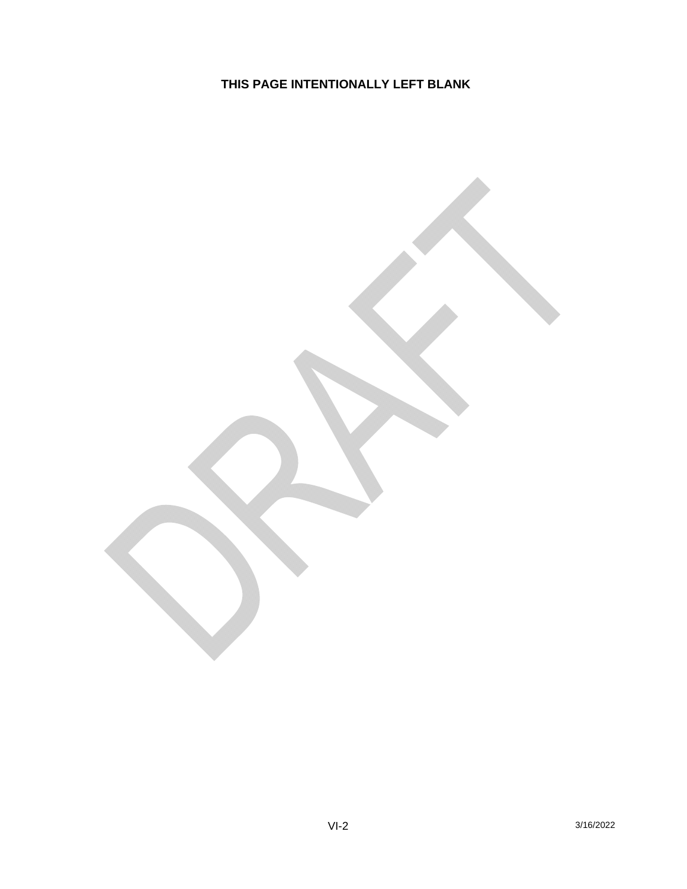# **THIS PAGE INTENTIONALLY LEFT BLANK**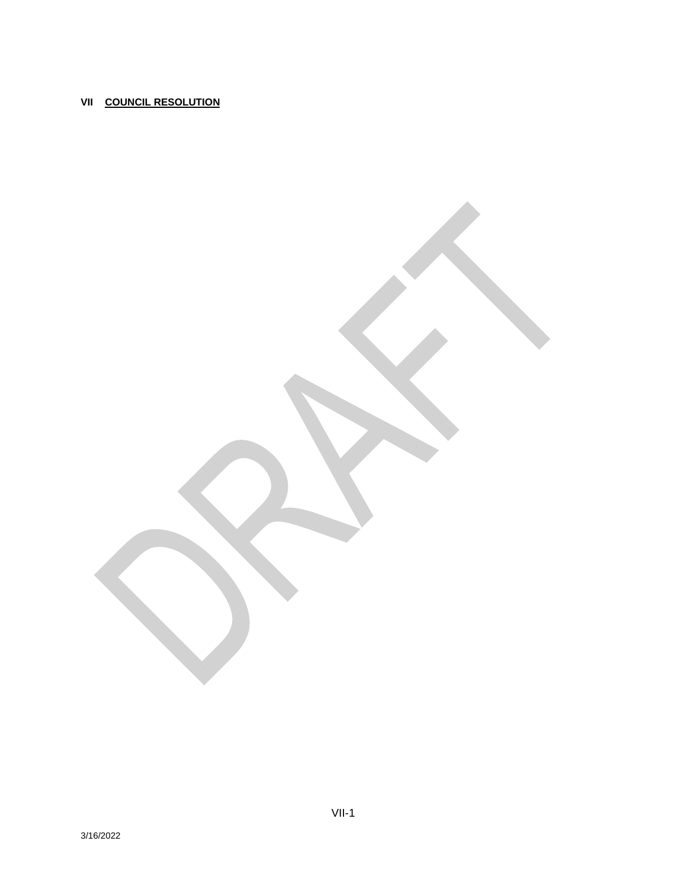## **VII** COUNCIL RESOLUTION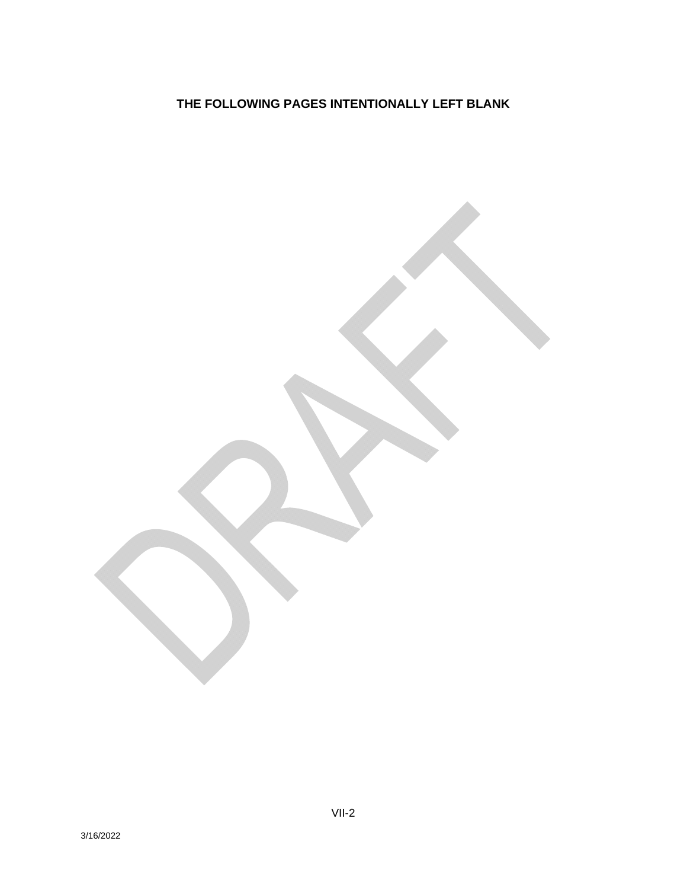# **THE FOLLOWING PAGES INTENTIONALLY LEFT BLANK**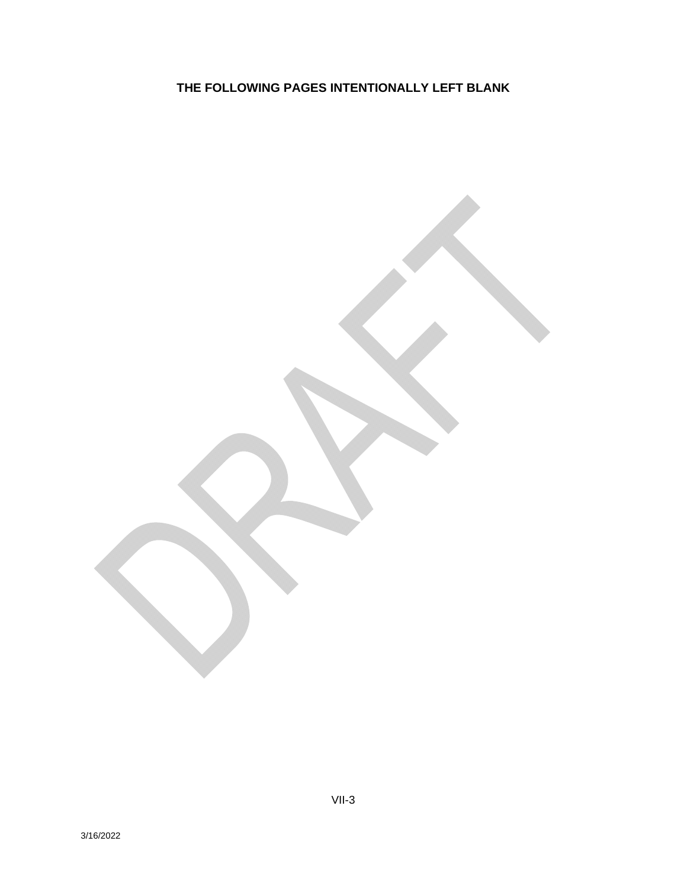## **THE FOLLOWING PAGES INTENTIONALLY LEFT BLANK**